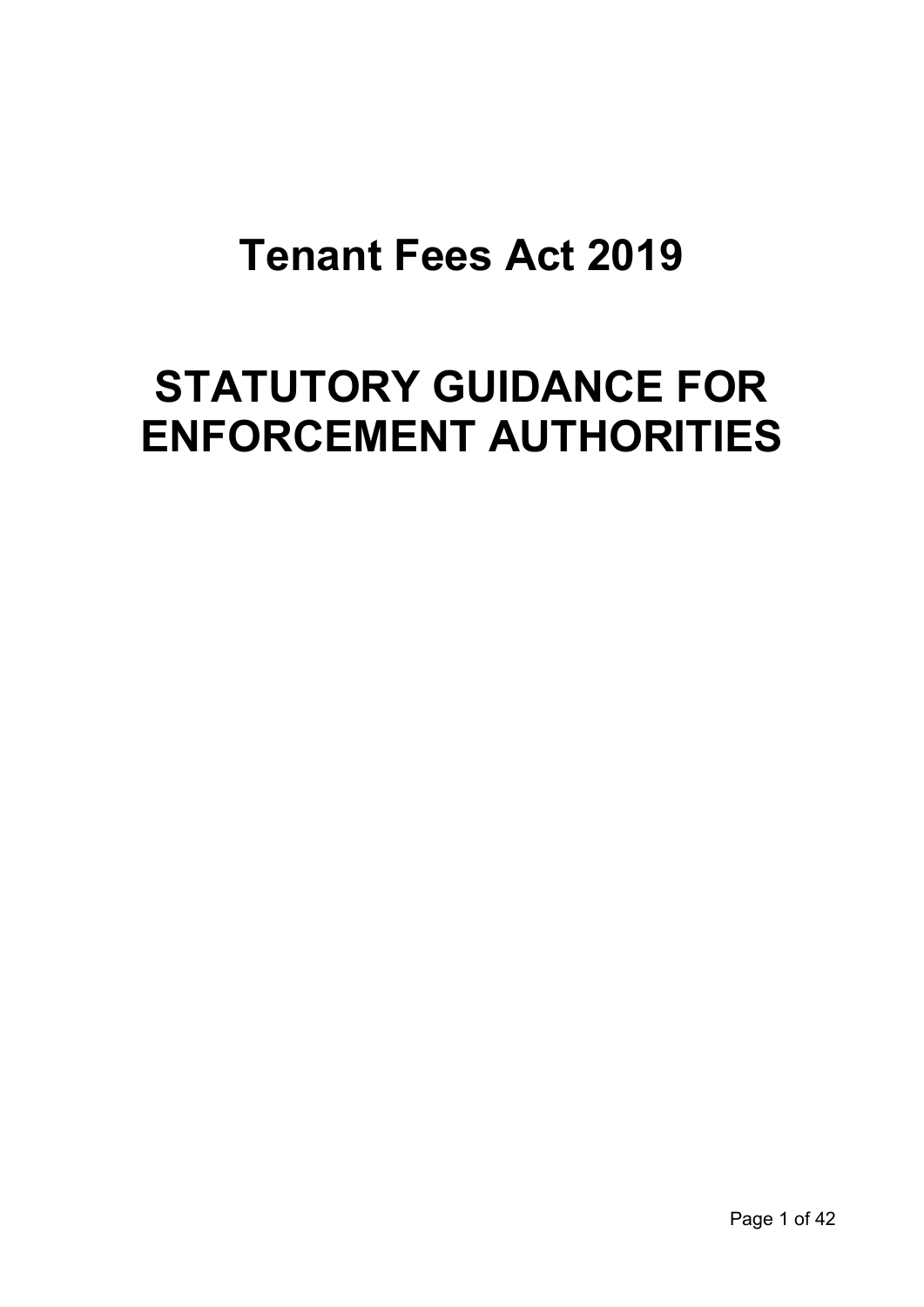# **Tenant Fees Act 2019**

# **STATUTORY GUIDANCE FOR ENFORCEMENT AUTHORITIES**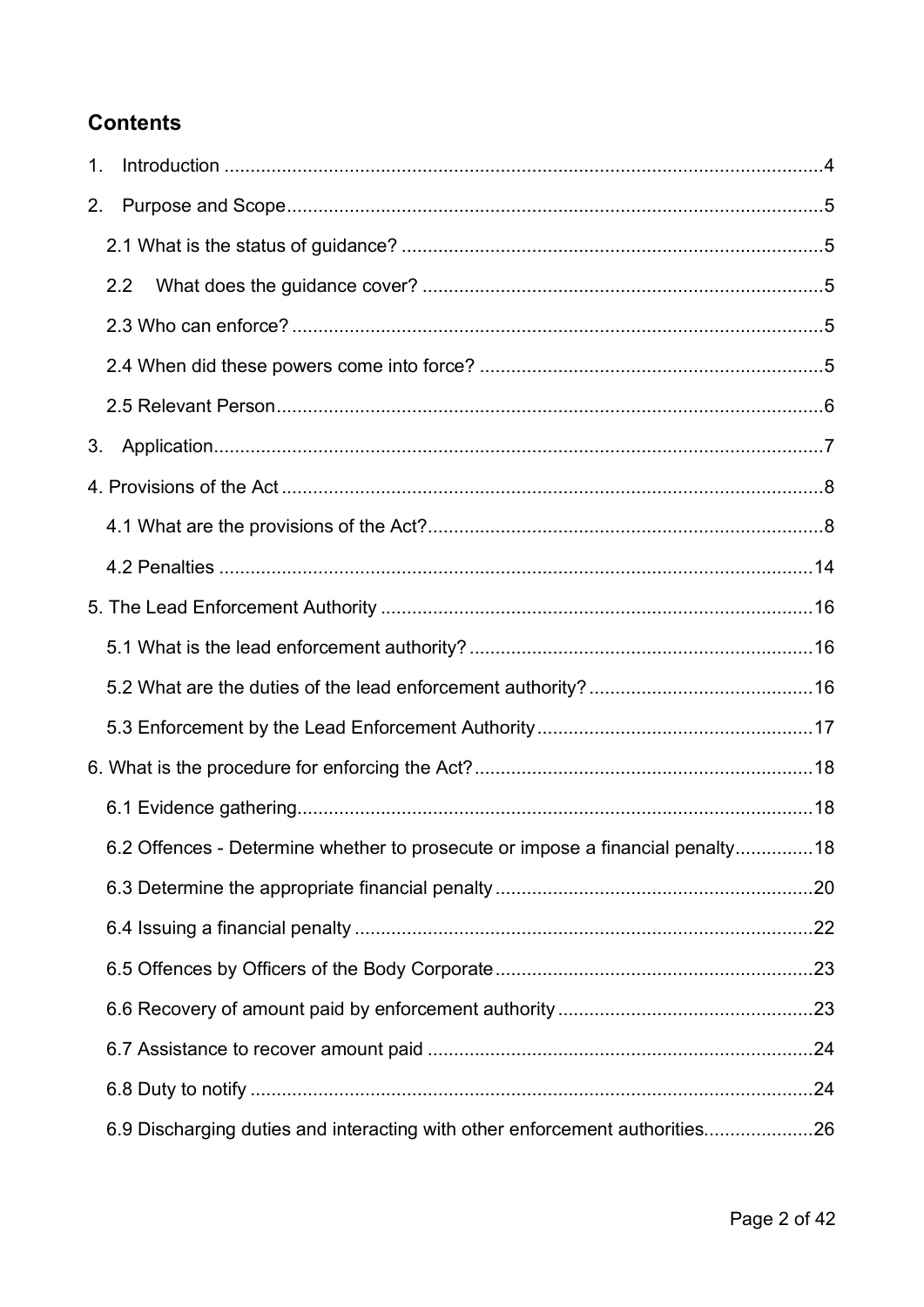# **Contents**

| 1. |                                                                               |  |
|----|-------------------------------------------------------------------------------|--|
| 2. |                                                                               |  |
|    |                                                                               |  |
|    | 2.2                                                                           |  |
|    |                                                                               |  |
|    |                                                                               |  |
|    |                                                                               |  |
| 3. |                                                                               |  |
|    |                                                                               |  |
|    |                                                                               |  |
|    |                                                                               |  |
|    |                                                                               |  |
|    |                                                                               |  |
|    |                                                                               |  |
|    |                                                                               |  |
|    |                                                                               |  |
|    |                                                                               |  |
|    | 6.2 Offences - Determine whether to prosecute or impose a financial penalty18 |  |
|    |                                                                               |  |
|    |                                                                               |  |
|    |                                                                               |  |
|    |                                                                               |  |
|    |                                                                               |  |
|    |                                                                               |  |
|    | 6.9 Discharging duties and interacting with other enforcement authorities26   |  |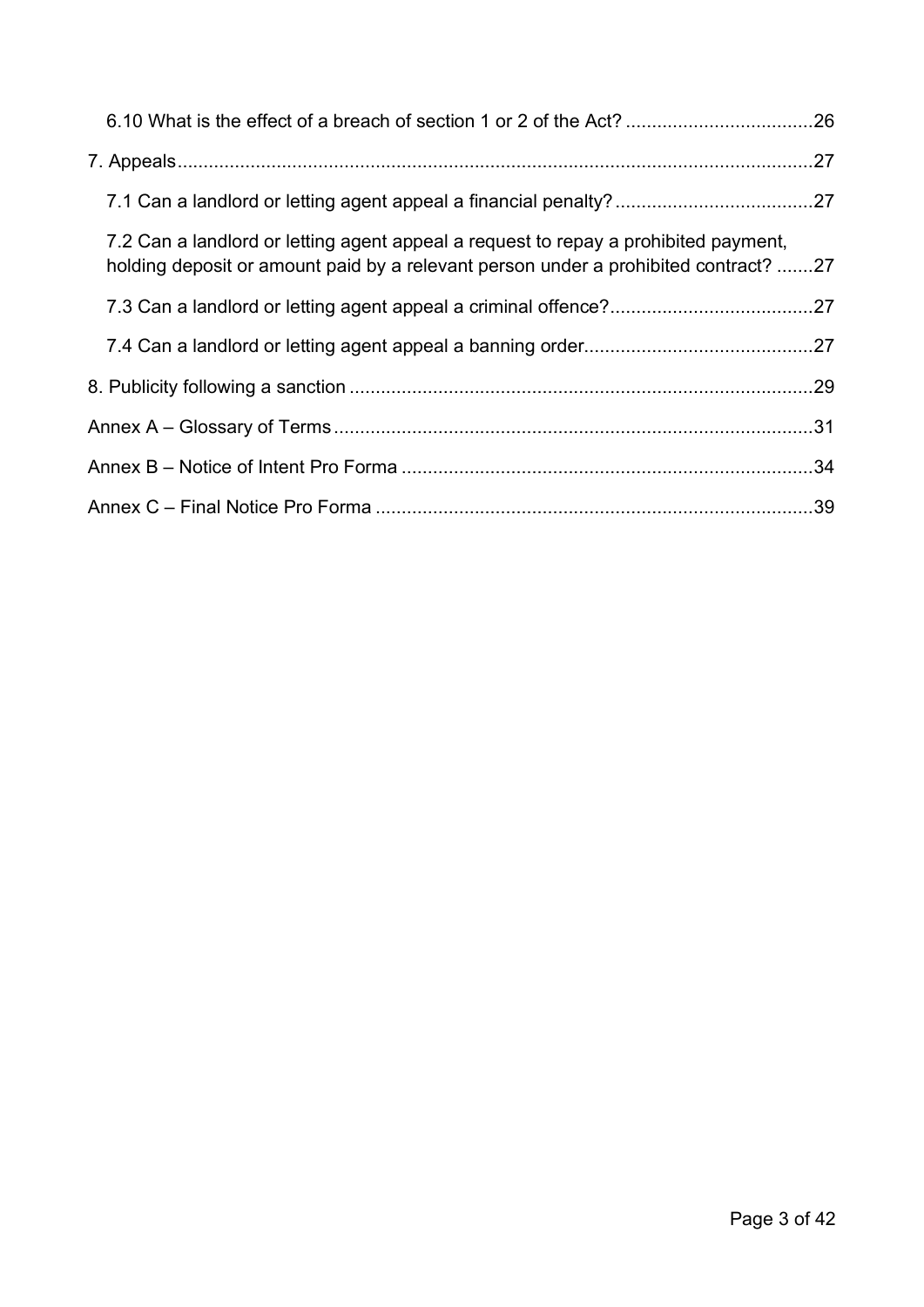| 7.2 Can a landlord or letting agent appeal a request to repay a prohibited payment,<br>holding deposit or amount paid by a relevant person under a prohibited contract? 27 |  |
|----------------------------------------------------------------------------------------------------------------------------------------------------------------------------|--|
|                                                                                                                                                                            |  |
|                                                                                                                                                                            |  |
|                                                                                                                                                                            |  |
|                                                                                                                                                                            |  |
|                                                                                                                                                                            |  |
|                                                                                                                                                                            |  |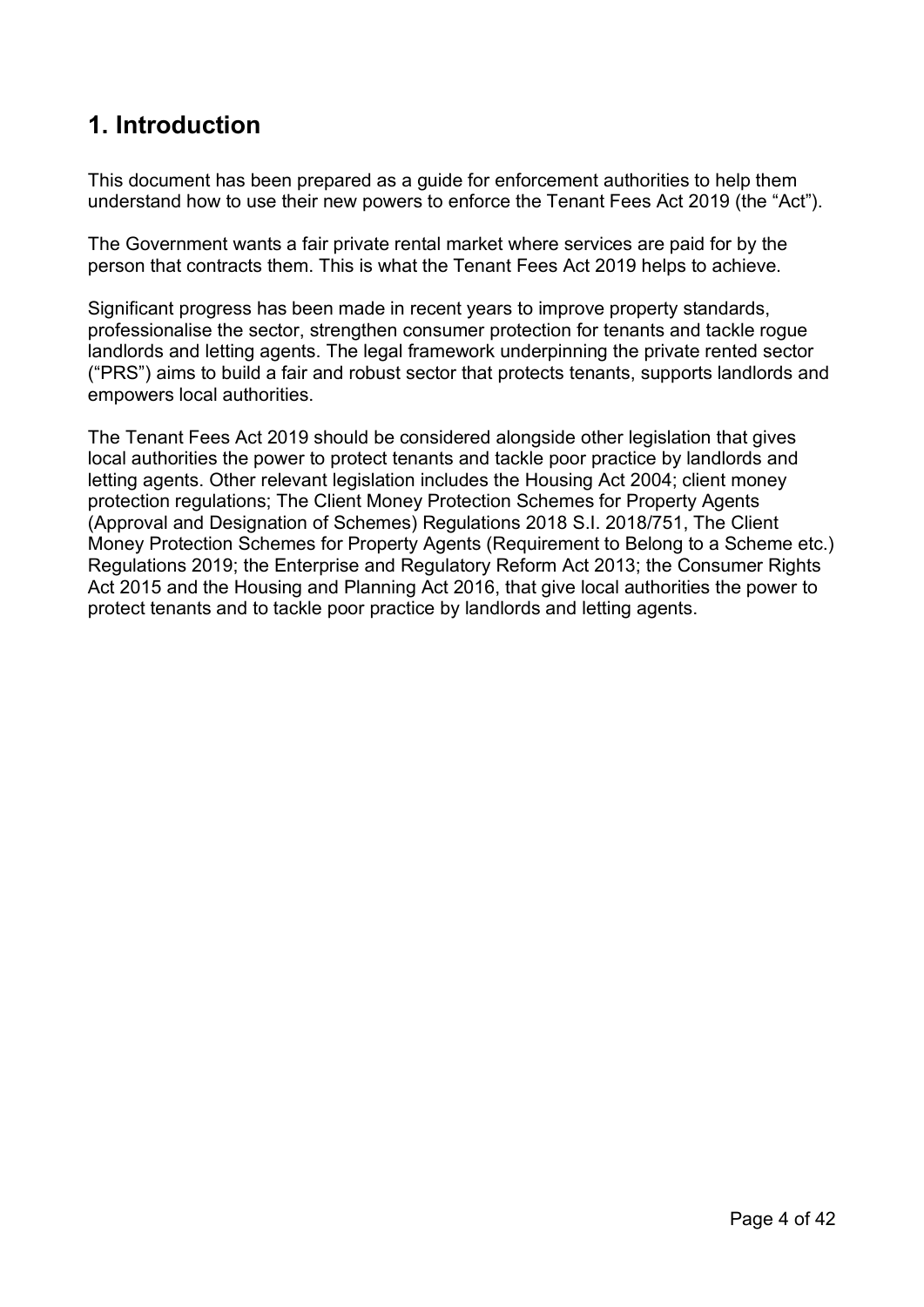# <span id="page-3-0"></span>**1. Introduction**

This document has been prepared as a guide for enforcement authorities to help them understand how to use their new powers to enforce the Tenant Fees Act 2019 (the "Act").

The Government wants a fair private rental market where services are paid for by the person that contracts them. This is what the Tenant Fees Act 2019 helps to achieve.

Significant progress has been made in recent years to improve property standards, professionalise the sector, strengthen consumer protection for tenants and tackle rogue landlords and letting agents. The legal framework underpinning the private rented sector ("PRS") aims to build a fair and robust sector that protects tenants, supports landlords and empowers local authorities.

The Tenant Fees Act 2019 should be considered alongside other legislation that gives local authorities the power to protect tenants and tackle poor practice by landlords and letting agents. Other relevant legislation includes the Housing Act 2004; client money protection regulations; The Client Money Protection Schemes for Property Agents (Approval and Designation of Schemes) Regulations 2018 S.I. 2018/751, The Client Money Protection Schemes for Property Agents (Requirement to Belong to a Scheme etc.) Regulations 2019; the Enterprise and Regulatory Reform Act 2013; the Consumer Rights Act 2015 and the Housing and Planning Act 2016, that give local authorities the power to protect tenants and to tackle poor practice by landlords and letting agents.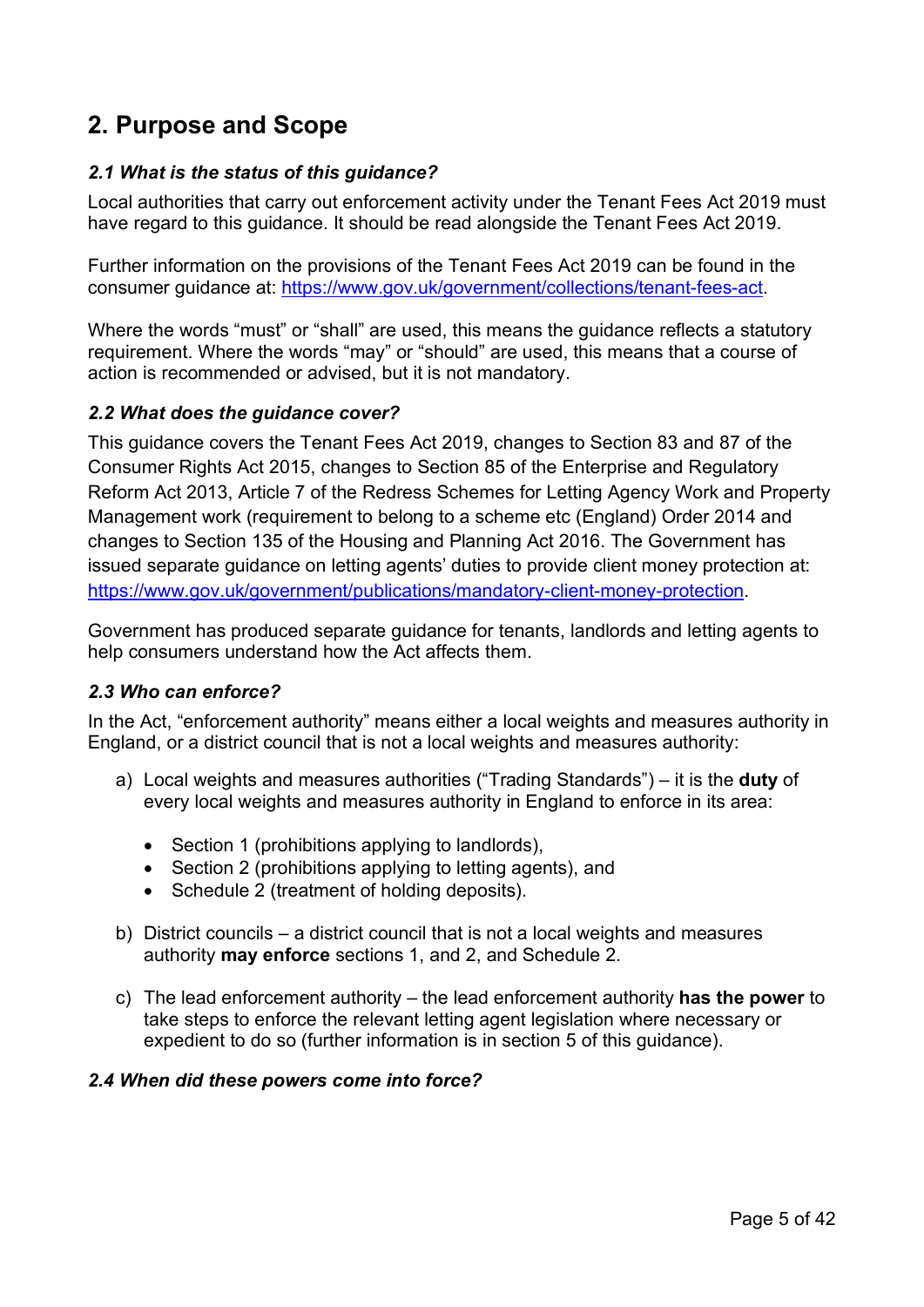# <span id="page-4-0"></span>**2. Purpose and Scope**

# <span id="page-4-1"></span>*2.1 What is the status of this guidance?*

Local authorities that carry out enforcement activity under the Tenant Fees Act 2019 must have regard to this guidance. It should be read alongside the Tenant Fees Act 2019.

Further information on the provisions of the Tenant Fees Act 2019 can be found in the consumer guidance at: [https://www.gov.uk/government/collections/tenant-fees-act.](https://www.gov.uk/government/collections/tenant-fees-act)

Where the words "must" or "shall" are used, this means the guidance reflects a statutory requirement. Where the words "may" or "should" are used, this means that a course of action is recommended or advised, but it is not mandatory.

# <span id="page-4-2"></span>*2.2 What does the guidance cover?*

This guidance covers the Tenant Fees Act 2019, changes to Section 83 and 87 of the Consumer Rights Act 2015, changes to Section 85 of the Enterprise and Regulatory Reform Act 2013, Article 7 of the Redress Schemes for Letting Agency Work and Property Management work (requirement to belong to a scheme etc (England) Order 2014 and changes to Section 135 of the Housing and Planning Act 2016. The Government has issued separate guidance on letting agents' duties to provide client money protection at: [https://www.gov.uk/government/publications/mandatory-client-money-protection.](https://www.gov.uk/government/publications/mandatory-client-money-protection)

Government has produced separate guidance for tenants, landlords and letting agents to help consumers understand how the Act affects them.

# <span id="page-4-3"></span>*2.3 Who can enforce?*

In the Act, "enforcement authority" means either a local weights and measures authority in England, or a district council that is not a local weights and measures authority:

- a) Local weights and measures authorities ("Trading Standards") it is the **duty** of every local weights and measures authority in England to enforce in its area:
	- Section 1 (prohibitions applying to landlords).
	- Section 2 (prohibitions applying to letting agents), and
	- Schedule 2 (treatment of holding deposits).
- b) District councils a district council that is not a local weights and measures authority **may enforce** sections 1, and 2, and Schedule 2.
- c) The lead enforcement authority the lead enforcement authority **has the power** to take steps to enforce the relevant letting agent legislation where necessary or expedient to do so (further information is in section 5 of this guidance).

## <span id="page-4-4"></span>*2.4 When did these powers come into force?*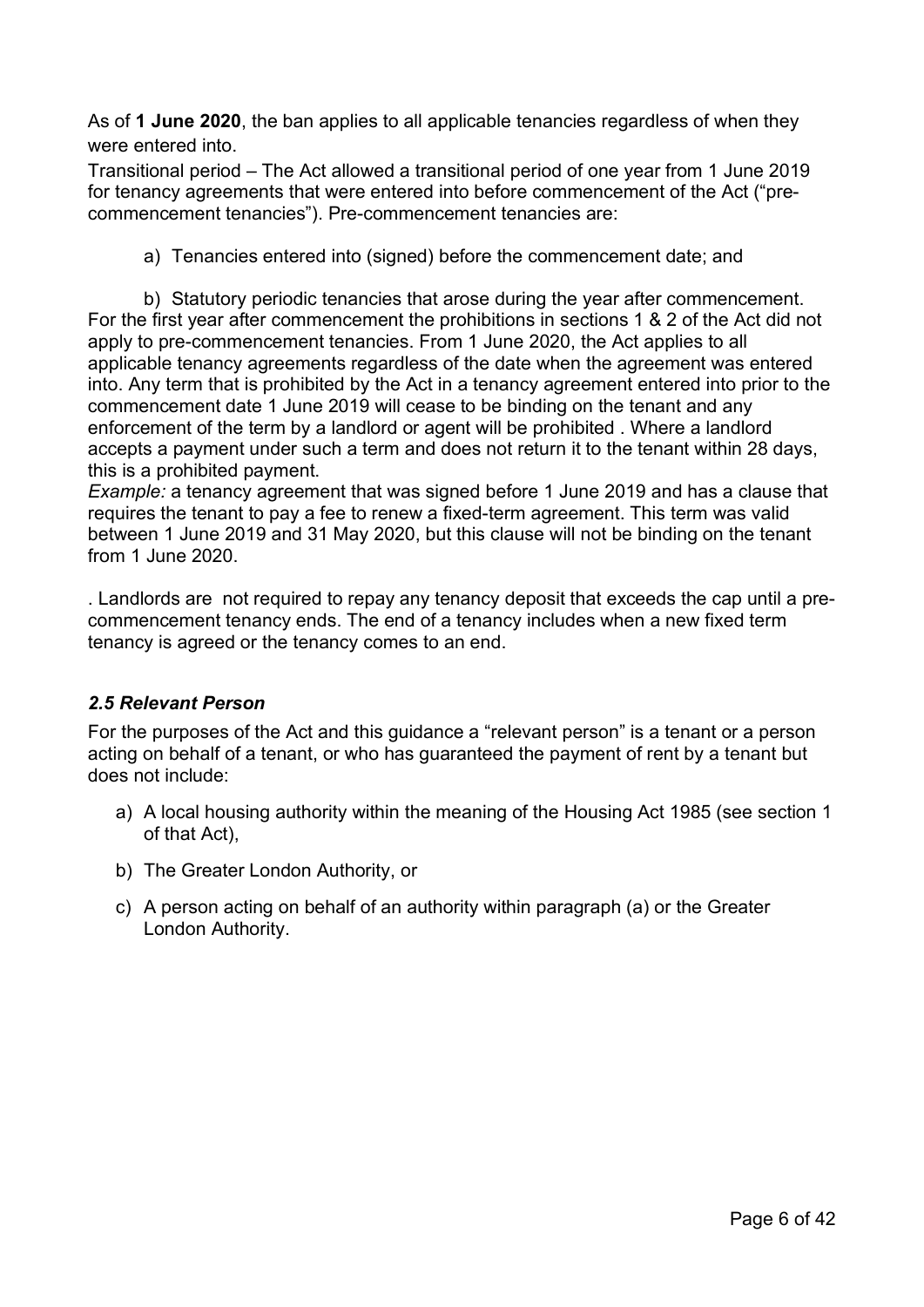As of **1 June 2020**, the ban applies to all applicable tenancies regardless of when they were entered into.

Transitional period – The Act allowed a transitional period of one year from 1 June 2019 for tenancy agreements that were entered into before commencement of the Act ("precommencement tenancies"). Pre-commencement tenancies are:

a) Tenancies entered into (signed) before the commencement date; and

b) Statutory periodic tenancies that arose during the year after commencement. For the first year after commencement the prohibitions in sections 1 & 2 of the Act did not apply to pre-commencement tenancies. From 1 June 2020, the Act applies to all applicable tenancy agreements regardless of the date when the agreement was entered into. Any term that is prohibited by the Act in a tenancy agreement entered into prior to the commencement date 1 June 2019 will cease to be binding on the tenant and any enforcement of the term by a landlord or agent will be prohibited . Where a landlord accepts a payment under such a term and does not return it to the tenant within 28 days, this is a prohibited payment.

*Example:* a tenancy agreement that was signed before 1 June 2019 and has a clause that requires the tenant to pay a fee to renew a fixed-term agreement. This term was valid between 1 June 2019 and 31 May 2020, but this clause will not be binding on the tenant from 1 June 2020.

. Landlords are not required to repay any tenancy deposit that exceeds the cap until a precommencement tenancy ends. The end of a tenancy includes when a new fixed term tenancy is agreed or the tenancy comes to an end.

## <span id="page-5-0"></span>*2.5 Relevant Person*

For the purposes of the Act and this guidance a "relevant person" is a tenant or a person acting on behalf of a tenant, or who has guaranteed the payment of rent by a tenant but does not include:

- a) A local housing authority within the meaning of the Housing Act 1985 (see section 1 of that Act),
- b) The Greater London Authority, or
- c) A person acting on behalf of an authority within paragraph (a) or the Greater London Authority.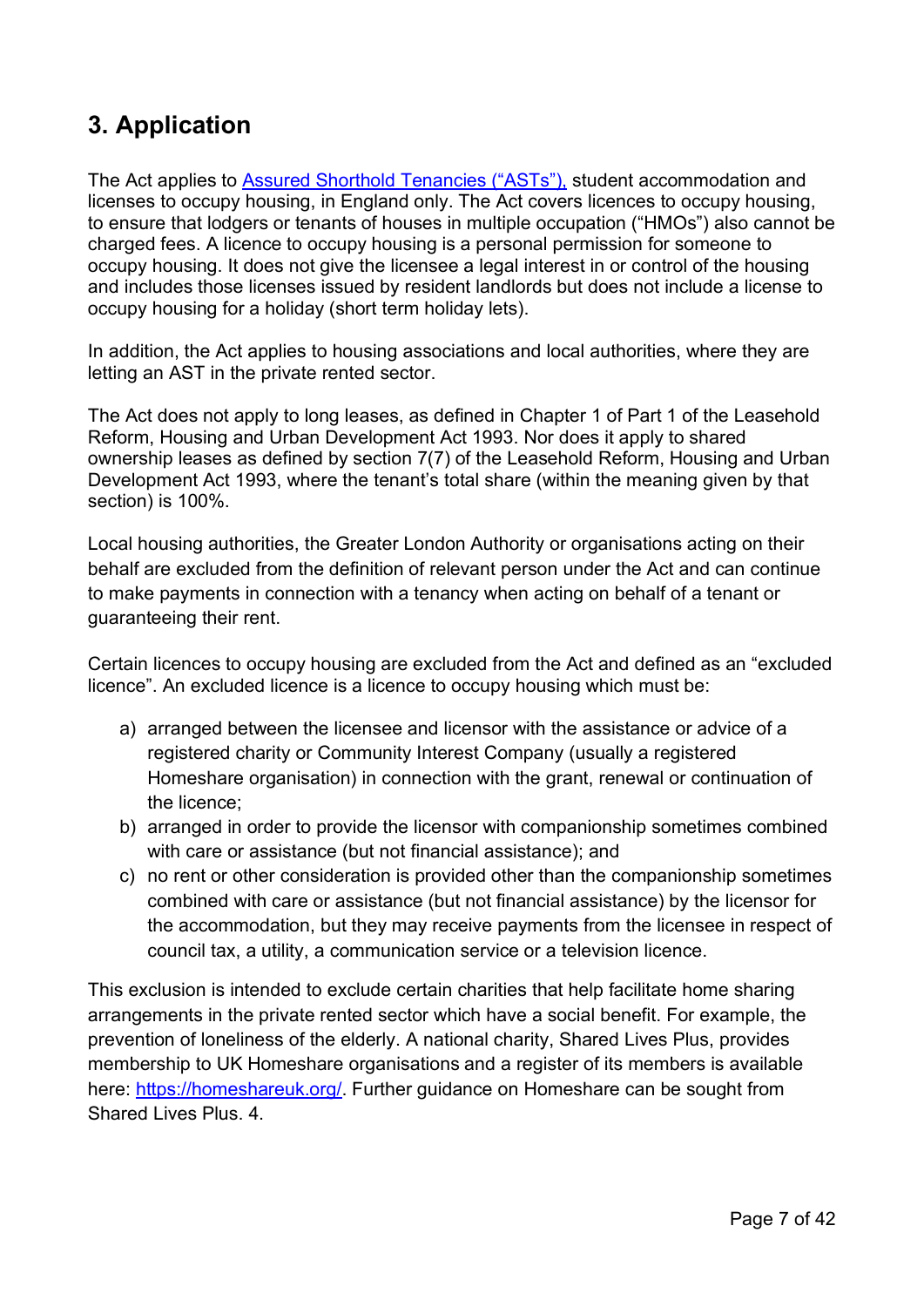# <span id="page-6-0"></span>**3. Application**

The Act applies to [Assured Shorthold Tenancies \("ASTs"\),](http://www.legislation.gov.uk/ukpga/1988/50/contents/england) student accommodation and licenses to occupy housing, in England only. The Act covers licences to occupy housing, to ensure that lodgers or tenants of houses in multiple occupation ("HMOs") also cannot be charged fees. A licence to occupy housing is a personal permission for someone to occupy housing. It does not give the licensee a legal interest in or control of the housing and includes those licenses issued by resident landlords but does not include a license to occupy housing for a holiday (short term holiday lets).

In addition, the Act applies to housing associations and local authorities, where they are letting an AST in the private rented sector.

The Act does not apply to long leases, as defined in Chapter 1 of Part 1 of the Leasehold Reform, Housing and Urban Development Act 1993. Nor does it apply to shared ownership leases as defined by section 7(7) of the Leasehold Reform, Housing and Urban Development Act 1993, where the tenant's total share (within the meaning given by that section) is 100%.

Local housing authorities, the Greater London Authority or organisations acting on their behalf are excluded from the definition of relevant person under the Act and can continue to make payments in connection with a tenancy when acting on behalf of a tenant or guaranteeing their rent.

Certain licences to occupy housing are excluded from the Act and defined as an "excluded licence". An excluded licence is a licence to occupy housing which must be:

- a) arranged between the licensee and licensor with the assistance or advice of a registered charity or Community Interest Company (usually a registered Homeshare organisation) in connection with the grant, renewal or continuation of the licence;
- b) arranged in order to provide the licensor with companionship sometimes combined with care or assistance (but not financial assistance); and
- c) no rent or other consideration is provided other than the companionship sometimes combined with care or assistance (but not financial assistance) by the licensor for the accommodation, but they may receive payments from the licensee in respect of council tax, a utility, a communication service or a television licence.

This exclusion is intended to exclude certain charities that help facilitate home sharing arrangements in the private rented sector which have a social benefit. For example, the prevention of loneliness of the elderly. A national charity, Shared Lives Plus, provides membership to UK Homeshare organisations and a register of its members is available here: [https://homeshareuk.org/.](https://homeshareuk.org/) Further guidance on Homeshare can be sought from Shared Lives Plus. 4.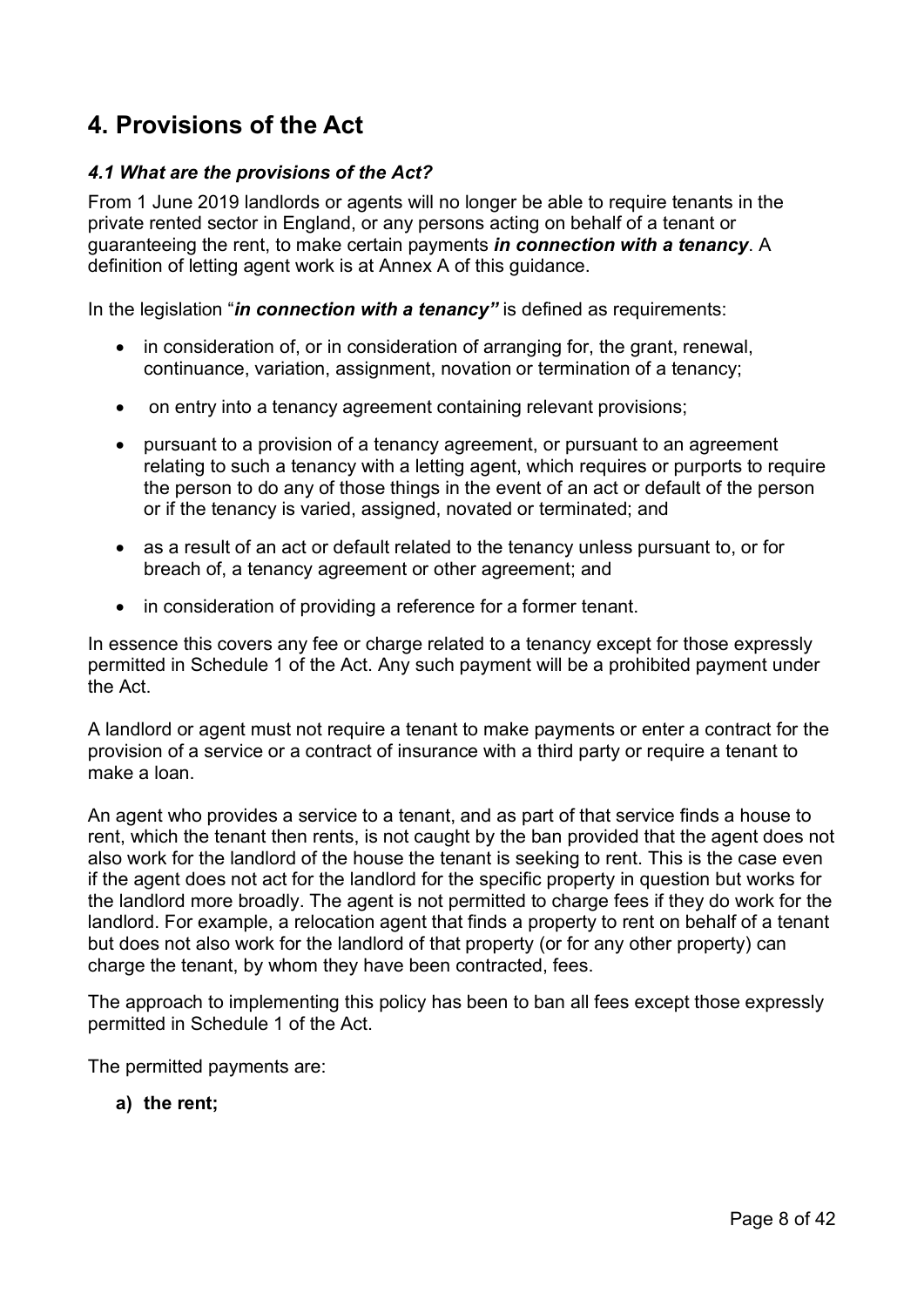# <span id="page-7-0"></span>**4. Provisions of the Act**

# <span id="page-7-1"></span>*4.1 What are the provisions of the Act?*

From 1 June 2019 landlords or agents will no longer be able to require tenants in the private rented sector in England, or any persons acting on behalf of a tenant or guaranteeing the rent, to make certain payments *in connection with a tenancy*. A definition of letting agent work is at Annex A of this guidance.

In the legislation "*in connection with a tenancy"* is defined as requirements:

- in consideration of, or in consideration of arranging for, the grant, renewal, continuance, variation, assignment, novation or termination of a tenancy;
- on entry into a tenancy agreement containing relevant provisions;
- pursuant to a provision of a tenancy agreement, or pursuant to an agreement relating to such a tenancy with a letting agent, which requires or purports to require the person to do any of those things in the event of an act or default of the person or if the tenancy is varied, assigned, novated or terminated; and
- as a result of an act or default related to the tenancy unless pursuant to, or for breach of, a tenancy agreement or other agreement; and
- in consideration of providing a reference for a former tenant.

In essence this covers any fee or charge related to a tenancy except for those expressly permitted in Schedule 1 of the Act. Any such payment will be a prohibited payment under the Act.

A landlord or agent must not require a tenant to make payments or enter a contract for the provision of a service or a contract of insurance with a third party or require a tenant to make a loan.

An agent who provides a service to a tenant, and as part of that service finds a house to rent, which the tenant then rents, is not caught by the ban provided that the agent does not also work for the landlord of the house the tenant is seeking to rent. This is the case even if the agent does not act for the landlord for the specific property in question but works for the landlord more broadly. The agent is not permitted to charge fees if they do work for the landlord. For example, a relocation agent that finds a property to rent on behalf of a tenant but does not also work for the landlord of that property (or for any other property) can charge the tenant, by whom they have been contracted, fees.

The approach to implementing this policy has been to ban all fees except those expressly permitted in Schedule 1 of the Act.

The permitted payments are:

**a) the rent;**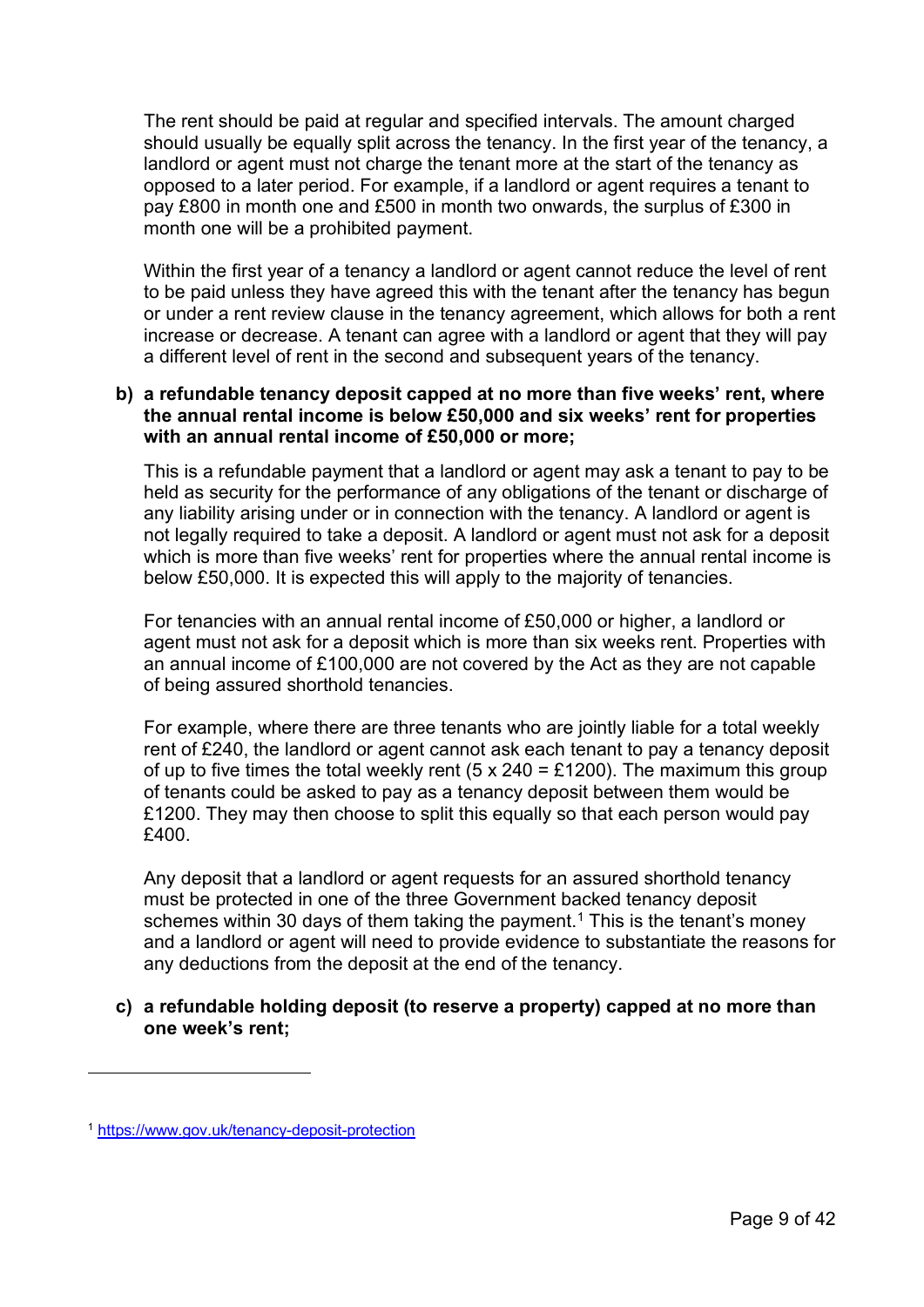The rent should be paid at regular and specified intervals. The amount charged should usually be equally split across the tenancy. In the first year of the tenancy, a landlord or agent must not charge the tenant more at the start of the tenancy as opposed to a later period. For example, if a landlord or agent requires a tenant to pay £800 in month one and £500 in month two onwards, the surplus of £300 in month one will be a prohibited payment.

Within the first year of a tenancy a landlord or agent cannot reduce the level of rent to be paid unless they have agreed this with the tenant after the tenancy has begun or under a rent review clause in the tenancy agreement, which allows for both a rent increase or decrease. A tenant can agree with a landlord or agent that they will pay a different level of rent in the second and subsequent years of the tenancy.

## **b) a refundable tenancy deposit capped at no more than five weeks' rent, where the annual rental income is below £50,000 and six weeks' rent for properties with an annual rental income of £50,000 or more;**

This is a refundable payment that a landlord or agent may ask a tenant to pay to be held as security for the performance of any obligations of the tenant or discharge of any liability arising under or in connection with the tenancy. A landlord or agent is not legally required to take a deposit. A landlord or agent must not ask for a deposit which is more than five weeks' rent for properties where the annual rental income is below £50,000. It is expected this will apply to the majority of tenancies.

For tenancies with an annual rental income of £50,000 or higher, a landlord or agent must not ask for a deposit which is more than six weeks rent. Properties with an annual income of £100,000 are not covered by the Act as they are not capable of being assured shorthold tenancies.

For example, where there are three tenants who are jointly liable for a total weekly rent of £240, the landlord or agent cannot ask each tenant to pay a tenancy deposit of up to five times the total weekly rent (5 x 240 = £1200). The maximum this group of tenants could be asked to pay as a tenancy deposit between them would be £1200. They may then choose to split this equally so that each person would pay £400.

Any deposit that a landlord or agent requests for an assured shorthold tenancy must be protected in one of the three Government backed tenancy deposit schemes within 30 days of them taking the payment. [1](#page-8-0) This is the tenant's money and a landlord or agent will need to provide evidence to substantiate the reasons for any deductions from the deposit at the end of the tenancy.

# **c) a refundable holding deposit (to reserve a property) capped at no more than one week's rent;**

<span id="page-8-0"></span><sup>1</sup> <https://www.gov.uk/tenancy-deposit-protection>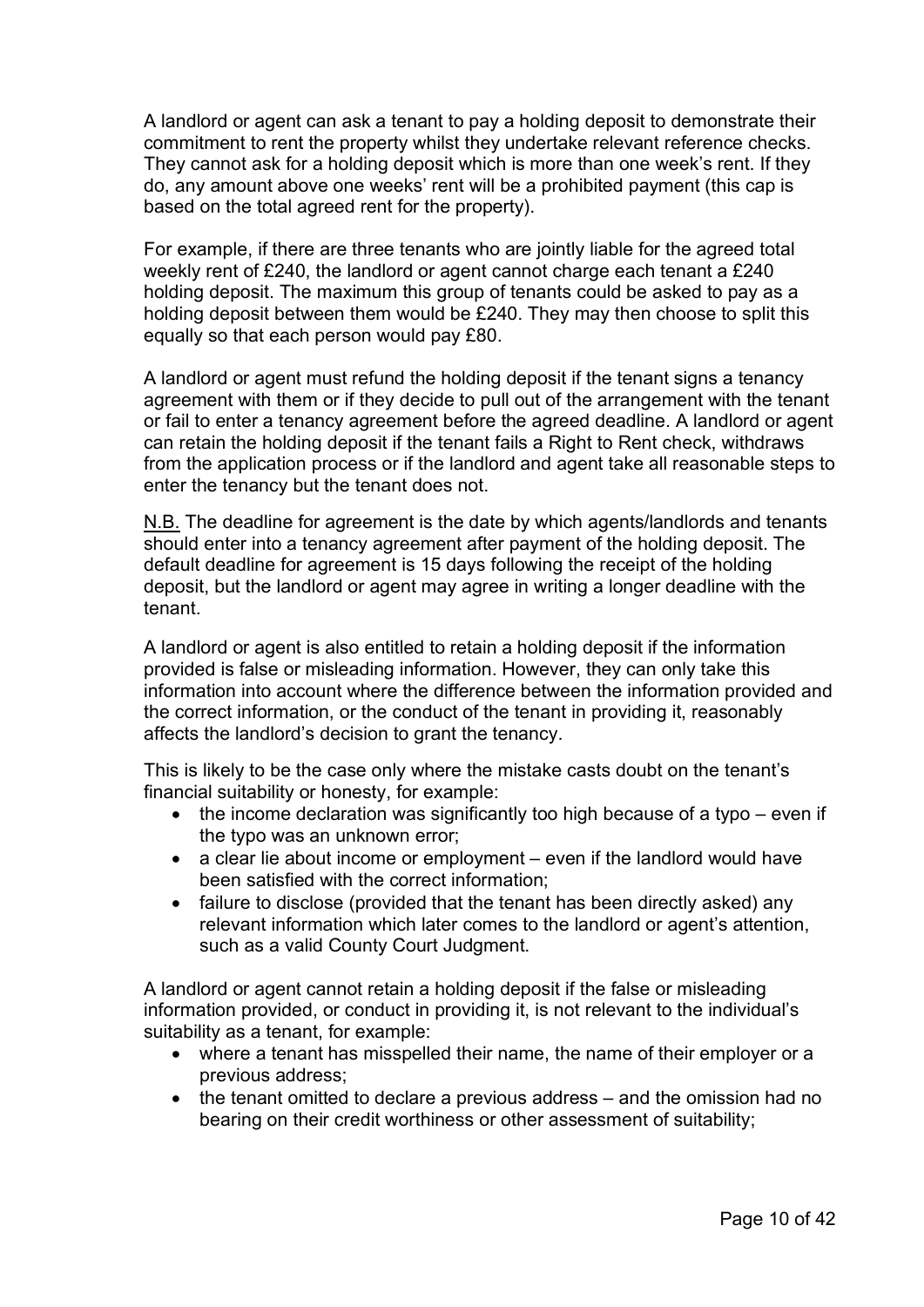A landlord or agent can ask a tenant to pay a holding deposit to demonstrate their commitment to rent the property whilst they undertake relevant reference checks. They cannot ask for a holding deposit which is more than one week's rent. If they do, any amount above one weeks' rent will be a prohibited payment (this cap is based on the total agreed rent for the property).

For example, if there are three tenants who are jointly liable for the agreed total weekly rent of £240, the landlord or agent cannot charge each tenant a £240 holding deposit. The maximum this group of tenants could be asked to pay as a holding deposit between them would be £240. They may then choose to split this equally so that each person would pay £80.

A landlord or agent must refund the holding deposit if the tenant signs a tenancy agreement with them or if they decide to pull out of the arrangement with the tenant or fail to enter a tenancy agreement before the agreed deadline. A landlord or agent can retain the holding deposit if the tenant fails a Right to Rent check, withdraws from the application process or if the landlord and agent take all reasonable steps to enter the tenancy but the tenant does not.

N.B. The deadline for agreement is the date by which agents/landlords and tenants should enter into a tenancy agreement after payment of the holding deposit. The default deadline for agreement is 15 days following the receipt of the holding deposit, but the landlord or agent may agree in writing a longer deadline with the tenant.

A landlord or agent is also entitled to retain a holding deposit if the information provided is false or misleading information. However, they can only take this information into account where the difference between the information provided and the correct information, or the conduct of the tenant in providing it, reasonably affects the landlord's decision to grant the tenancy.

This is likely to be the case only where the mistake casts doubt on the tenant's financial suitability or honesty, for example:

- the income declaration was significantly too high because of a typo even if the typo was an unknown error;
- a clear lie about income or employment even if the landlord would have been satisfied with the correct information;
- failure to disclose (provided that the tenant has been directly asked) any relevant information which later comes to the landlord or agent's attention, such as a valid County Court Judgment.

A landlord or agent cannot retain a holding deposit if the false or misleading information provided, or conduct in providing it, is not relevant to the individual's suitability as a tenant, for example:

- where a tenant has misspelled their name, the name of their employer or a previous address;
- the tenant omitted to declare a previous address and the omission had no bearing on their credit worthiness or other assessment of suitability;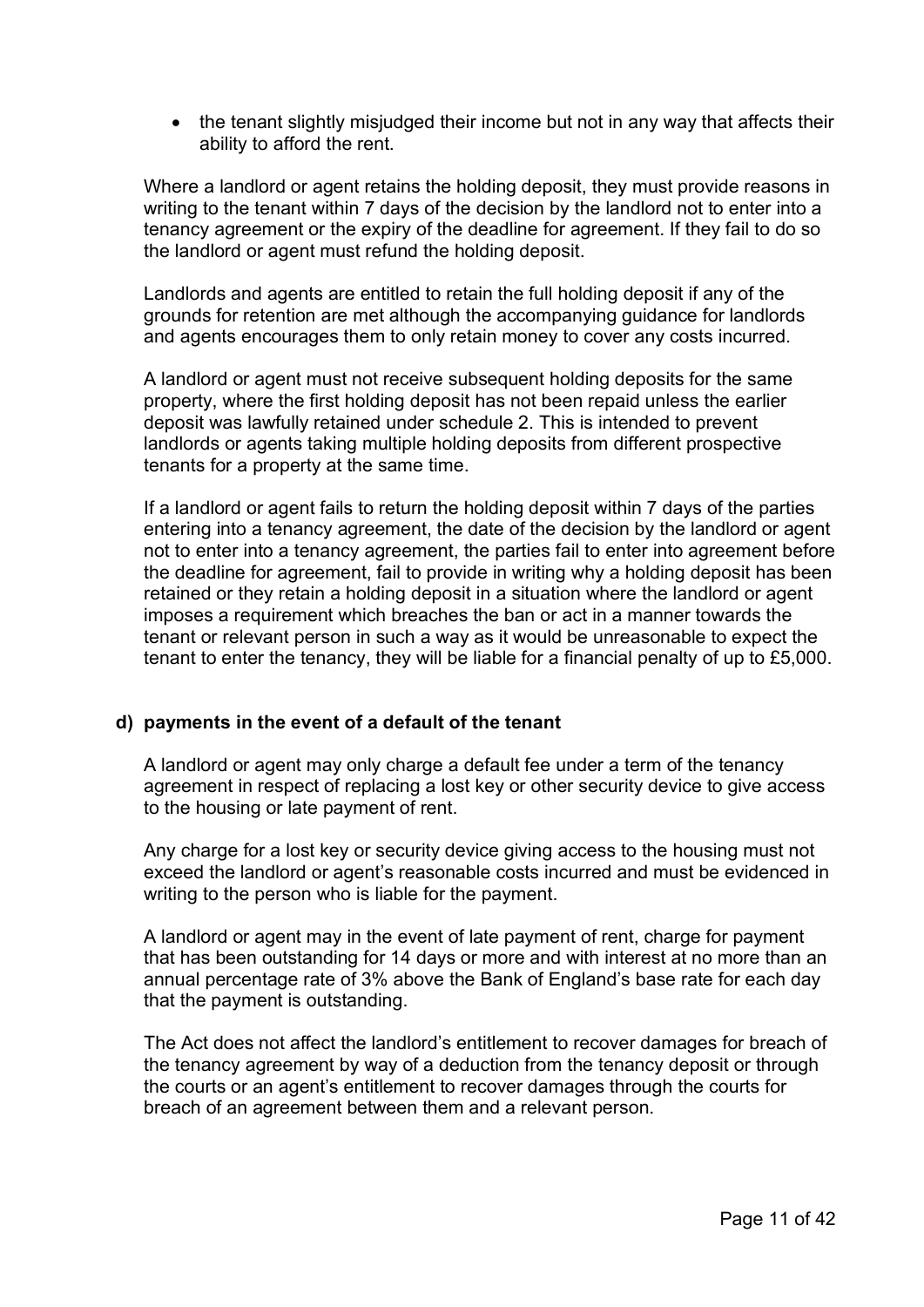• the tenant slightly misjudged their income but not in any way that affects their ability to afford the rent.

Where a landlord or agent retains the holding deposit, they must provide reasons in writing to the tenant within 7 days of the decision by the landlord not to enter into a tenancy agreement or the expiry of the deadline for agreement. If they fail to do so the landlord or agent must refund the holding deposit.

Landlords and agents are entitled to retain the full holding deposit if any of the grounds for retention are met although the accompanying guidance for landlords and agents encourages them to only retain money to cover any costs incurred.

A landlord or agent must not receive subsequent holding deposits for the same property, where the first holding deposit has not been repaid unless the earlier deposit was lawfully retained under schedule 2. This is intended to prevent landlords or agents taking multiple holding deposits from different prospective tenants for a property at the same time.

If a landlord or agent fails to return the holding deposit within 7 days of the parties entering into a tenancy agreement, the date of the decision by the landlord or agent not to enter into a tenancy agreement, the parties fail to enter into agreement before the deadline for agreement, fail to provide in writing why a holding deposit has been retained or they retain a holding deposit in a situation where the landlord or agent imposes a requirement which breaches the ban or act in a manner towards the tenant or relevant person in such a way as it would be unreasonable to expect the tenant to enter the tenancy, they will be liable for a financial penalty of up to £5,000.

## **d) payments in the event of a default of the tenant**

A landlord or agent may only charge a default fee under a term of the tenancy agreement in respect of replacing a lost key or other security device to give access to the housing or late payment of rent.

Any charge for a lost key or security device giving access to the housing must not exceed the landlord or agent's reasonable costs incurred and must be evidenced in writing to the person who is liable for the payment.

A landlord or agent may in the event of late payment of rent, charge for payment that has been outstanding for 14 days or more and with interest at no more than an annual percentage rate of 3% above the Bank of England's base rate for each day that the payment is outstanding.

The Act does not affect the landlord's entitlement to recover damages for breach of the tenancy agreement by way of a deduction from the tenancy deposit or through the courts or an agent's entitlement to recover damages through the courts for breach of an agreement between them and a relevant person.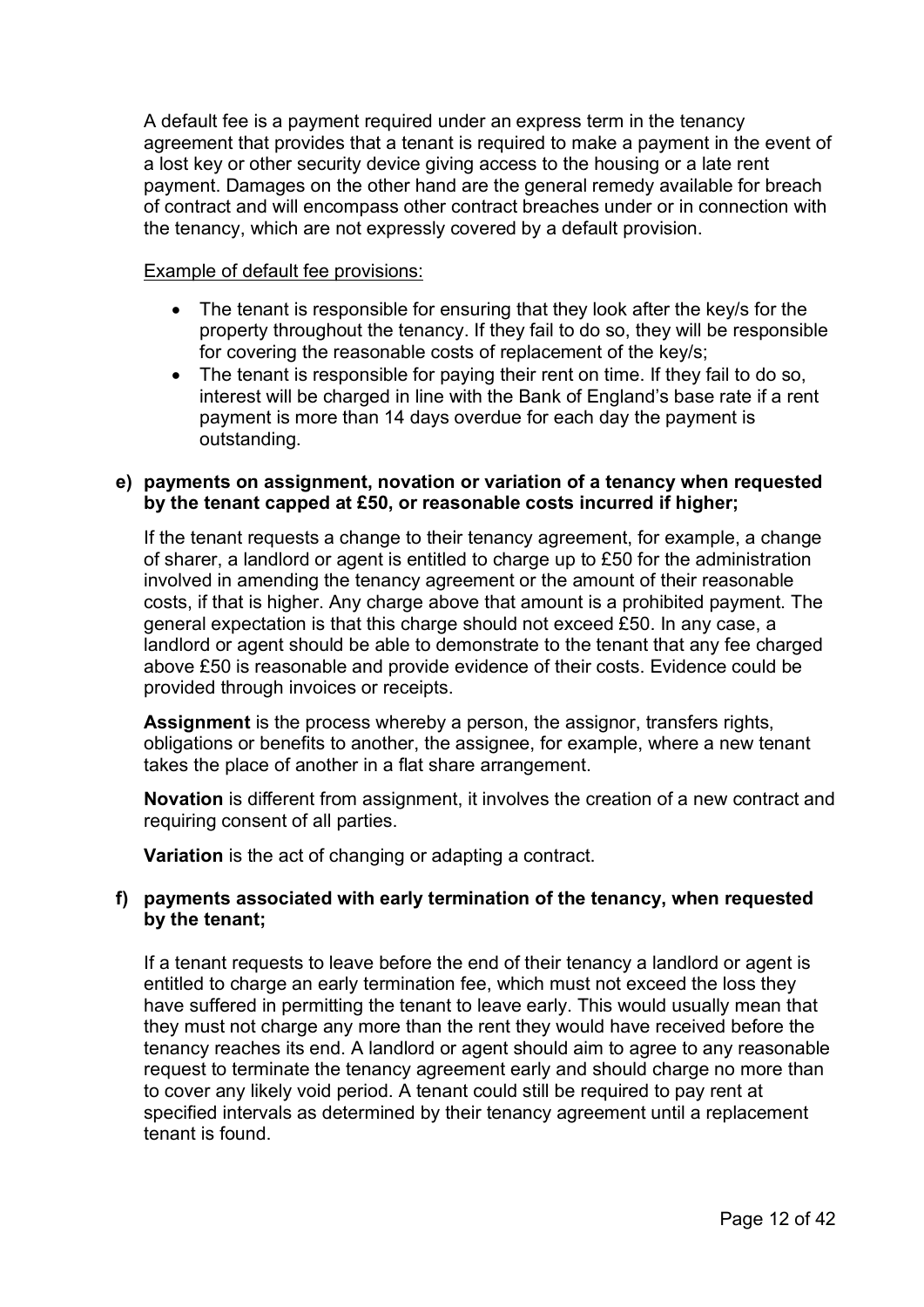A default fee is a payment required under an express term in the tenancy agreement that provides that a tenant is required to make a payment in the event of a lost key or other security device giving access to the housing or a late rent payment. Damages on the other hand are the general remedy available for breach of contract and will encompass other contract breaches under or in connection with the tenancy, which are not expressly covered by a default provision.

## Example of default fee provisions:

- The tenant is responsible for ensuring that they look after the key/s for the property throughout the tenancy. If they fail to do so, they will be responsible for covering the reasonable costs of replacement of the key/s;
- The tenant is responsible for paying their rent on time. If they fail to do so, interest will be charged in line with the Bank of England's base rate if a rent payment is more than 14 days overdue for each day the payment is outstanding.

#### **e) payments on assignment, novation or variation of a tenancy when requested by the tenant capped at £50, or reasonable costs incurred if higher;**

If the tenant requests a change to their tenancy agreement, for example, a change of sharer, a landlord or agent is entitled to charge up to £50 for the administration involved in amending the tenancy agreement or the amount of their reasonable costs, if that is higher. Any charge above that amount is a prohibited payment. The general expectation is that this charge should not exceed £50. In any case, a landlord or agent should be able to demonstrate to the tenant that any fee charged above £50 is reasonable and provide evidence of their costs. Evidence could be provided through invoices or receipts.

**Assignment** is the process whereby a person, the assignor, transfers rights, obligations or benefits to another, the assignee, for example, where a new tenant takes the place of another in a flat share arrangement.

**Novation** is different from assignment, it involves the creation of a new contract and requiring consent of all parties.

**Variation** is the act of changing or adapting a contract.

# **f) payments associated with early termination of the tenancy, when requested by the tenant;**

If a tenant requests to leave before the end of their tenancy a landlord or agent is entitled to charge an early termination fee, which must not exceed the loss they have suffered in permitting the tenant to leave early. This would usually mean that they must not charge any more than the rent they would have received before the tenancy reaches its end. A landlord or agent should aim to agree to any reasonable request to terminate the tenancy agreement early and should charge no more than to cover any likely void period. A tenant could still be required to pay rent at specified intervals as determined by their tenancy agreement until a replacement tenant is found.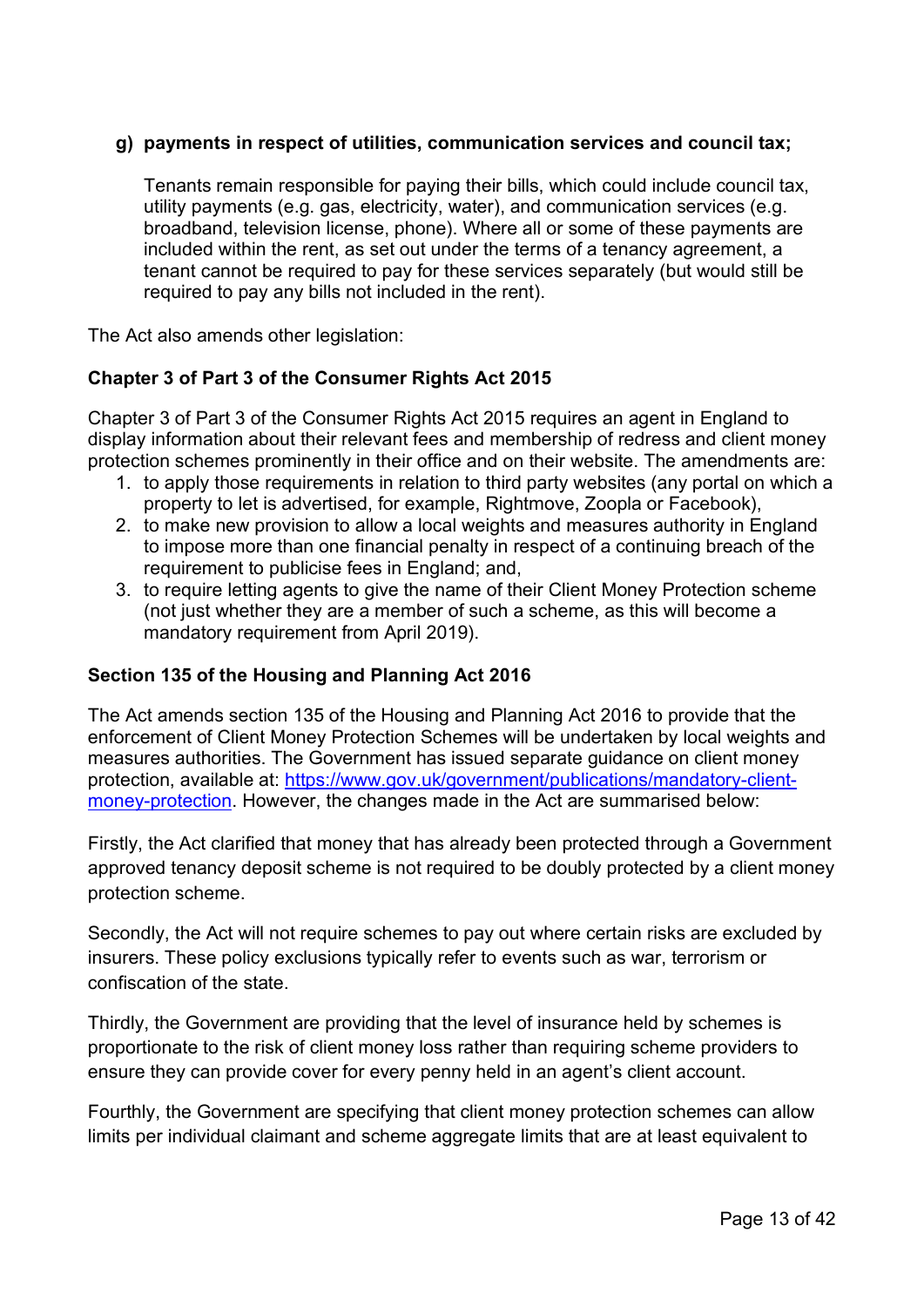# **g) payments in respect of utilities, communication services and council tax;**

Tenants remain responsible for paying their bills, which could include council tax, utility payments (e.g. gas, electricity, water), and communication services (e.g. broadband, television license, phone). Where all or some of these payments are included within the rent, as set out under the terms of a tenancy agreement, a tenant cannot be required to pay for these services separately (but would still be required to pay any bills not included in the rent).

The Act also amends other legislation:

# **Chapter 3 of Part 3 of the Consumer Rights Act 2015**

Chapter 3 of Part 3 of the Consumer Rights Act 2015 requires an agent in England to display information about their relevant fees and membership of redress and client money protection schemes prominently in their office and on their website. The amendments are:

- 1. to apply those requirements in relation to third party websites (any portal on which a property to let is advertised, for example, Rightmove, Zoopla or Facebook),
- 2. to make new provision to allow a local weights and measures authority in England to impose more than one financial penalty in respect of a continuing breach of the requirement to publicise fees in England; and,
- 3. to require letting agents to give the name of their Client Money Protection scheme (not just whether they are a member of such a scheme, as this will become a mandatory requirement from April 2019).

## **Section 135 of the Housing and Planning Act 2016**

The Act amends section 135 of the Housing and Planning Act 2016 to provide that the enforcement of Client Money Protection Schemes will be undertaken by local weights and measures authorities. The Government has issued [separate guidance](https://www.gov.uk/government/publications/mandatory-client-money-protection) on client money protection, available at: [https://www.gov.uk/government/publications/mandatory-client](https://www.gov.uk/government/publications/mandatory-client-money-protection)[money-protection.](https://www.gov.uk/government/publications/mandatory-client-money-protection) However, the changes made in the Act are summarised below:

Firstly, the Act clarified that money that has already been protected through a Government approved tenancy deposit scheme is not required to be doubly protected by a client money protection scheme.

Secondly, the Act will not require schemes to pay out where certain risks are excluded by insurers. These policy exclusions typically refer to events such as war, terrorism or confiscation of the state.

Thirdly, the Government are providing that the level of insurance held by schemes is proportionate to the risk of client money loss rather than requiring scheme providers to ensure they can provide cover for every penny held in an agent's client account.

Fourthly, the Government are specifying that client money protection schemes can allow limits per individual claimant and scheme aggregate limits that are at least equivalent to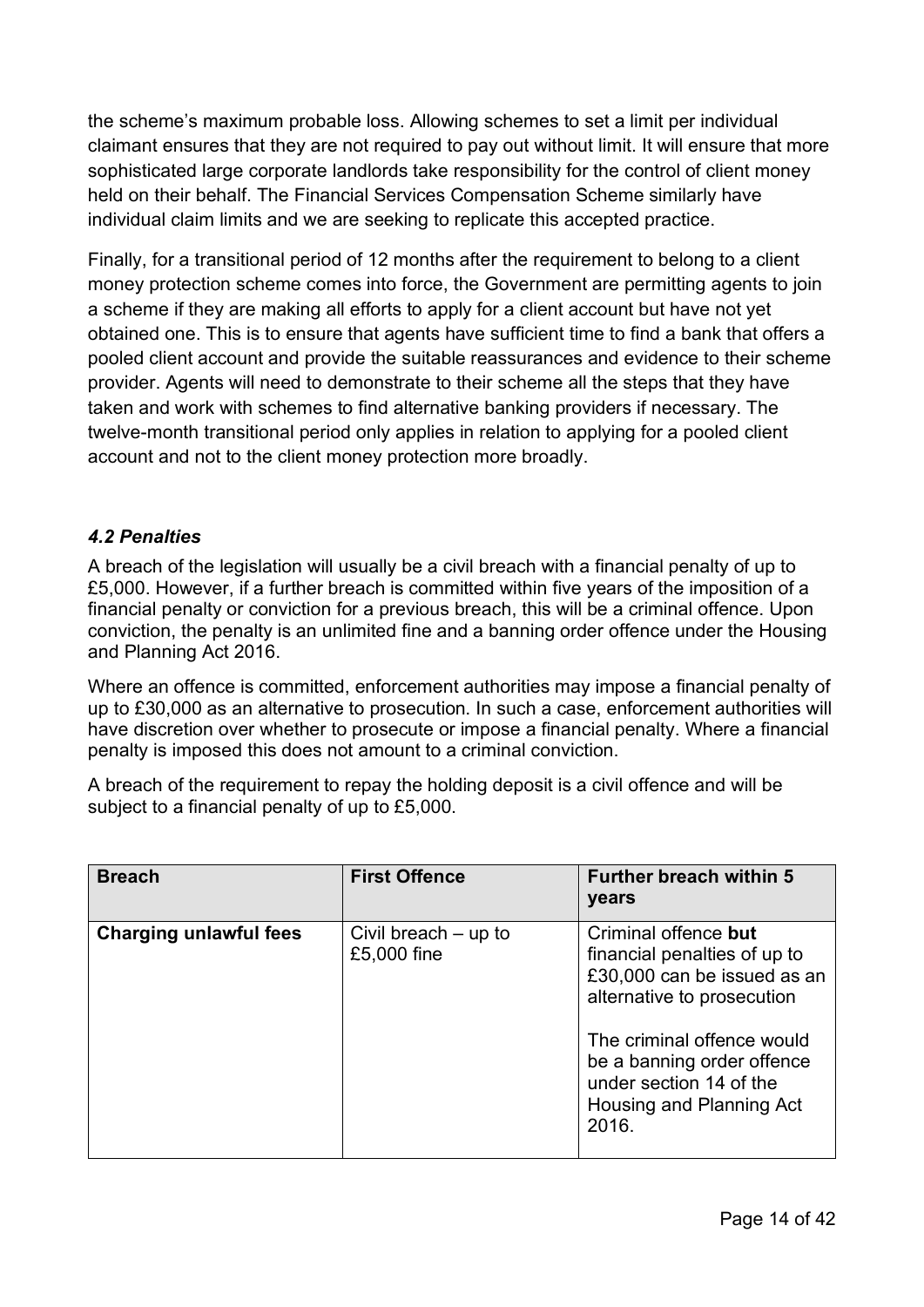the scheme's maximum probable loss. Allowing schemes to set a limit per individual claimant ensures that they are not required to pay out without limit. It will ensure that more sophisticated large corporate landlords take responsibility for the control of client money held on their behalf. The Financial Services Compensation Scheme similarly have individual claim limits and we are seeking to replicate this accepted practice.

Finally, for a transitional period of 12 months after the requirement to belong to a client money protection scheme comes into force, the Government are permitting agents to join a scheme if they are making all efforts to apply for a client account but have not yet obtained one. This is to ensure that agents have sufficient time to find a bank that offers a pooled client account and provide the suitable reassurances and evidence to their scheme provider. Agents will need to demonstrate to their scheme all the steps that they have taken and work with schemes to find alternative banking providers if necessary. The twelve-month transitional period only applies in relation to applying for a pooled client account and not to the client money protection more broadly.

# <span id="page-13-0"></span>*4.2 Penalties*

A breach of the legislation will usually be a civil breach with a financial penalty of up to £5,000. However, if a further breach is committed within five years of the imposition of a financial penalty or conviction for a previous breach, this will be a criminal offence. Upon conviction, the penalty is an unlimited fine and a banning order offence under the Housing and Planning Act 2016.

Where an offence is committed, enforcement authorities may impose a financial penalty of up to £30,000 as an alternative to prosecution. In such a case, enforcement authorities will have discretion over whether to prosecute or impose a financial penalty. Where a financial penalty is imposed this does not amount to a criminal conviction.

A breach of the requirement to repay the holding deposit is a civil offence and will be subject to a financial penalty of up to £5,000.

| <b>Breach</b>                 | <b>First Offence</b>                  | <b>Further breach within 5</b><br>years                                                                                                                                                                                                       |
|-------------------------------|---------------------------------------|-----------------------------------------------------------------------------------------------------------------------------------------------------------------------------------------------------------------------------------------------|
| <b>Charging unlawful fees</b> | Civil breach $-$ up to<br>£5,000 fine | Criminal offence but<br>financial penalties of up to<br>£30,000 can be issued as an<br>alternative to prosecution<br>The criminal offence would<br>be a banning order offence<br>under section 14 of the<br>Housing and Planning Act<br>2016. |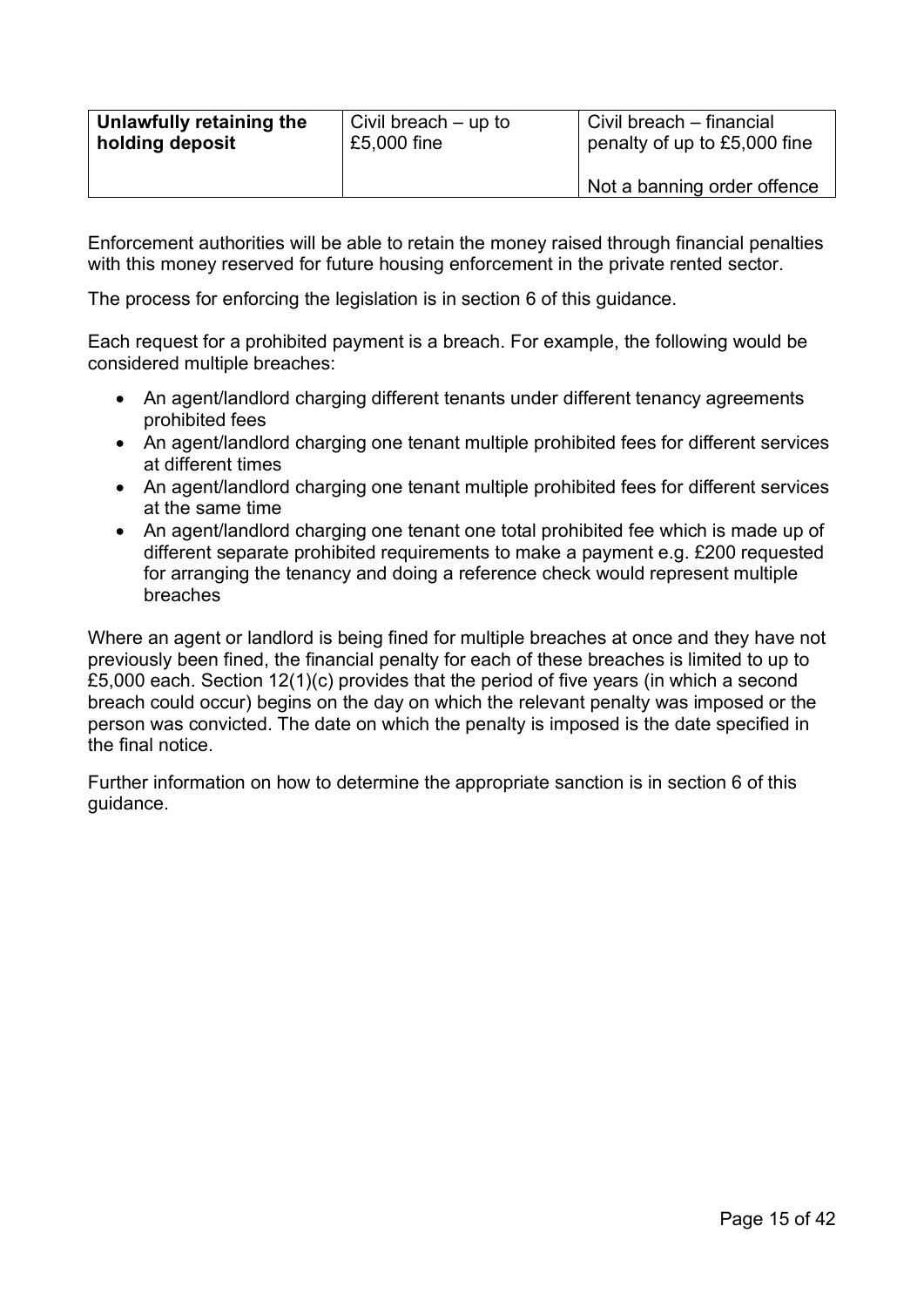| Unlawfully retaining the | Civil breach – up to | Civil breach – financial     |
|--------------------------|----------------------|------------------------------|
| holding deposit          | £5,000 fine          | penalty of up to £5,000 fine |
|                          |                      | Not a banning order offence  |

Enforcement authorities will be able to retain the money raised through financial penalties with this money reserved for future housing enforcement in the private rented sector.

The process for enforcing the legislation is in section 6 of this guidance.

Each request for a prohibited payment is a breach. For example, the following would be considered multiple breaches:

- An agent/landlord charging different tenants under different tenancy agreements prohibited fees
- An agent/landlord charging one tenant multiple prohibited fees for different services at different times
- An agent/landlord charging one tenant multiple prohibited fees for different services at the same time
- An agent/landlord charging one tenant one total prohibited fee which is made up of different separate prohibited requirements to make a payment e.g. £200 requested for arranging the tenancy and doing a reference check would represent multiple breaches

Where an agent or landlord is being fined for multiple breaches at once and they have not previously been fined, the financial penalty for each of these breaches is limited to up to £5,000 each. Section 12(1)(c) provides that the period of five years (in which a second breach could occur) begins on the day on which the relevant penalty was imposed or the person was convicted. The date on which the penalty is imposed is the date specified in the final notice.

Further information on how to determine the appropriate sanction is in section 6 of this guidance.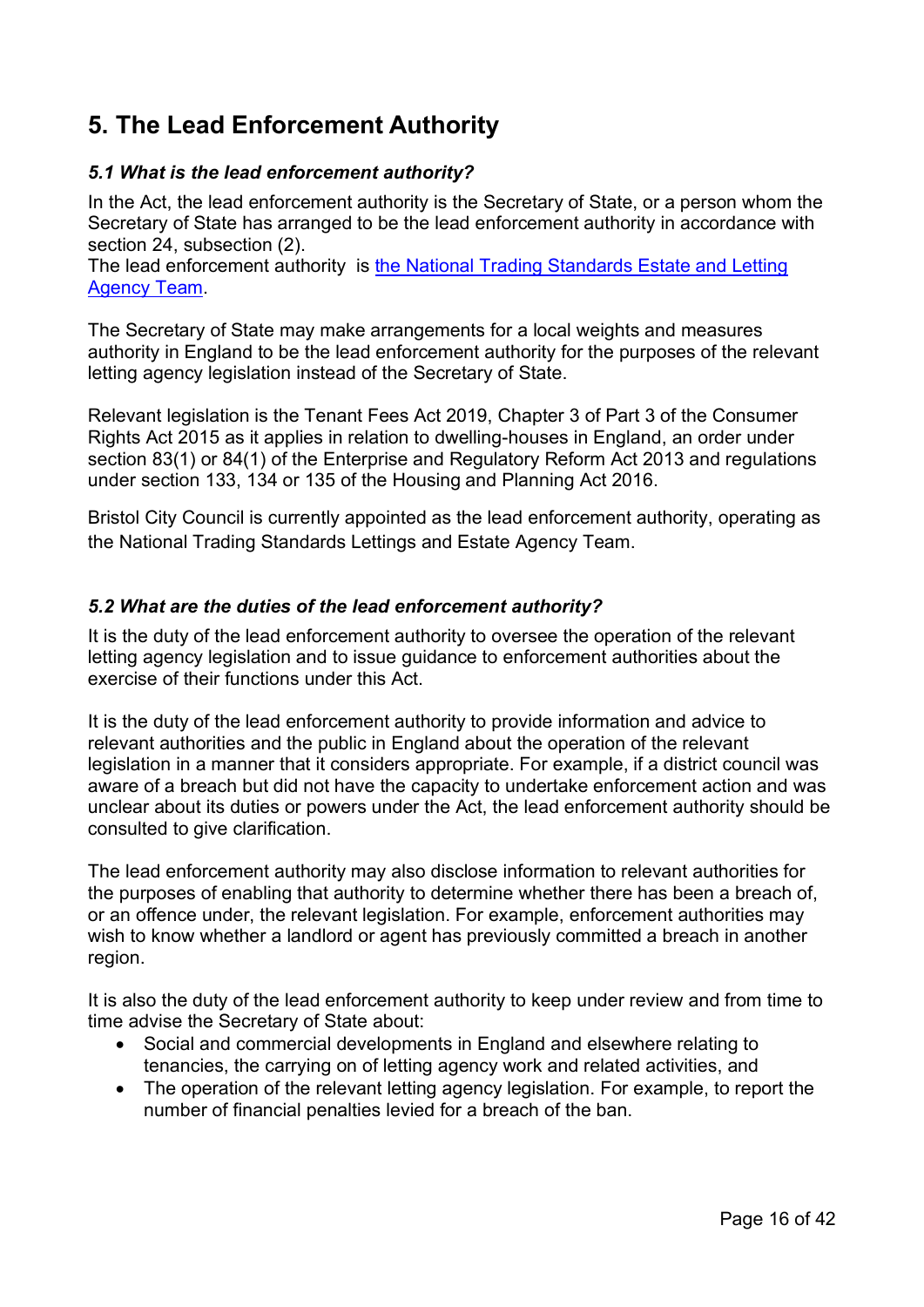# <span id="page-15-0"></span>**5. The Lead Enforcement Authority**

# <span id="page-15-1"></span>*5.1 What is the lead enforcement authority?*

In the Act, the lead enforcement authority is the Secretary of State, or a person whom the Secretary of State has arranged to be the lead enforcement authority in accordance with section 24, subsection (2).

The lead enforcement authority is [the National Trading Standards Estate and Letting](https://www.bristol.gov.uk/web/ntselat)  [Agency Team.](https://www.bristol.gov.uk/web/ntselat)

The Secretary of State may make arrangements for a local weights and measures authority in England to be the lead enforcement authority for the purposes of the relevant letting agency legislation instead of the Secretary of State.

Relevant legislation is the Tenant Fees Act 2019, Chapter 3 of Part 3 of the Consumer Rights Act 2015 as it applies in relation to dwelling-houses in England, an order under section 83(1) or 84(1) of the Enterprise and Regulatory Reform Act 2013 and regulations under section 133, 134 or 135 of the Housing and Planning Act 2016.

Bristol City Council is currently appointed as the lead enforcement authority, operating as the National Trading Standards Lettings and Estate Agency Team.

# <span id="page-15-2"></span>*5.2 What are the duties of the lead enforcement authority?*

It is the duty of the lead enforcement authority to oversee the operation of the relevant letting agency legislation and to issue guidance to enforcement authorities about the exercise of their functions under this Act.

It is the duty of the lead enforcement authority to provide information and advice to relevant authorities and the public in England about the operation of the relevant legislation in a manner that it considers appropriate. For example, if a district council was aware of a breach but did not have the capacity to undertake enforcement action and was unclear about its duties or powers under the Act, the lead enforcement authority should be consulted to give clarification.

The lead enforcement authority may also disclose information to relevant authorities for the purposes of enabling that authority to determine whether there has been a breach of, or an offence under, the relevant legislation. For example, enforcement authorities may wish to know whether a landlord or agent has previously committed a breach in another region.

It is also the duty of the lead enforcement authority to keep under review and from time to time advise the Secretary of State about:

- Social and commercial developments in England and elsewhere relating to tenancies, the carrying on of letting agency work and related activities, and
- The operation of the relevant letting agency legislation. For example, to report the number of financial penalties levied for a breach of the ban.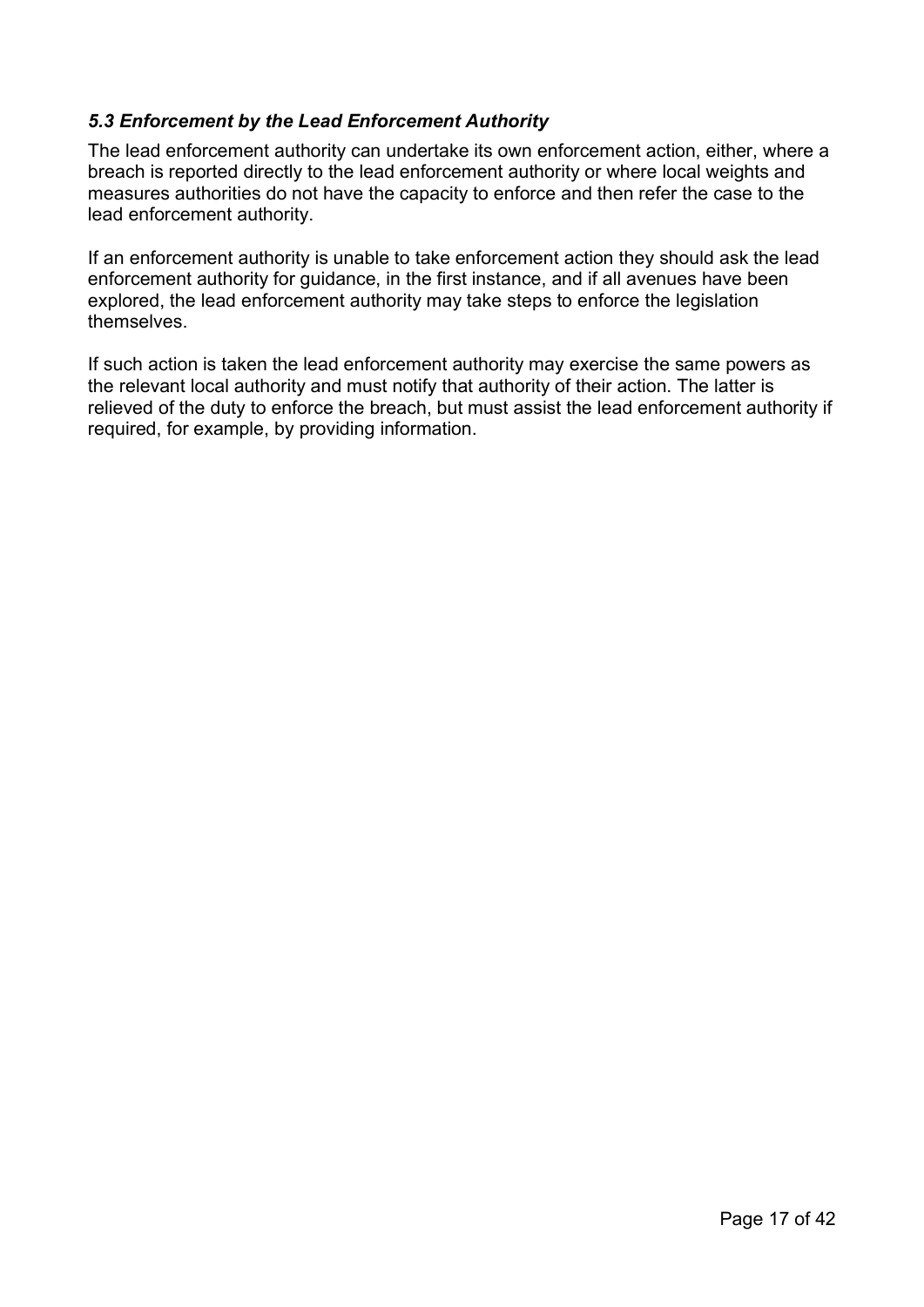# <span id="page-16-0"></span>*5.3 Enforcement by the Lead Enforcement Authority*

The lead enforcement authority can undertake its own enforcement action, either, where a breach is reported directly to the lead enforcement authority or where local weights and measures authorities do not have the capacity to enforce and then refer the case to the lead enforcement authority.

If an enforcement authority is unable to take enforcement action they should ask the lead enforcement authority for guidance, in the first instance, and if all avenues have been explored, the lead enforcement authority may take steps to enforce the legislation themselves.

If such action is taken the lead enforcement authority may exercise the same powers as the relevant local authority and must notify that authority of their action. The latter is relieved of the duty to enforce the breach, but must assist the lead enforcement authority if required, for example, by providing information.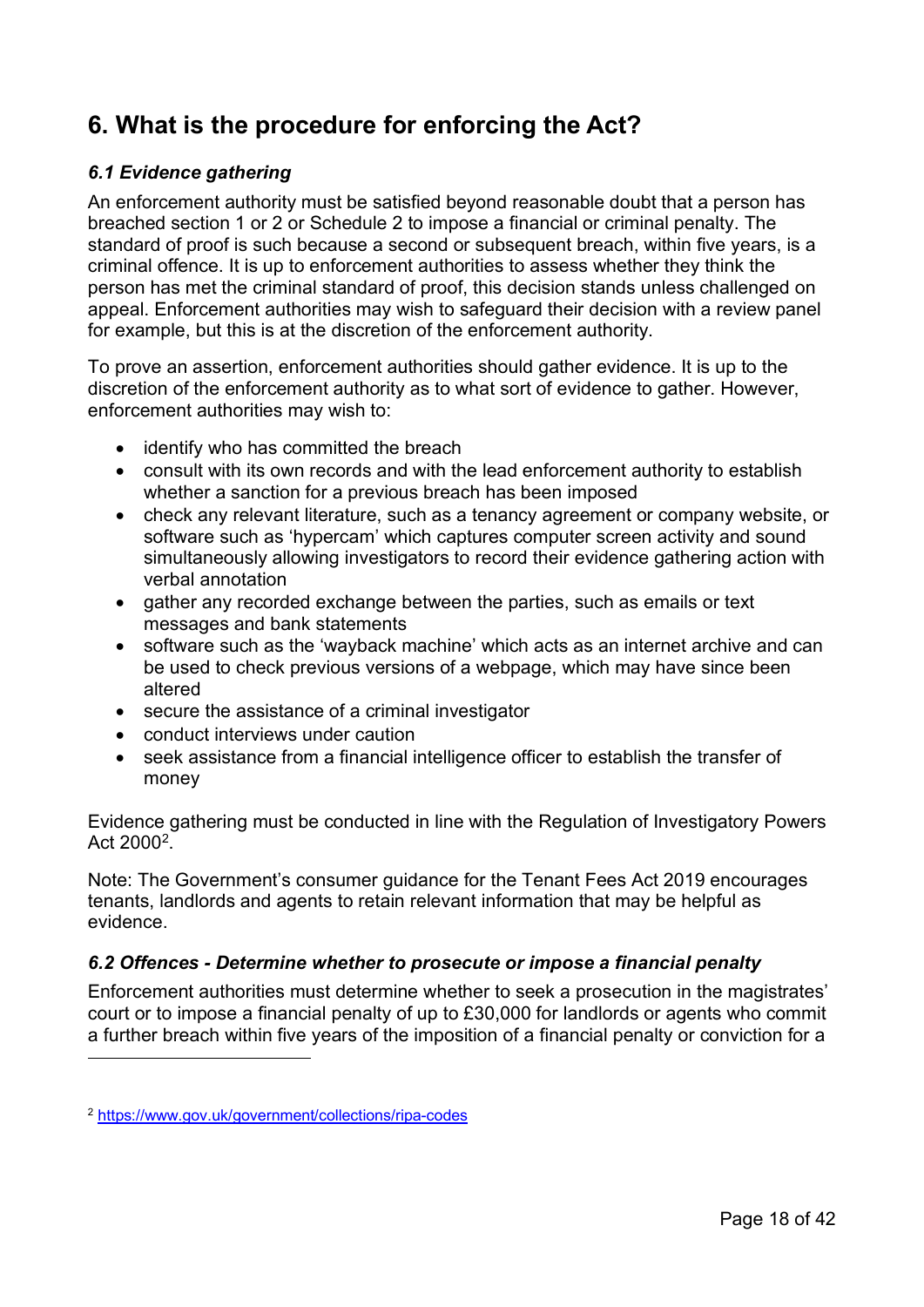# <span id="page-17-0"></span>**6. What is the procedure for enforcing the Act?**

# <span id="page-17-1"></span>*6.1 Evidence gathering*

An enforcement authority must be satisfied beyond reasonable doubt that a person has breached section 1 or 2 or Schedule 2 to impose a financial or criminal penalty. The standard of proof is such because a second or subsequent breach, within five years, is a criminal offence. It is up to enforcement authorities to assess whether they think the person has met the criminal standard of proof, this decision stands unless challenged on appeal. Enforcement authorities may wish to safeguard their decision with a review panel for example, but this is at the discretion of the enforcement authority.

To prove an assertion, enforcement authorities should gather evidence. It is up to the discretion of the enforcement authority as to what sort of evidence to gather. However, enforcement authorities may wish to:

- identify who has committed the breach
- consult with its own records and with the lead enforcement authority to establish whether a sanction for a previous breach has been imposed
- check any relevant literature, such as a tenancy agreement or company website, or software such as 'hypercam' which captures computer screen activity and sound simultaneously allowing investigators to record their evidence gathering action with verbal annotation
- gather any recorded exchange between the parties, such as emails or text messages and bank statements
- software such as the 'wayback machine' which acts as an internet archive and can be used to check previous versions of a webpage, which may have since been altered
- secure the assistance of a criminal investigator
- conduct interviews under caution
- seek assistance from a financial intelligence officer to establish the transfer of money

Evidence gathering must be conducted in line with the Regulation of Investigatory Powers Act 2000<sup>2</sup>.

Note: The Government's consumer guidance for the Tenant Fees Act 2019 encourages tenants, landlords and agents to retain relevant information that may be helpful as evidence.

# <span id="page-17-2"></span>*6.2 Offences - Determine whether to prosecute or impose a financial penalty*

Enforcement authorities must determine whether to seek a prosecution in the magistrates' court or to impose a financial penalty of up to £30,000 for landlords or agents who commit a further breach within five years of the imposition of a financial penalty or conviction for a

<span id="page-17-3"></span><sup>2</sup> <https://www.gov.uk/government/collections/ripa-codes>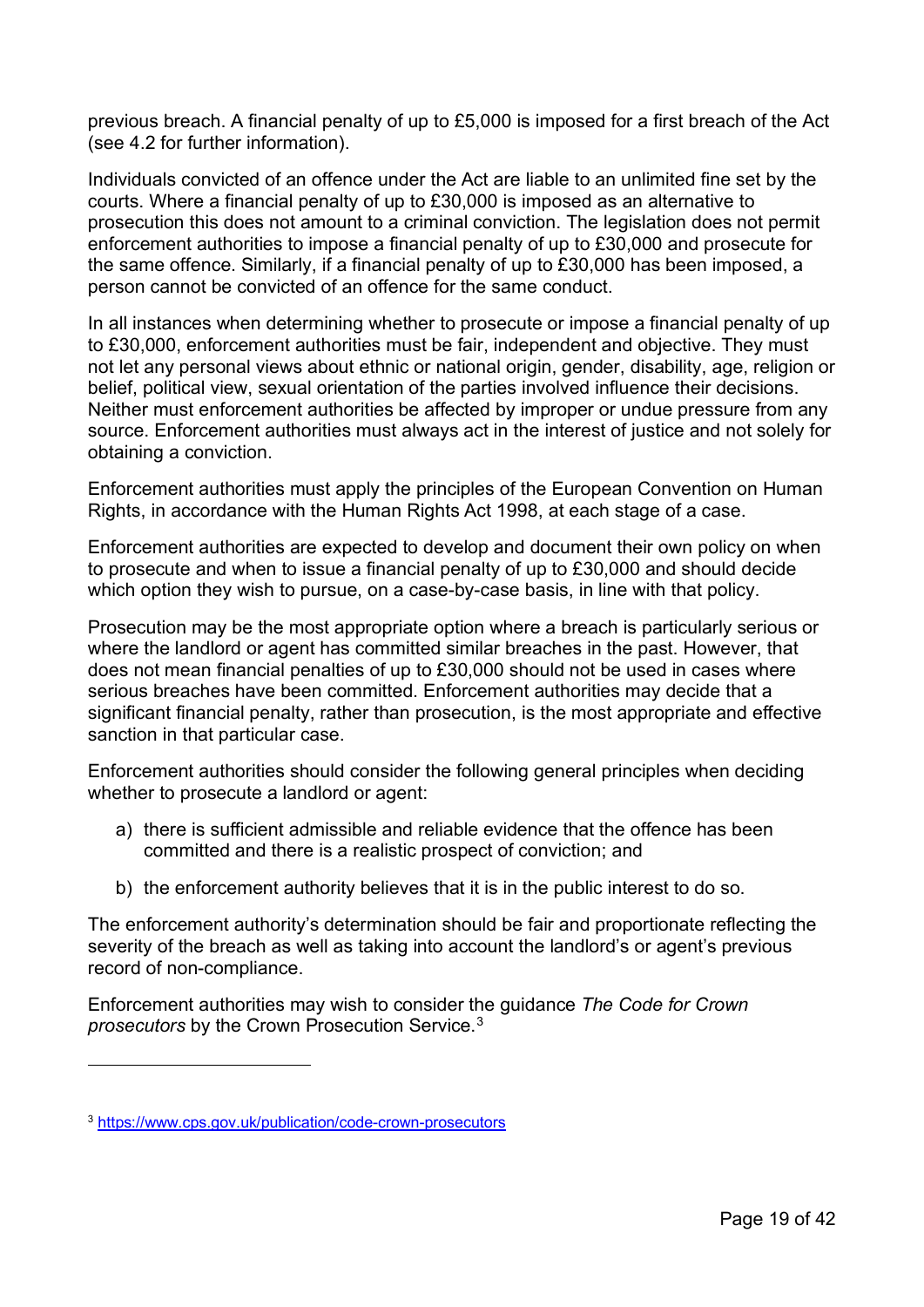previous breach. A financial penalty of up to £5,000 is imposed for a first breach of the Act (see 4.2 for further information).

Individuals convicted of an offence under the Act are liable to an unlimited fine set by the courts. Where a financial penalty of up to £30,000 is imposed as an alternative to prosecution this does not amount to a criminal conviction. The legislation does not permit enforcement authorities to impose a financial penalty of up to £30,000 and prosecute for the same offence. Similarly, if a financial penalty of up to £30,000 has been imposed, a person cannot be convicted of an offence for the same conduct.

In all instances when determining whether to prosecute or impose a financial penalty of up to £30,000, enforcement authorities must be fair, independent and objective. They must not let any personal views about ethnic or national origin, gender, disability, age, religion or belief, political view, sexual orientation of the parties involved influence their decisions. Neither must enforcement authorities be affected by improper or undue pressure from any source. Enforcement authorities must always act in the interest of justice and not solely for obtaining a conviction.

Enforcement authorities must apply the principles of the European Convention on Human Rights, in accordance with the Human Rights Act 1998, at each stage of a case.

Enforcement authorities are expected to develop and document their own policy on when to prosecute and when to issue a financial penalty of up to £30,000 and should decide which option they wish to pursue, on a case-by-case basis, in line with that policy.

Prosecution may be the most appropriate option where a breach is particularly serious or where the landlord or agent has committed similar breaches in the past. However, that does not mean financial penalties of up to £30,000 should not be used in cases where serious breaches have been committed. Enforcement authorities may decide that a significant financial penalty, rather than prosecution, is the most appropriate and effective sanction in that particular case.

Enforcement authorities should consider the following general principles when deciding whether to prosecute a landlord or agent:

- a) there is sufficient admissible and reliable evidence that the offence has been committed and there is a realistic prospect of conviction; and
- b) the enforcement authority believes that it is in the public interest to do so.

The enforcement authority's determination should be fair and proportionate reflecting the severity of the breach as well as taking into account the landlord's or agent's previous record of non-compliance.

Enforcement authorities may wish to consider the guidance *The Code for Crown prosecutors* by the Crown Prosecution Service.[3](#page-18-0)

<span id="page-18-0"></span><sup>3</sup> <https://www.cps.gov.uk/publication/code-crown-prosecutors>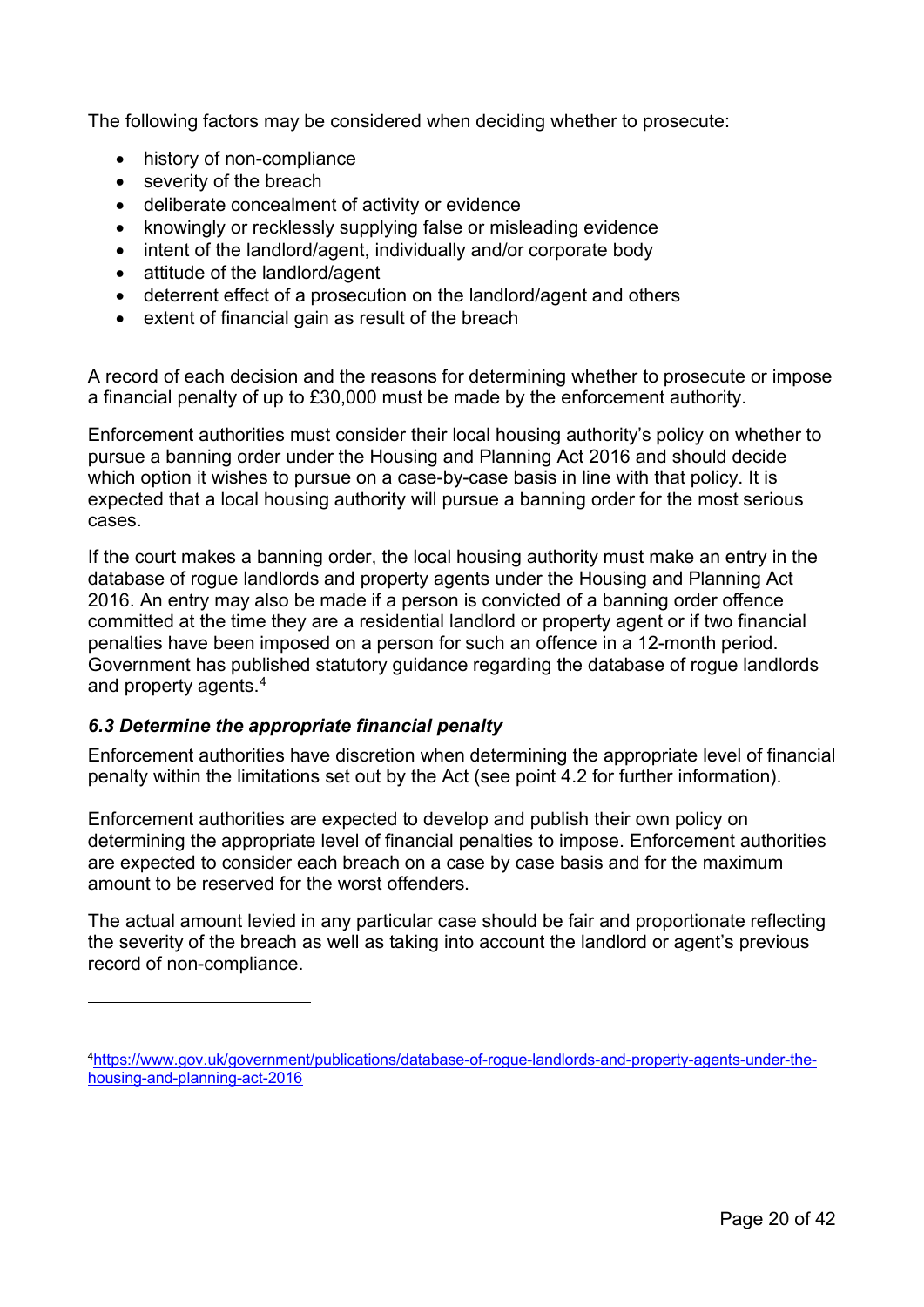The following factors may be considered when deciding whether to prosecute:

- history of non-compliance
- severity of the breach
- deliberate concealment of activity or evidence
- knowingly or recklessly supplying false or misleading evidence
- intent of the landlord/agent, individually and/or corporate body
- attitude of the landlord/agent
- deterrent effect of a prosecution on the landlord/agent and others
- extent of financial gain as result of the breach

A record of each decision and the reasons for determining whether to prosecute or impose a financial penalty of up to £30,000 must be made by the enforcement authority.

Enforcement authorities must consider their local housing authority's policy on whether to pursue a banning order under the Housing and Planning Act 2016 and should decide which option it wishes to pursue on a case-by-case basis in line with that policy. It is expected that a local housing authority will pursue a banning order for the most serious cases.

If the court makes a banning order, the local housing authority must make an entry in the database of rogue landlords and property agents under the Housing and Planning Act 2016. An entry may also be made if a person is convicted of a banning order offence committed at the time they are a residential landlord or property agent or if two financial penalties have been imposed on a person for such an offence in a 12-month period. Government has published statutory guidance regarding the database of rogue landlords and property agents[.4](#page-19-1)

## <span id="page-19-0"></span>*6.3 Determine the appropriate financial penalty*

Enforcement authorities have discretion when determining the appropriate level of financial penalty within the limitations set out by the Act (see point 4.2 for further information).

Enforcement authorities are expected to develop and publish their own policy on determining the appropriate level of financial penalties to impose. Enforcement authorities are expected to consider each breach on a case by case basis and for the maximum amount to be reserved for the worst offenders.

The actual amount levied in any particular case should be fair and proportionate reflecting the severity of the breach as well as taking into account the landlord or agent's previous record of non-compliance.

<span id="page-19-1"></span>[<sup>4</sup>https://www.gov.uk/government/publications/database-of-rogue-landlords-and-property-agents-under-the](https://www.gov.uk/government/publications/database-of-rogue-landlords-and-property-agents-under-the-housing-and-planning-act-2016)[housing-and-planning-act-2016](https://www.gov.uk/government/publications/database-of-rogue-landlords-and-property-agents-under-the-housing-and-planning-act-2016)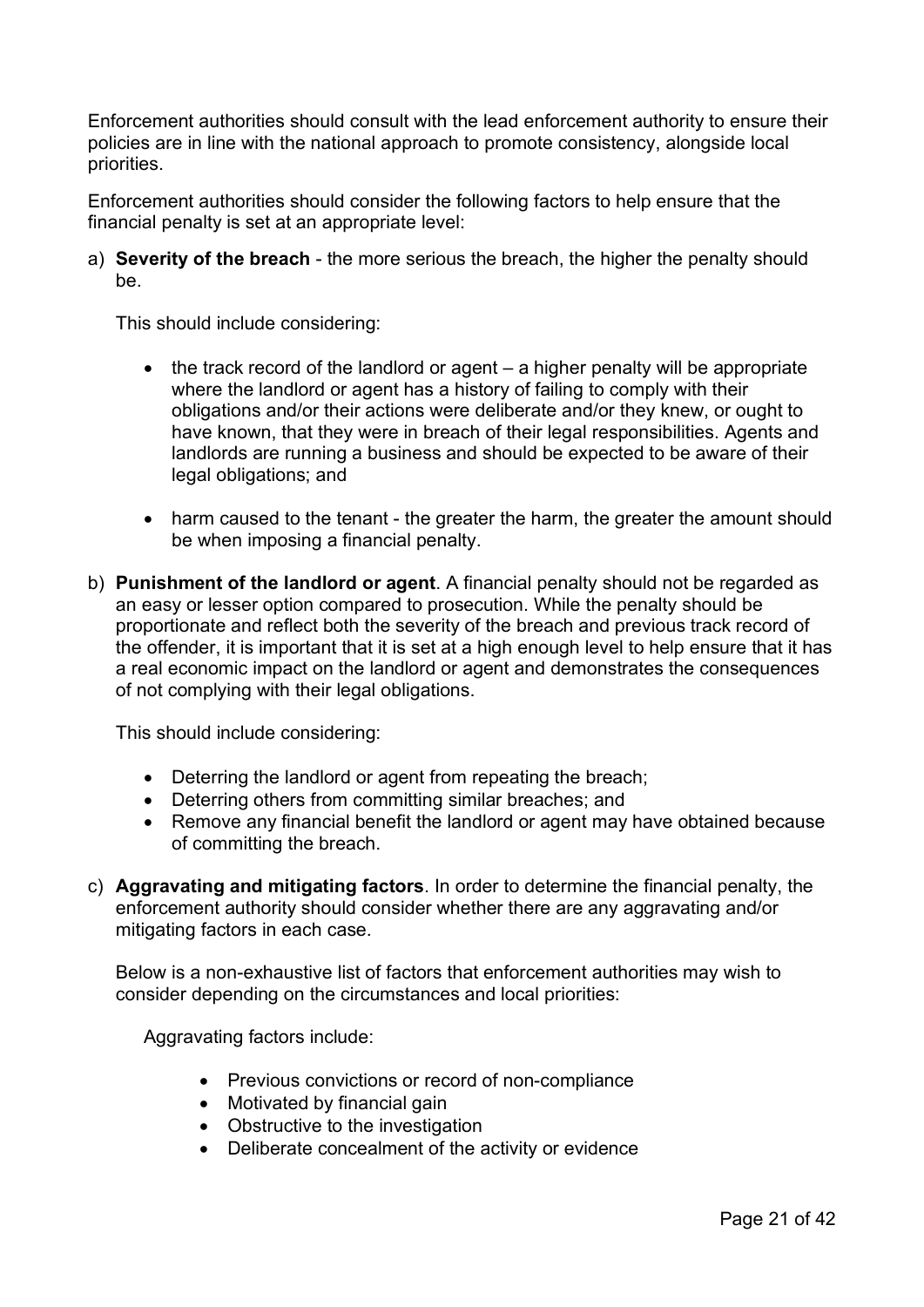Enforcement authorities should consult with the lead enforcement authority to ensure their policies are in line with the national approach to promote consistency, alongside local priorities.

Enforcement authorities should consider the following factors to help ensure that the financial penalty is set at an appropriate level:

a) **Severity of the breach** - the more serious the breach, the higher the penalty should be.

This should include considering:

- the track record of the landlord or agent a higher penalty will be appropriate where the landlord or agent has a history of failing to comply with their obligations and/or their actions were deliberate and/or they knew, or ought to have known, that they were in breach of their legal responsibilities. Agents and landlords are running a business and should be expected to be aware of their legal obligations; and
- harm caused to the tenant the greater the harm, the greater the amount should be when imposing a financial penalty.
- b) **Punishment of the landlord or agent**. A financial penalty should not be regarded as an easy or lesser option compared to prosecution. While the penalty should be proportionate and reflect both the severity of the breach and previous track record of the offender, it is important that it is set at a high enough level to help ensure that it has a real economic impact on the landlord or agent and demonstrates the consequences of not complying with their legal obligations.

This should include considering:

- Deterring the landlord or agent from repeating the breach;
- Deterring others from committing similar breaches; and
- Remove any financial benefit the landlord or agent may have obtained because of committing the breach.
- c) **Aggravating and mitigating factors**. In order to determine the financial penalty, the enforcement authority should consider whether there are any aggravating and/or mitigating factors in each case.

Below is a non-exhaustive list of factors that enforcement authorities may wish to consider depending on the circumstances and local priorities:

Aggravating factors include:

- Previous convictions or record of non-compliance
- Motivated by financial gain
- Obstructive to the investigation
- Deliberate concealment of the activity or evidence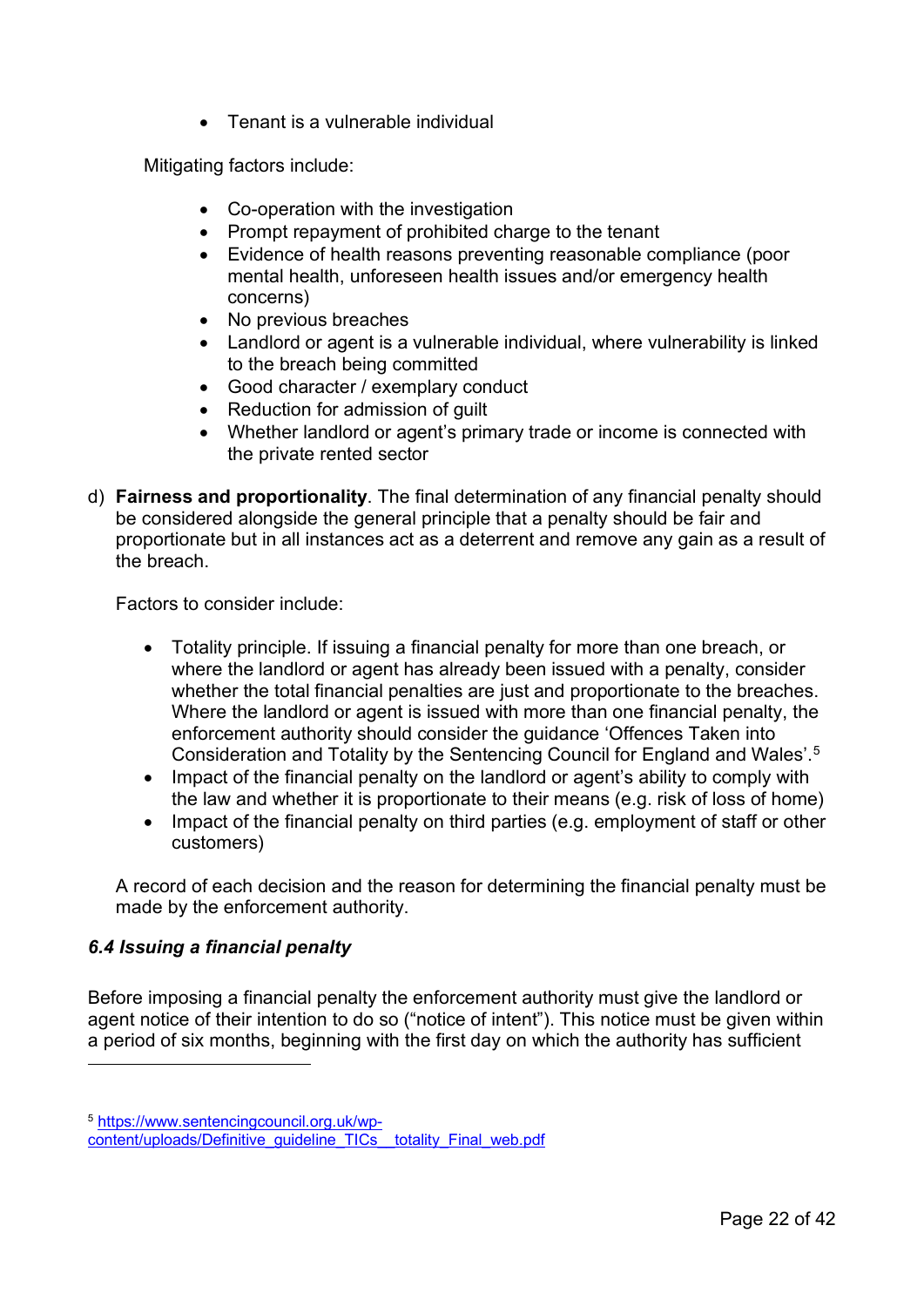• Tenant is a vulnerable individual

Mitigating factors include:

- Co-operation with the investigation
- Prompt repayment of prohibited charge to the tenant
- Evidence of health reasons preventing reasonable compliance (poor mental health, unforeseen health issues and/or emergency health concerns)
- No previous breaches
- Landlord or agent is a vulnerable individual, where vulnerability is linked to the breach being committed
- Good character / exemplary conduct
- Reduction for admission of guilt
- Whether landlord or agent's primary trade or income is connected with the private rented sector
- d) **Fairness and proportionality**. The final determination of any financial penalty should be considered alongside the general principle that a penalty should be fair and proportionate but in all instances act as a deterrent and remove any gain as a result of the breach.

Factors to consider include:

- Totality principle. If issuing a financial penalty for more than one breach, or where the landlord or agent has already been issued with a penalty, consider whether the total financial penalties are just and proportionate to the breaches. Where the landlord or agent is issued with more than one financial penalty, the enforcement authority should consider the guidance 'Offences Taken into Consideration and Totality by the Sentencing Council for England and Wales'. [5](#page-21-1)
- Impact of the financial penalty on the landlord or agent's ability to comply with the law and whether it is proportionate to their means (e.g. risk of loss of home)
- Impact of the financial penalty on third parties (e.g. employment of staff or other customers)

A record of each decision and the reason for determining the financial penalty must be made by the enforcement authority.

## <span id="page-21-0"></span>*6.4 Issuing a financial penalty*

Before imposing a financial penalty the enforcement authority must give the landlord or agent notice of their intention to do so ("notice of intent"). This notice must be given within a period of six months, beginning with the first day on which the authority has sufficient

<span id="page-21-1"></span><sup>5</sup> [https://www.sentencingcouncil.org.uk/wp-](https://www.sentencingcouncil.org.uk/wp-content/uploads/Definitive_guideline_TICs__totality_Final_web.pdf)

[content/uploads/Definitive\\_guideline\\_TICs\\_\\_totality\\_Final\\_web.pdf](https://www.sentencingcouncil.org.uk/wp-content/uploads/Definitive_guideline_TICs__totality_Final_web.pdf)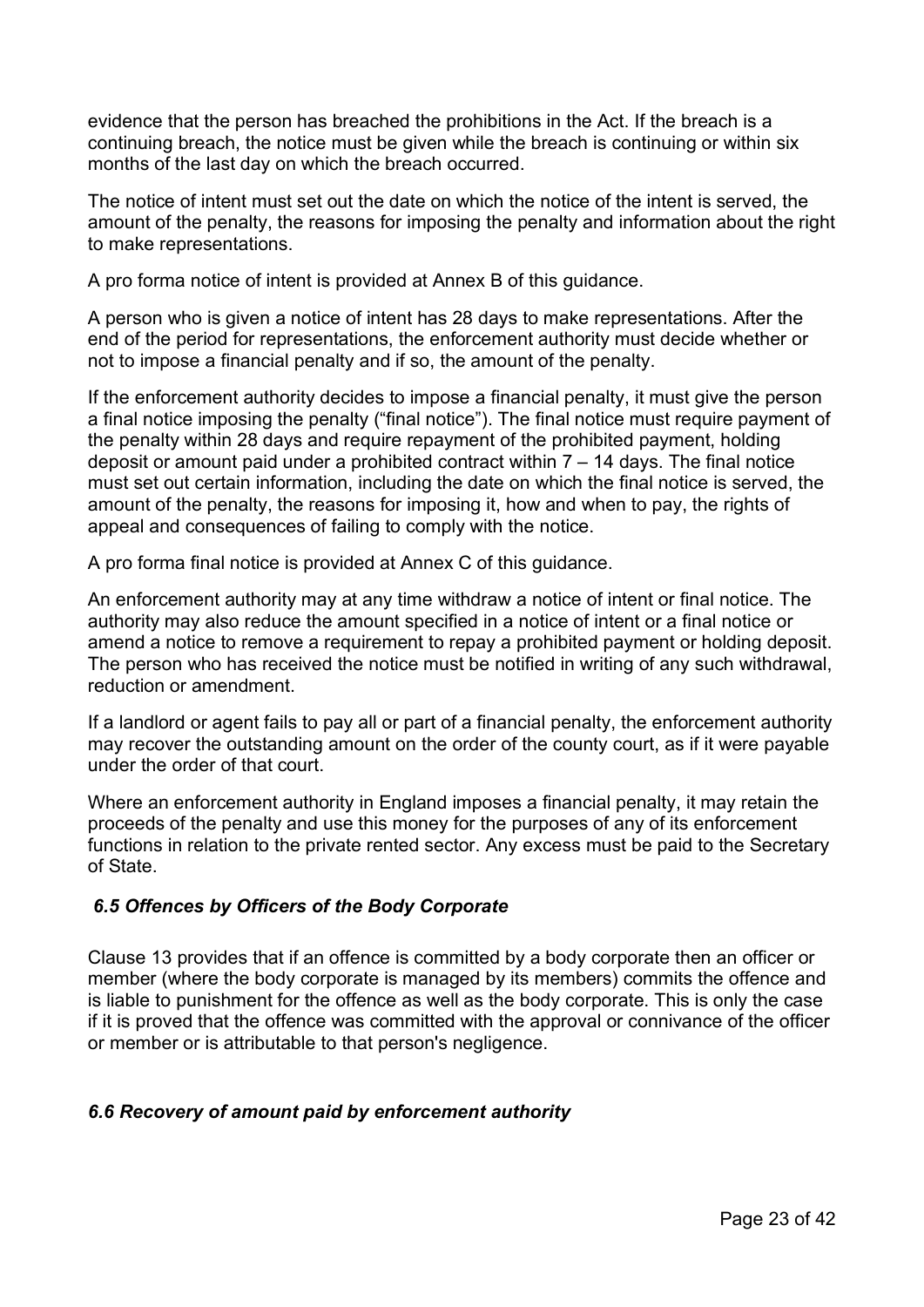evidence that the person has breached the prohibitions in the Act. If the breach is a continuing breach, the notice must be given while the breach is continuing or within six months of the last day on which the breach occurred.

The notice of intent must set out the date on which the notice of the intent is served, the amount of the penalty, the reasons for imposing the penalty and information about the right to make representations.

A pro forma notice of intent is provided at Annex B of this guidance.

A person who is given a notice of intent has 28 days to make representations. After the end of the period for representations, the enforcement authority must decide whether or not to impose a financial penalty and if so, the amount of the penalty.

If the enforcement authority decides to impose a financial penalty, it must give the person a final notice imposing the penalty ("final notice"). The final notice must require payment of the penalty within 28 days and require repayment of the prohibited payment, holding deposit or amount paid under a prohibited contract within  $7 - 14$  days. The final notice must set out certain information, including the date on which the final notice is served, the amount of the penalty, the reasons for imposing it, how and when to pay, the rights of appeal and consequences of failing to comply with the notice.

A pro forma final notice is provided at Annex C of this guidance.

An enforcement authority may at any time withdraw a notice of intent or final notice. The authority may also reduce the amount specified in a notice of intent or a final notice or amend a notice to remove a requirement to repay a prohibited payment or holding deposit. The person who has received the notice must be notified in writing of any such withdrawal, reduction or amendment.

If a landlord or agent fails to pay all or part of a financial penalty, the enforcement authority may recover the outstanding amount on the order of the county court, as if it were payable under the order of that court.

Where an enforcement authority in England imposes a financial penalty, it may retain the proceeds of the penalty and use this money for the purposes of any of its enforcement functions in relation to the private rented sector. Any excess must be paid to the Secretary of State.

## <span id="page-22-0"></span>*6.5 Offences by Officers of the Body Corporate*

Clause 13 provides that if an offence is committed by a body corporate then an officer or member (where the body corporate is managed by its members) commits the offence and is liable to punishment for the offence as well as the body corporate. This is only the case if it is proved that the offence was committed with the approval or connivance of the officer or member or is attributable to that person's negligence.

## <span id="page-22-1"></span>*6.6 Recovery of amount paid by enforcement authority*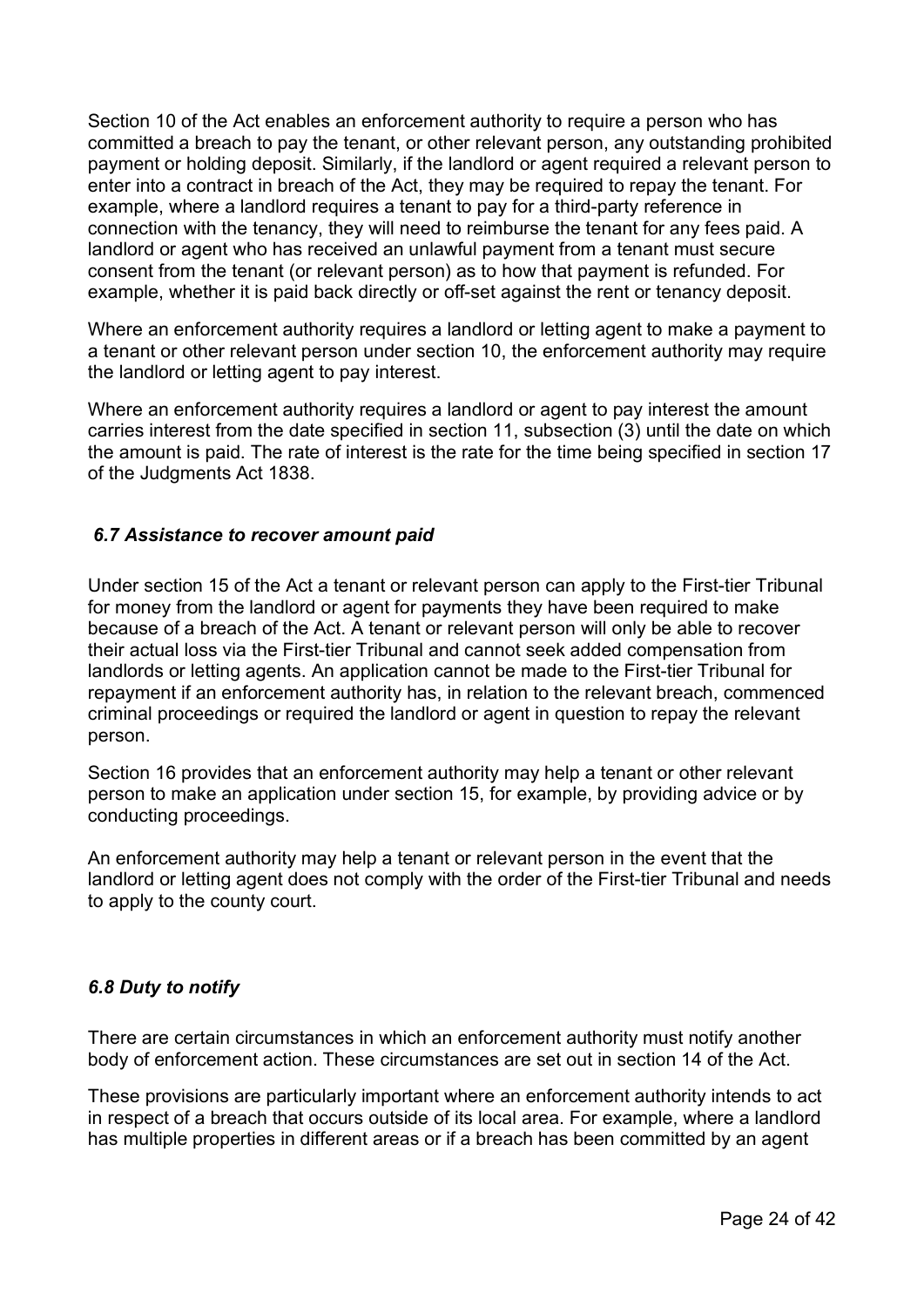Section 10 of the Act enables an enforcement authority to require a person who has committed a breach to pay the tenant, or other relevant person, any outstanding prohibited payment or holding deposit. Similarly, if the landlord or agent required a relevant person to enter into a contract in breach of the Act, they may be required to repay the tenant. For example, where a landlord requires a tenant to pay for a third-party reference in connection with the tenancy, they will need to reimburse the tenant for any fees paid. A landlord or agent who has received an unlawful payment from a tenant must secure consent from the tenant (or relevant person) as to how that payment is refunded. For example, whether it is paid back directly or off-set against the rent or tenancy deposit.

Where an enforcement authority requires a landlord or letting agent to make a payment to a tenant or other relevant person under section 10, the enforcement authority may require the landlord or letting agent to pay interest.

Where an enforcement authority requires a landlord or agent to pay interest the amount carries interest from the date specified in section 11, subsection (3) until the date on which the amount is paid. The rate of interest is the rate for the time being specified in section 17 of the Judgments Act 1838.

# <span id="page-23-0"></span>*6.7 Assistance to recover amount paid*

Under section 15 of the Act a tenant or relevant person can apply to the First-tier Tribunal for money from the landlord or agent for payments they have been required to make because of a breach of the Act. A tenant or relevant person will only be able to recover their actual loss via the First-tier Tribunal and cannot seek added compensation from landlords or letting agents. An application cannot be made to the First-tier Tribunal for repayment if an enforcement authority has, in relation to the relevant breach, commenced criminal proceedings or required the landlord or agent in question to repay the relevant person.

Section 16 provides that an enforcement authority may help a tenant or other relevant person to make an application under section 15, for example, by providing advice or by conducting proceedings.

An enforcement authority may help a tenant or relevant person in the event that the landlord or letting agent does not comply with the order of the First-tier Tribunal and needs to apply to the county court.

## <span id="page-23-1"></span>*6.8 Duty to notify*

There are certain circumstances in which an enforcement authority must notify another body of enforcement action. These circumstances are set out in section 14 of the Act.

These provisions are particularly important where an enforcement authority intends to act in respect of a breach that occurs outside of its local area. For example, where a landlord has multiple properties in different areas or if a breach has been committed by an agent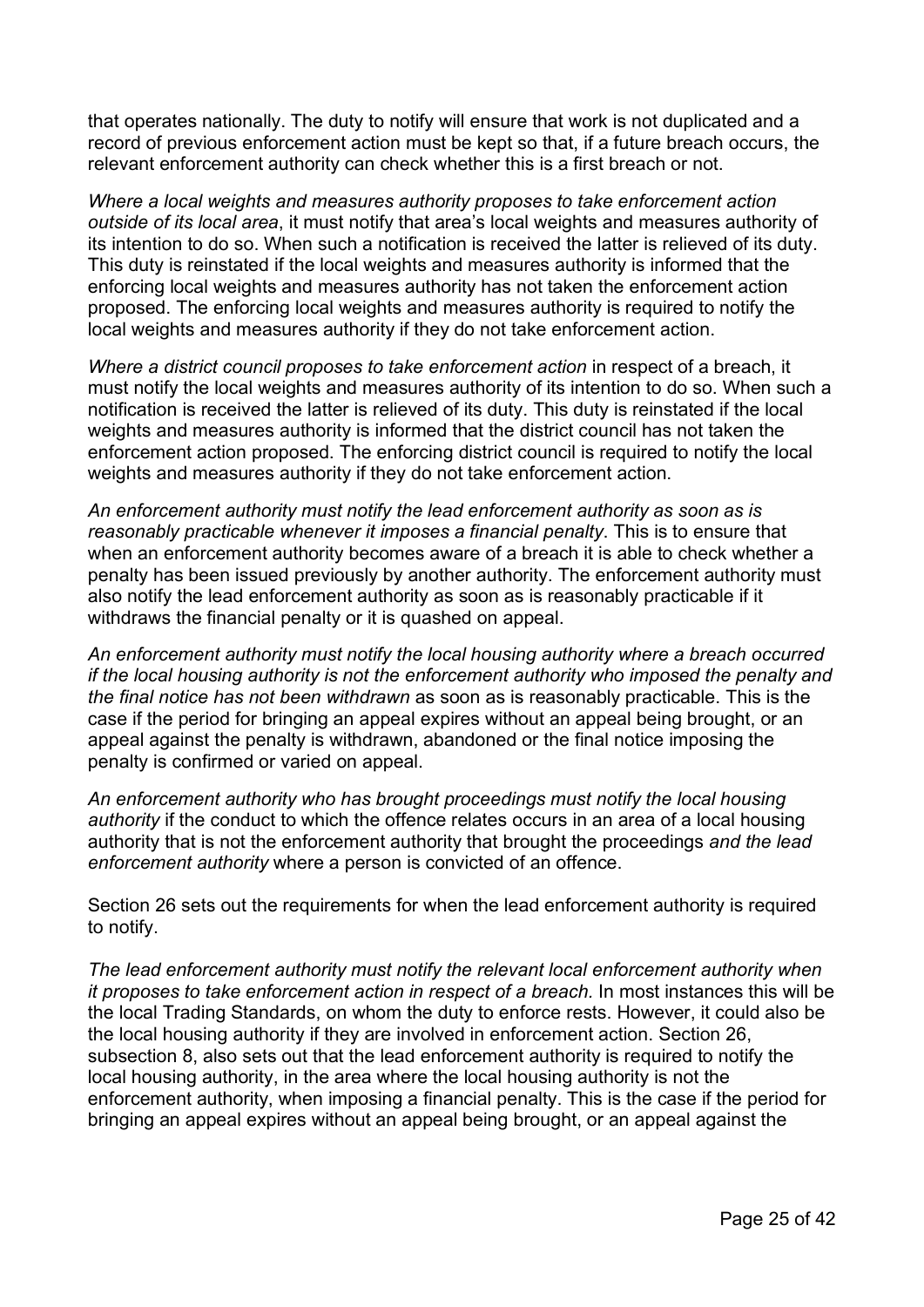that operates nationally. The duty to notify will ensure that work is not duplicated and a record of previous enforcement action must be kept so that, if a future breach occurs, the relevant enforcement authority can check whether this is a first breach or not.

*Where a local weights and measures authority proposes to take enforcement action outside of its local area*, it must notify that area's local weights and measures authority of its intention to do so. When such a notification is received the latter is relieved of its duty. This duty is reinstated if the local weights and measures authority is informed that the enforcing local weights and measures authority has not taken the enforcement action proposed. The enforcing local weights and measures authority is required to notify the local weights and measures authority if they do not take enforcement action.

*Where a district council proposes to take enforcement action* in respect of a breach, it must notify the local weights and measures authority of its intention to do so. When such a notification is received the latter is relieved of its duty. This duty is reinstated if the local weights and measures authority is informed that the district council has not taken the enforcement action proposed. The enforcing district council is required to notify the local weights and measures authority if they do not take enforcement action.

*An enforcement authority must notify the lead enforcement authority as soon as is reasonably practicable whenever it imposes a financial penalty*. This is to ensure that when an enforcement authority becomes aware of a breach it is able to check whether a penalty has been issued previously by another authority. The enforcement authority must also notify the lead enforcement authority as soon as is reasonably practicable if it withdraws the financial penalty or it is quashed on appeal.

*An enforcement authority must notify the local housing authority where a breach occurred if the local housing authority is not the enforcement authority who imposed the penalty and the final notice has not been withdrawn* as soon as is reasonably practicable. This is the case if the period for bringing an appeal expires without an appeal being brought, or an appeal against the penalty is withdrawn, abandoned or the final notice imposing the penalty is confirmed or varied on appeal.

*An enforcement authority who has brought proceedings must notify the local housing authority* if the conduct to which the offence relates occurs in an area of a local housing authority that is not the enforcement authority that brought the proceedings *and the lead enforcement authority* where a person is convicted of an offence.

Section 26 sets out the requirements for when the lead enforcement authority is required to notify.

*The lead enforcement authority must notify the relevant local enforcement authority when it proposes to take enforcement action in respect of a breach.* In most instances this will be the local Trading Standards, on whom the duty to enforce rests. However, it could also be the local housing authority if they are involved in enforcement action. Section 26, subsection 8, also sets out that the lead enforcement authority is required to notify the local housing authority, in the area where the local housing authority is not the enforcement authority, when imposing a financial penalty. This is the case if the period for bringing an appeal expires without an appeal being brought, or an appeal against the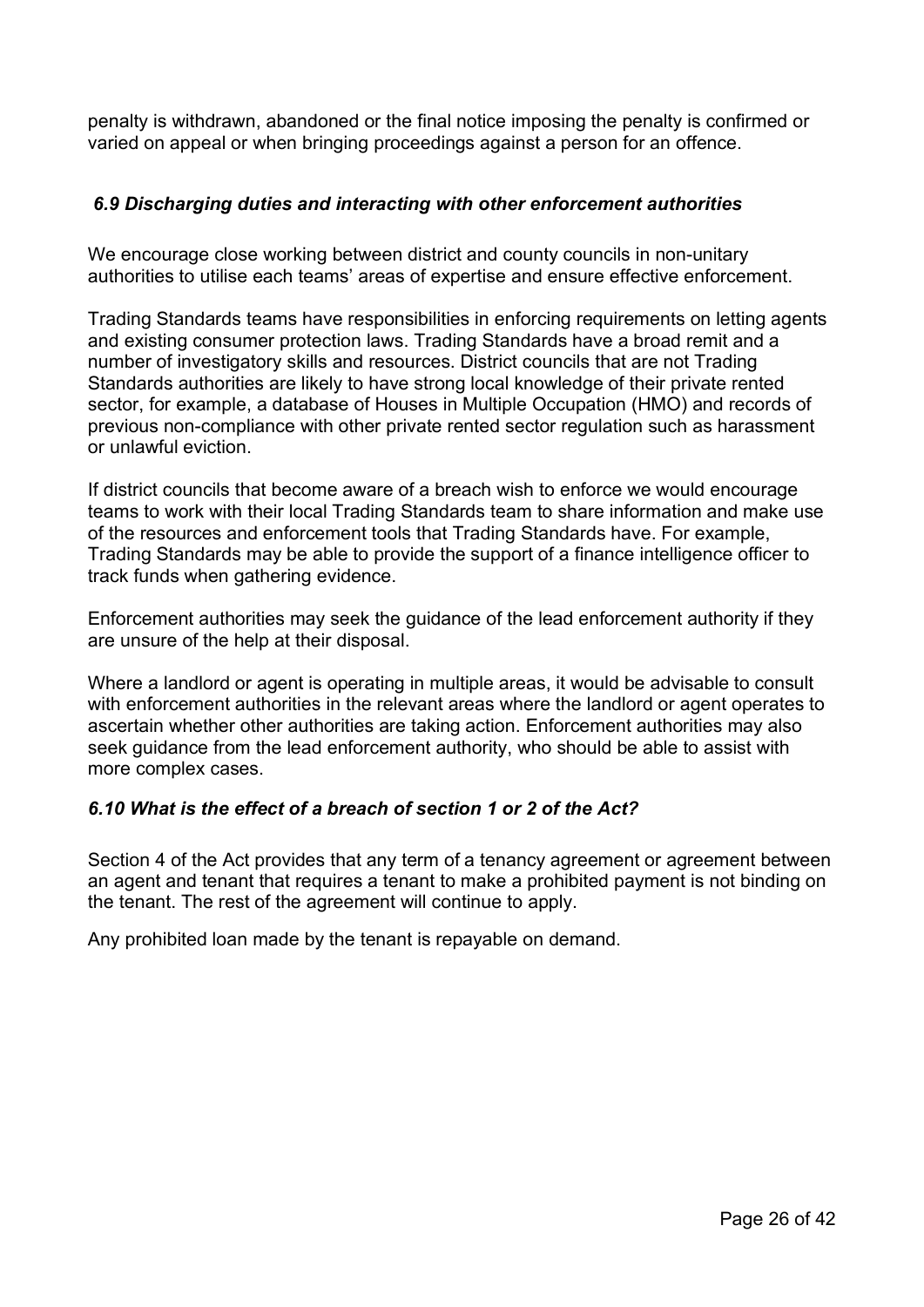penalty is withdrawn, abandoned or the final notice imposing the penalty is confirmed or varied on appeal or when bringing proceedings against a person for an offence.

# <span id="page-25-0"></span>*6.9 Discharging duties and interacting with other enforcement authorities*

We encourage close working between district and county councils in non-unitary authorities to utilise each teams' areas of expertise and ensure effective enforcement.

Trading Standards teams have responsibilities in enforcing requirements on letting agents and existing consumer protection laws. Trading Standards have a broad remit and a number of investigatory skills and resources. District councils that are not Trading Standards authorities are likely to have strong local knowledge of their private rented sector, for example, a database of Houses in Multiple Occupation (HMO) and records of previous non-compliance with other private rented sector regulation such as harassment or unlawful eviction.

If district councils that become aware of a breach wish to enforce we would encourage teams to work with their local Trading Standards team to share information and make use of the resources and enforcement tools that Trading Standards have. For example, Trading Standards may be able to provide the support of a finance intelligence officer to track funds when gathering evidence.

Enforcement authorities may seek the guidance of the lead enforcement authority if they are unsure of the help at their disposal.

Where a landlord or agent is operating in multiple areas, it would be advisable to consult with enforcement authorities in the relevant areas where the landlord or agent operates to ascertain whether other authorities are taking action. Enforcement authorities may also seek guidance from the lead enforcement authority, who should be able to assist with more complex cases.

# <span id="page-25-1"></span>*6.10 What is the effect of a breach of section 1 or 2 of the Act?*

Section 4 of the Act provides that any term of a tenancy agreement or agreement between an agent and tenant that requires a tenant to make a prohibited payment is not binding on the tenant. The rest of the agreement will continue to apply.

Any prohibited loan made by the tenant is repayable on demand.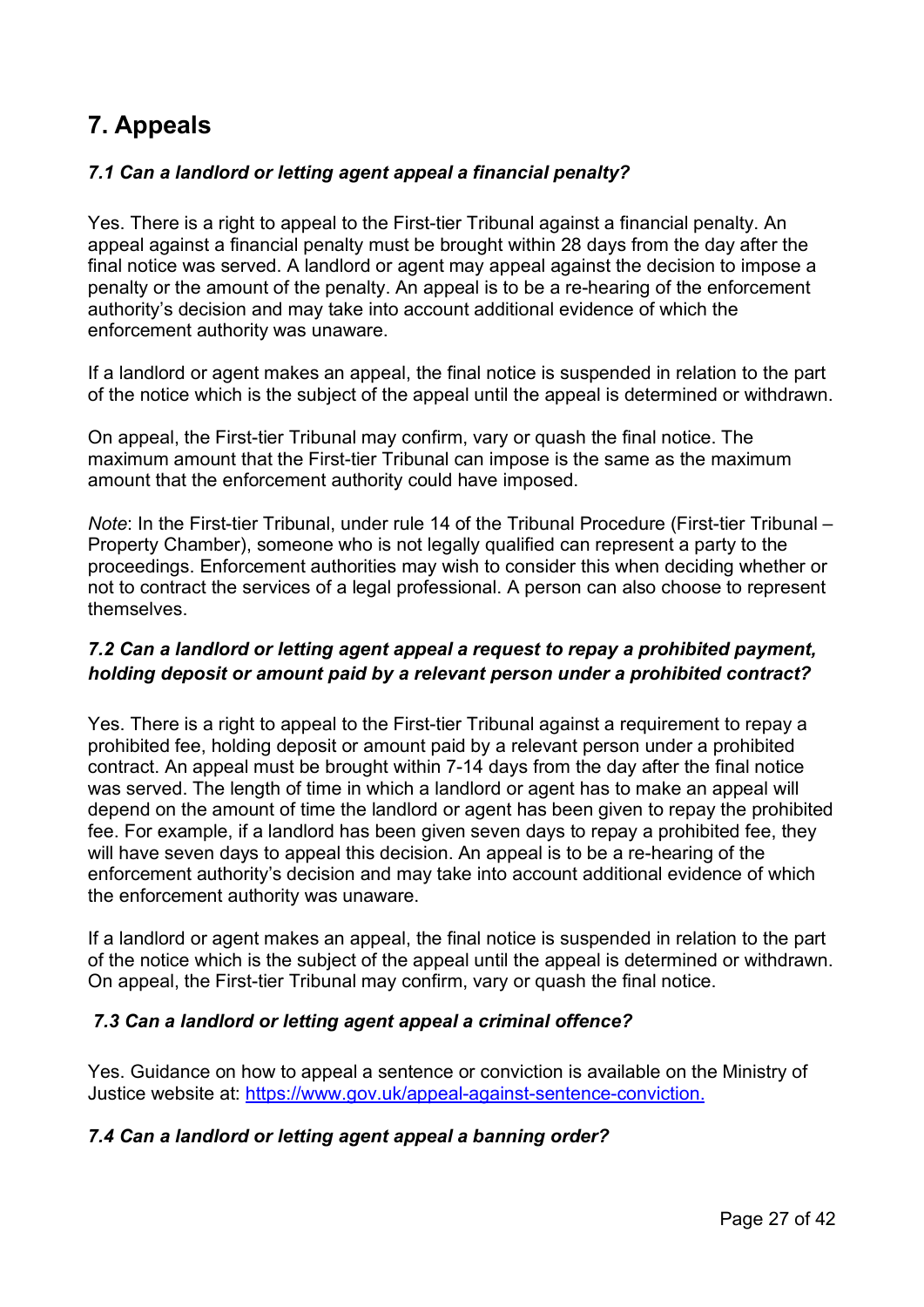# <span id="page-26-0"></span>**7. Appeals**

# <span id="page-26-1"></span>*7.1 Can a landlord or letting agent appeal a financial penalty?*

Yes. There is a right to appeal to the First-tier Tribunal against a financial penalty. An appeal against a financial penalty must be brought within 28 days from the day after the final notice was served. A landlord or agent may appeal against the decision to impose a penalty or the amount of the penalty. An appeal is to be a re-hearing of the enforcement authority's decision and may take into account additional evidence of which the enforcement authority was unaware.

If a landlord or agent makes an appeal, the final notice is suspended in relation to the part of the notice which is the subject of the appeal until the appeal is determined or withdrawn.

On appeal, the First-tier Tribunal may confirm, vary or quash the final notice. The maximum amount that the First-tier Tribunal can impose is the same as the maximum amount that the enforcement authority could have imposed.

*Note*: In the First-tier Tribunal, under rule 14 of the Tribunal Procedure (First-tier Tribunal – Property Chamber), someone who is not legally qualified can represent a party to the proceedings. Enforcement authorities may wish to consider this when deciding whether or not to contract the services of a legal professional. A person can also choose to represent themselves.

# <span id="page-26-2"></span>*7.2 Can a landlord or letting agent appeal a request to repay a prohibited payment, holding deposit or amount paid by a relevant person under a prohibited contract?*

Yes. There is a right to appeal to the First-tier Tribunal against a requirement to repay a prohibited fee, holding deposit or amount paid by a relevant person under a prohibited contract. An appeal must be brought within 7-14 days from the day after the final notice was served. The length of time in which a landlord or agent has to make an appeal will depend on the amount of time the landlord or agent has been given to repay the prohibited fee. For example, if a landlord has been given seven days to repay a prohibited fee, they will have seven days to appeal this decision. An appeal is to be a re-hearing of the enforcement authority's decision and may take into account additional evidence of which the enforcement authority was unaware.

If a landlord or agent makes an appeal, the final notice is suspended in relation to the part of the notice which is the subject of the appeal until the appeal is determined or withdrawn. On appeal, the First-tier Tribunal may confirm, vary or quash the final notice.

# <span id="page-26-3"></span>*7.3 Can a landlord or letting agent appeal a criminal offence?*

Yes. Guidance on how to appeal a sentence or conviction is available on the Ministry of Justice website at: [https://www.gov.uk/appeal-against-sentence-conviction.](https://www.gov.uk/appeal-against-sentence-conviction)

# <span id="page-26-4"></span>*7.4 Can a landlord or letting agent appeal a banning order?*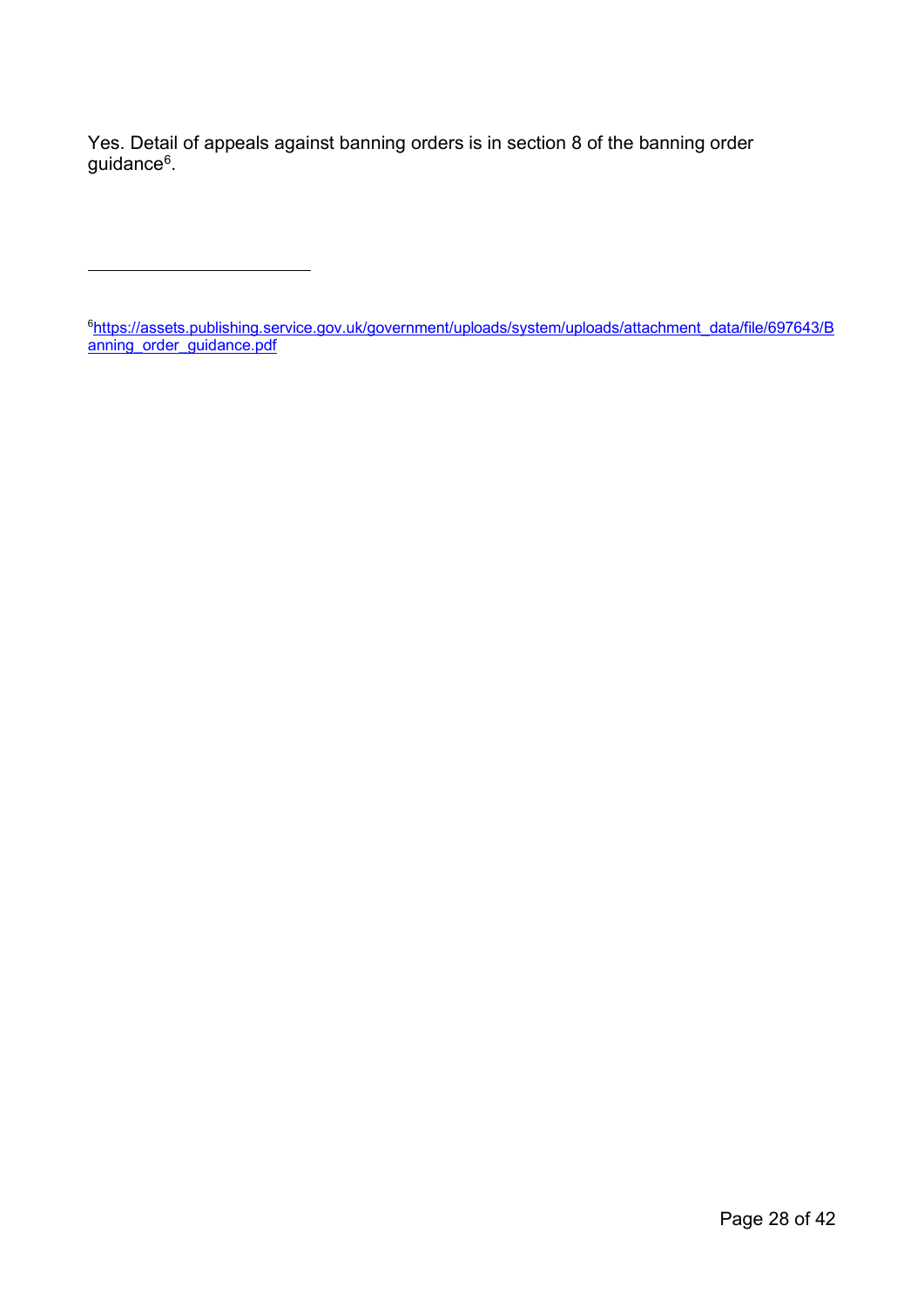Yes. Detail of appeals against banning orders is in section 8 of the banning order guidance<sup>[6](#page-27-0)</sup>.

<span id="page-27-0"></span>6 [https://assets.publishing.service.gov.uk/government/uploads/system/uploads/attachment\\_data/file/697643/B](https://assets.publishing.service.gov.uk/government/uploads/system/uploads/attachment_data/file/697643/Banning_order_guidance.pdf) [anning\\_order\\_guidance.pdf](https://assets.publishing.service.gov.uk/government/uploads/system/uploads/attachment_data/file/697643/Banning_order_guidance.pdf)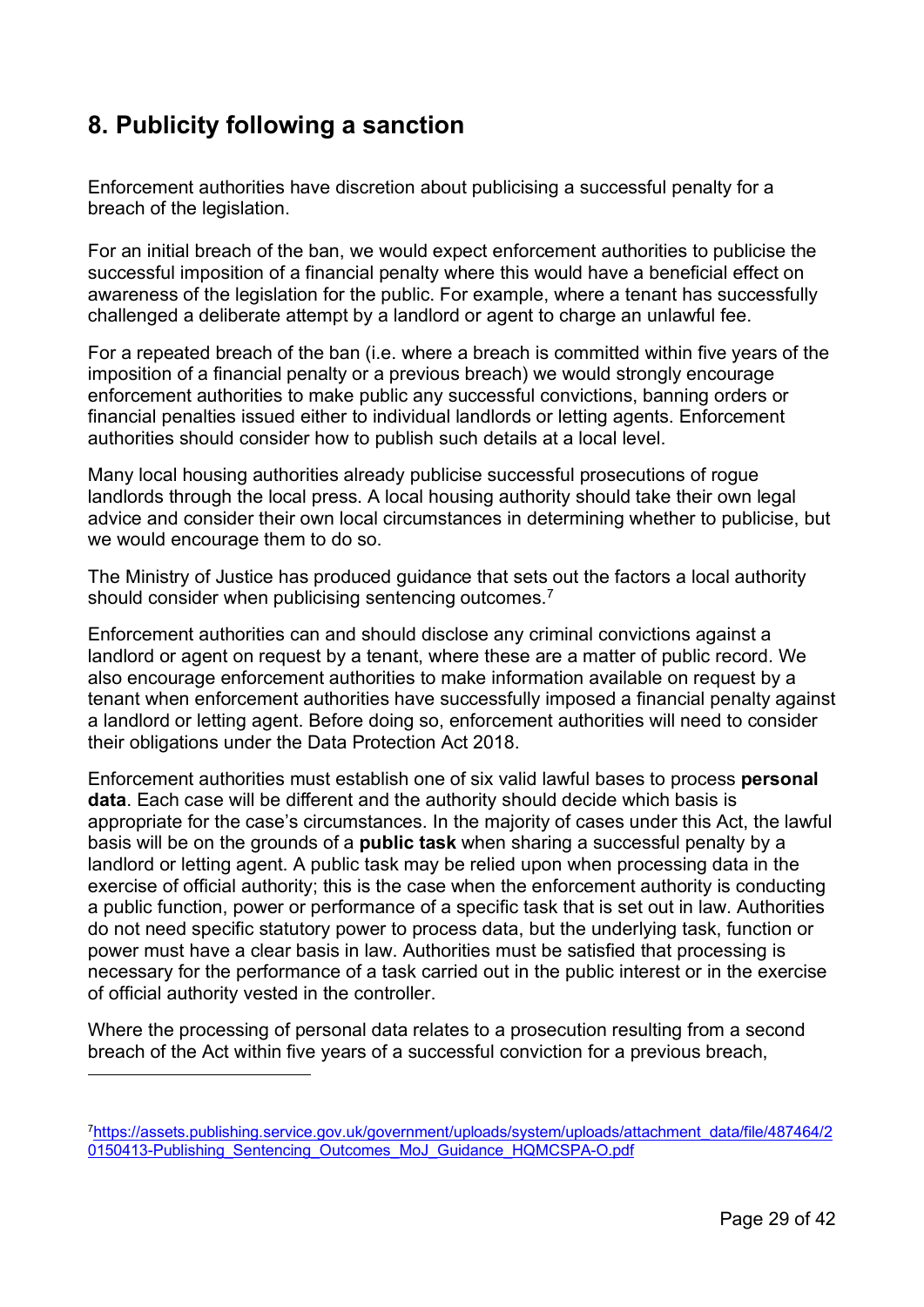# <span id="page-28-0"></span>**8. Publicity following a sanction**

Enforcement authorities have discretion about publicising a successful penalty for a breach of the legislation.

For an initial breach of the ban, we would expect enforcement authorities to publicise the successful imposition of a financial penalty where this would have a beneficial effect on awareness of the legislation for the public. For example, where a tenant has successfully challenged a deliberate attempt by a landlord or agent to charge an unlawful fee.

For a repeated breach of the ban (i.e. where a breach is committed within five years of the imposition of a financial penalty or a previous breach) we would strongly encourage enforcement authorities to make public any successful convictions, banning orders or financial penalties issued either to individual landlords or letting agents. Enforcement authorities should consider how to publish such details at a local level.

Many local housing authorities already publicise successful prosecutions of rogue landlords through the local press. A local housing authority should take their own legal advice and consider their own local circumstances in determining whether to publicise, but we would encourage them to do so.

The Ministry of Justice has produced guidance that sets out the factors a local authority should consider when publicising sentencing outcomes.<sup>[7](#page-28-1)</sup>

Enforcement authorities can and should disclose any criminal convictions against a landlord or agent on request by a tenant, where these are a matter of public record. We also encourage enforcement authorities to make information available on request by a tenant when enforcement authorities have successfully imposed a financial penalty against a landlord or letting agent. Before doing so, enforcement authorities will need to consider their obligations under the Data Protection Act 2018.

Enforcement authorities must establish one of six valid lawful bases to process **personal data**. Each case will be different and the authority should decide which basis is appropriate for the case's circumstances. In the majority of cases under this Act, the lawful basis will be on the grounds of a **public task** when sharing a successful penalty by a landlord or letting agent. A public task may be relied upon when processing data in the exercise of official authority; this is the case when the enforcement authority is conducting a public function, power or performance of a specific task that is set out in law. Authorities do not need specific statutory power to process data, but the underlying task, function or power must have a clear basis in law. Authorities must be satisfied that processing is necessary for the performance of a task carried out in the public interest or in the exercise of official authority vested in the controller.

Where the processing of personal data relates to a prosecution resulting from a second breach of the Act within five years of a successful conviction for a previous breach,

<span id="page-28-1"></span>[<sup>7</sup>https://assets.publishing.service.gov.uk/government/uploads/system/uploads/attachment\\_data/file/487464/2](https://assets.publishing.service.gov.uk/government/uploads/system/uploads/attachment_data/file/487464/20150413-Publishing_Sentencing_Outcomes_MoJ_Guidance_HQMCSPA-O.pdf) [0150413-Publishing\\_Sentencing\\_Outcomes\\_MoJ\\_Guidance\\_HQMCSPA-O.pdf](https://assets.publishing.service.gov.uk/government/uploads/system/uploads/attachment_data/file/487464/20150413-Publishing_Sentencing_Outcomes_MoJ_Guidance_HQMCSPA-O.pdf)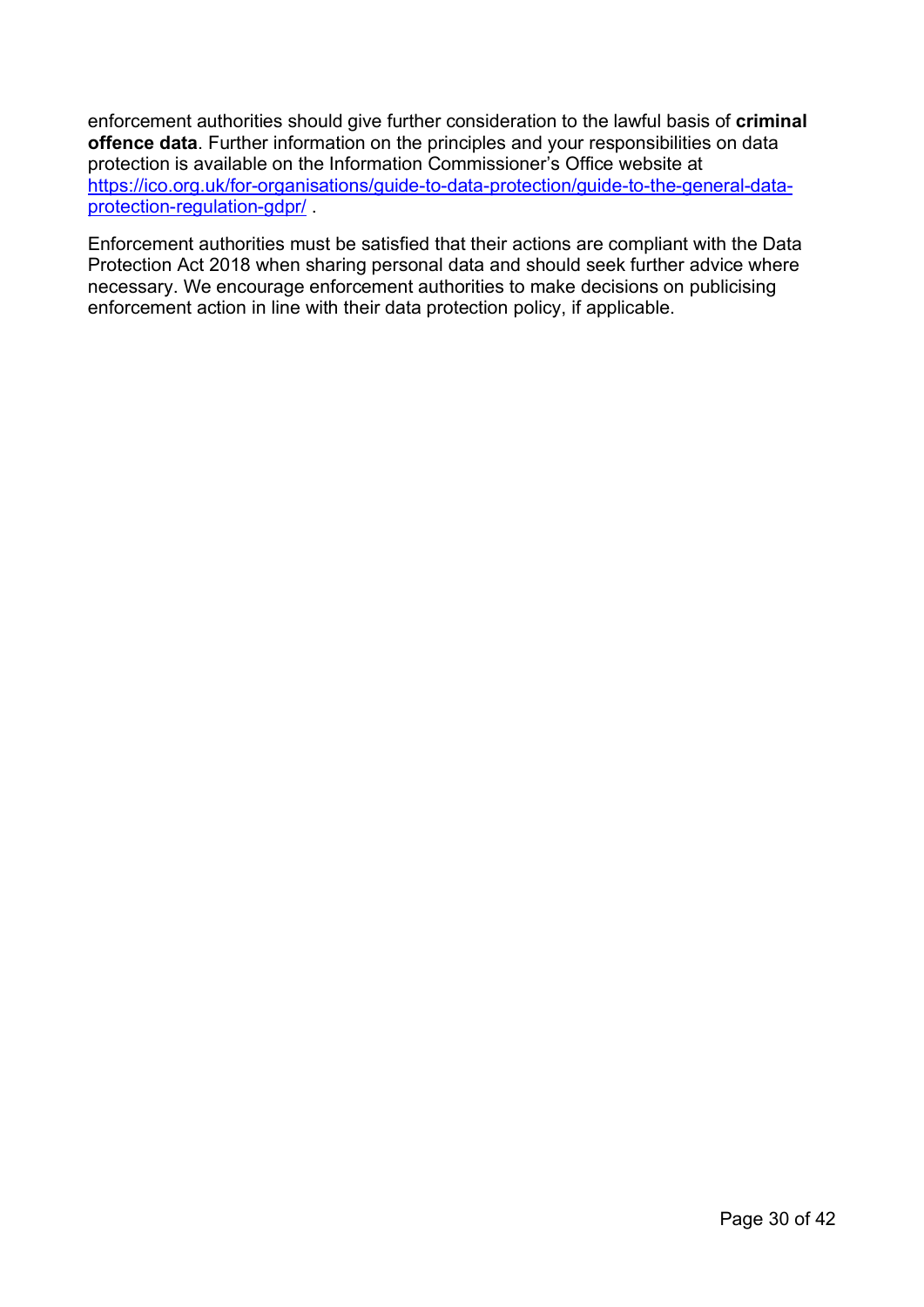enforcement authorities should give further consideration to the lawful basis of **criminal offence data**. Further information on the principles and your responsibilities on data protection is available on the Information Commissioner's Office website at [https://ico.org.uk/for-organisations/guide-to-data-protection/guide-to-the-general-data](https://ico.org.uk/for-organisations/guide-to-data-protection/guide-to-the-general-data-protection-regulation-gdpr/)[protection-regulation-gdpr/](https://ico.org.uk/for-organisations/guide-to-data-protection/guide-to-the-general-data-protection-regulation-gdpr/) .

Enforcement authorities must be satisfied that their actions are compliant with the Data Protection Act 2018 when sharing personal data and should seek further advice where necessary. We encourage enforcement authorities to make decisions on publicising enforcement action in line with their data protection policy, if applicable.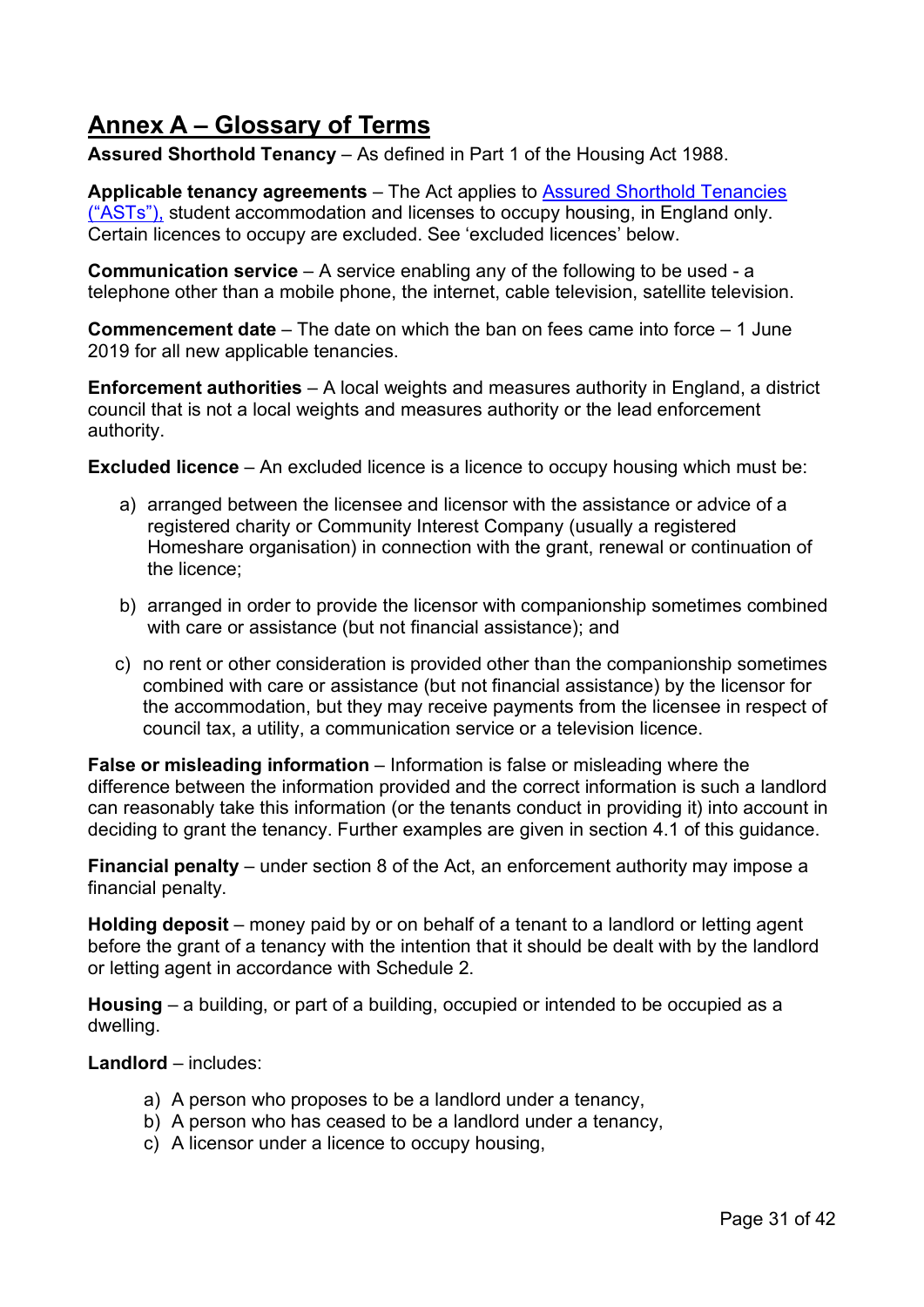# <span id="page-30-0"></span>**Annex A – Glossary of Terms**

**Assured Shorthold Tenancy** – As defined in Part 1 of the Housing Act 1988.

**Applicable tenancy agreements** – The Act applies to [Assured Shorthold Tenancies](http://www.legislation.gov.uk/ukpga/1988/50/contents/england)  [\("ASTs"\),](http://www.legislation.gov.uk/ukpga/1988/50/contents/england) student accommodation and licenses to occupy housing, in England only. Certain licences to occupy are excluded. See 'excluded licences' below.

**Communication service** – A service enabling any of the following to be used - a telephone other than a mobile phone, the internet, cable television, satellite television.

**Commencement date** – The date on which the ban on fees came into force – 1 June 2019 for all new applicable tenancies.

**Enforcement authorities** – A local weights and measures authority in England, a district council that is not a local weights and measures authority or the lead enforcement authority.

**Excluded licence** – An excluded licence is a licence to occupy housing which must be:

- a) arranged between the licensee and licensor with the assistance or advice of a registered charity or Community Interest Company (usually a registered Homeshare organisation) in connection with the grant, renewal or continuation of the licence;
- b) arranged in order to provide the licensor with companionship sometimes combined with care or assistance (but not financial assistance); and
- c) no rent or other consideration is provided other than the companionship sometimes combined with care or assistance (but not financial assistance) by the licensor for the accommodation, but they may receive payments from the licensee in respect of council tax, a utility, a communication service or a television licence.

**False or misleading information** – Information is false or misleading where the difference between the information provided and the correct information is such a landlord can reasonably take this information (or the tenants conduct in providing it) into account in deciding to grant the tenancy. Further examples are given in section 4.1 of this guidance.

**Financial penalty** – under section 8 of the Act, an enforcement authority may impose a financial penalty.

**Holding deposit** – money paid by or on behalf of a tenant to a landlord or letting agent before the grant of a tenancy with the intention that it should be dealt with by the landlord or letting agent in accordance with Schedule 2.

**Housing** – a building, or part of a building, occupied or intended to be occupied as a dwelling.

#### **Landlord** – includes:

- a) A person who proposes to be a landlord under a tenancy,
- b) A person who has ceased to be a landlord under a tenancy,
- c) A licensor under a licence to occupy housing,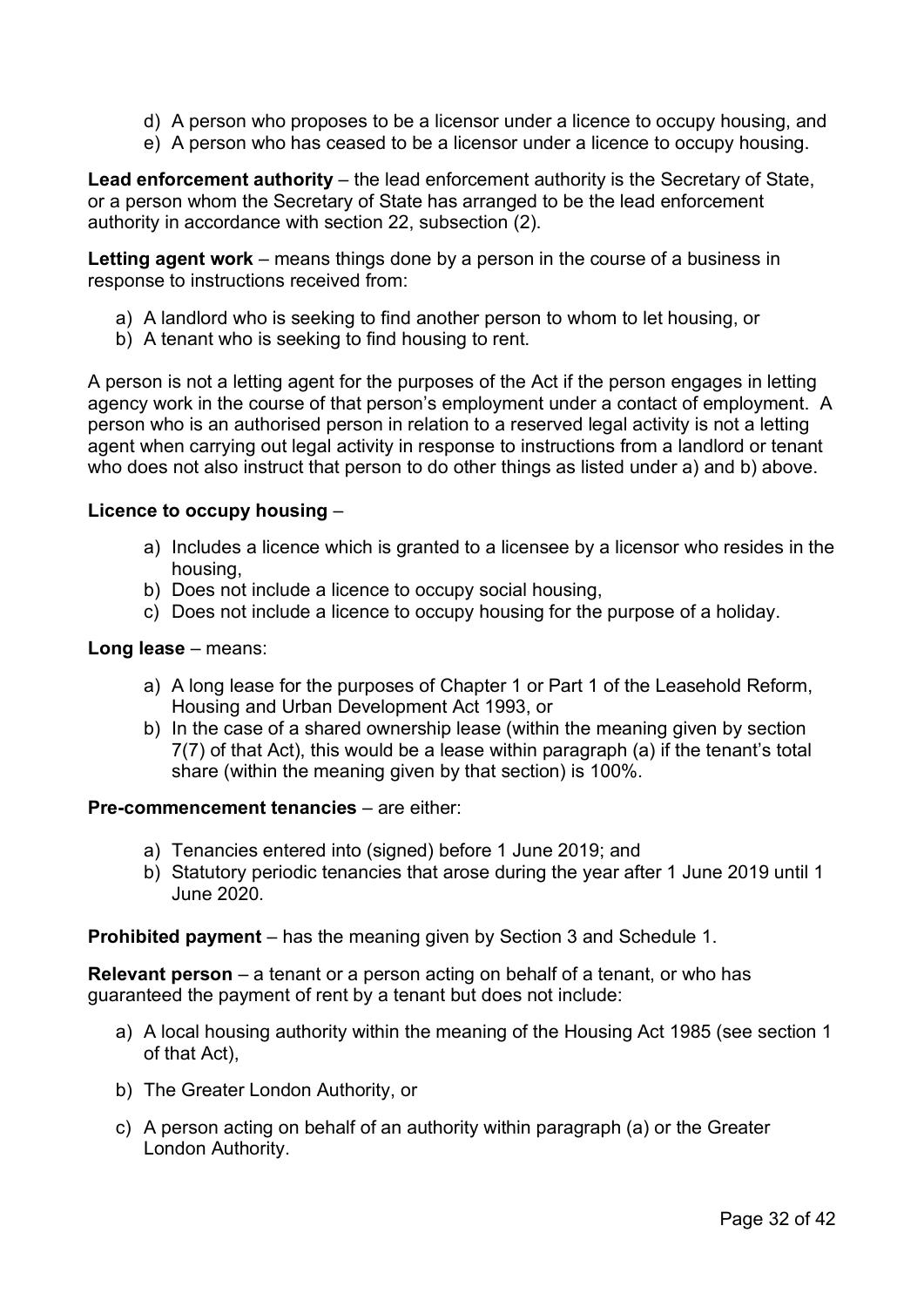- d) A person who proposes to be a licensor under a licence to occupy housing, and
- e) A person who has ceased to be a licensor under a licence to occupy housing.

**Lead enforcement authority** – the lead enforcement authority is the Secretary of State, or a person whom the Secretary of State has arranged to be the lead enforcement authority in accordance with section 22, subsection (2).

**Letting agent work** – means things done by a person in the course of a business in response to instructions received from:

- a) A landlord who is seeking to find another person to whom to let housing, or
- b) A tenant who is seeking to find housing to rent.

A person is not a letting agent for the purposes of the Act if the person engages in letting agency work in the course of that person's employment under a contact of employment. A person who is an authorised person in relation to a reserved legal activity is not a letting agent when carrying out legal activity in response to instructions from a landlord or tenant who does not also instruct that person to do other things as listed under a) and b) above.

#### **Licence to occupy housing** –

- a) Includes a licence which is granted to a licensee by a licensor who resides in the housing,
- b) Does not include a licence to occupy social housing,
- c) Does not include a licence to occupy housing for the purpose of a holiday.

#### **Long lease** – means:

- a) A long lease for the purposes of Chapter 1 or Part 1 of the Leasehold Reform, Housing and Urban Development Act 1993, or
- b) In the case of a shared ownership lease (within the meaning given by section 7(7) of that Act), this would be a lease within paragraph (a) if the tenant's total share (within the meaning given by that section) is 100%.

## **Pre-commencement tenancies** – are either:

- a) Tenancies entered into (signed) before 1 June 2019; and
- b) Statutory periodic tenancies that arose during the year after 1 June 2019 until 1 June 2020.

**Prohibited payment** – has the meaning given by Section 3 and Schedule 1.

**Relevant person** – a tenant or a person acting on behalf of a tenant, or who has guaranteed the payment of rent by a tenant but does not include:

- a) A local housing authority within the meaning of the Housing Act 1985 (see section 1 of that Act),
- b) The Greater London Authority, or
- c) A person acting on behalf of an authority within paragraph (a) or the Greater London Authority.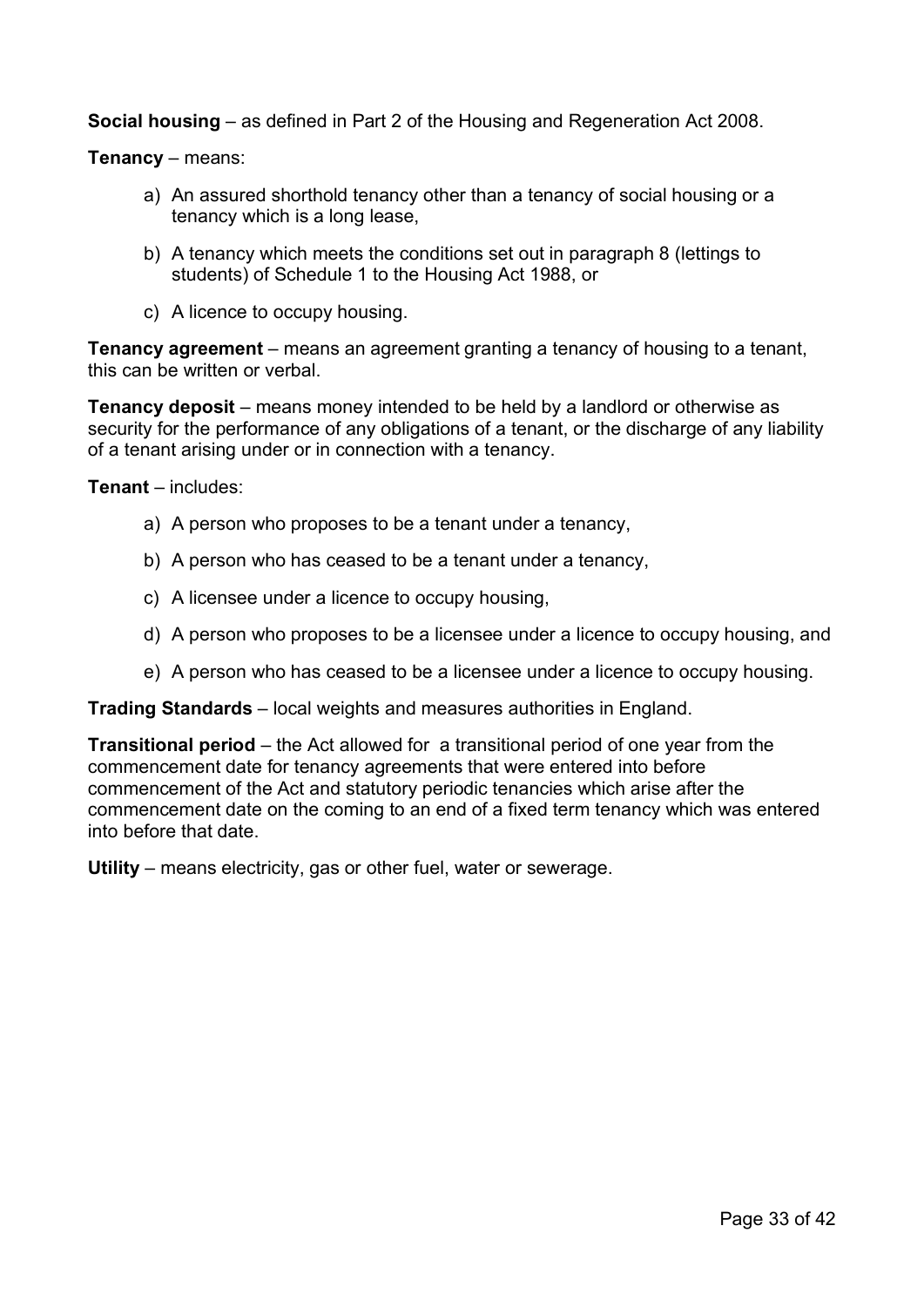**Social housing** – as defined in Part 2 of the Housing and Regeneration Act 2008.

**Tenancy** – means:

- a) An assured shorthold tenancy other than a tenancy of social housing or a tenancy which is a long lease,
- b) A tenancy which meets the conditions set out in paragraph 8 (lettings to students) of Schedule 1 to the Housing Act 1988, or
- c) A licence to occupy housing.

**Tenancy agreement** – means an agreement granting a tenancy of housing to a tenant, this can be written or verbal.

**Tenancy deposit** – means money intended to be held by a landlord or otherwise as security for the performance of any obligations of a tenant, or the discharge of any liability of a tenant arising under or in connection with a tenancy.

**Tenant** – includes:

- a) A person who proposes to be a tenant under a tenancy,
- b) A person who has ceased to be a tenant under a tenancy,
- c) A licensee under a licence to occupy housing,
- d) A person who proposes to be a licensee under a licence to occupy housing, and
- e) A person who has ceased to be a licensee under a licence to occupy housing.

**Trading Standards** – local weights and measures authorities in England.

**Transitional period** – the Act allowed for a transitional period of one year from the commencement date for tenancy agreements that were entered into before commencement of the Act and statutory periodic tenancies which arise after the commencement date on the coming to an end of a fixed term tenancy which was entered into before that date.

**Utility** – means electricity, gas or other fuel, water or sewerage.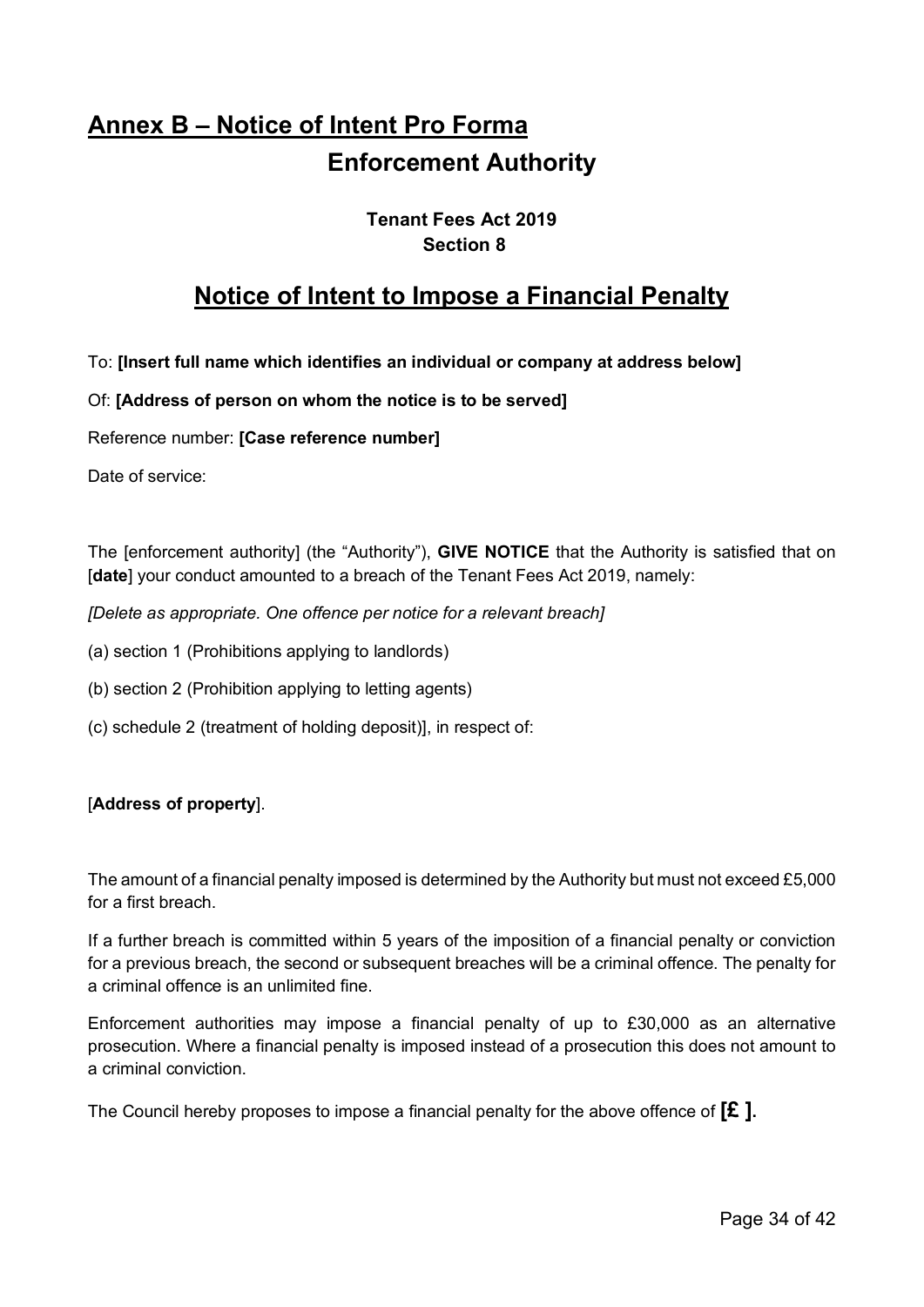# <span id="page-33-0"></span>**Annex B – Notice of Intent Pro Forma Enforcement Authority**

# **Tenant Fees Act 2019 Section 8**

# **Notice of Intent to Impose a Financial Penalty**

To: **[Insert full name which identifies an individual or company at address below]**

Of: **[Address of person on whom the notice is to be served]**

Reference number: **[Case reference number]**

Date of service:

The [enforcement authority] (the "Authority"), **GIVE NOTICE** that the Authority is satisfied that on [**date**] your conduct amounted to a breach of the Tenant Fees Act 2019, namely:

*[Delete as appropriate. One offence per notice for a relevant breach]*

- (a) section 1 (Prohibitions applying to landlords)
- (b) section 2 (Prohibition applying to letting agents)
- (c) schedule 2 (treatment of holding deposit)], in respect of:

## [**Address of property**].

The amount of a financial penalty imposed is determined by the Authority but must not exceed £5,000 for a first breach.

If a further breach is committed within 5 years of the imposition of a financial penalty or conviction for a previous breach, the second or subsequent breaches will be a criminal offence. The penalty for a criminal offence is an unlimited fine.

Enforcement authorities may impose a financial penalty of up to £30,000 as an alternative prosecution. Where a financial penalty is imposed instead of a prosecution this does not amount to a criminal conviction.

The Council hereby proposes to impose a financial penalty for the above offence of **[£ ].**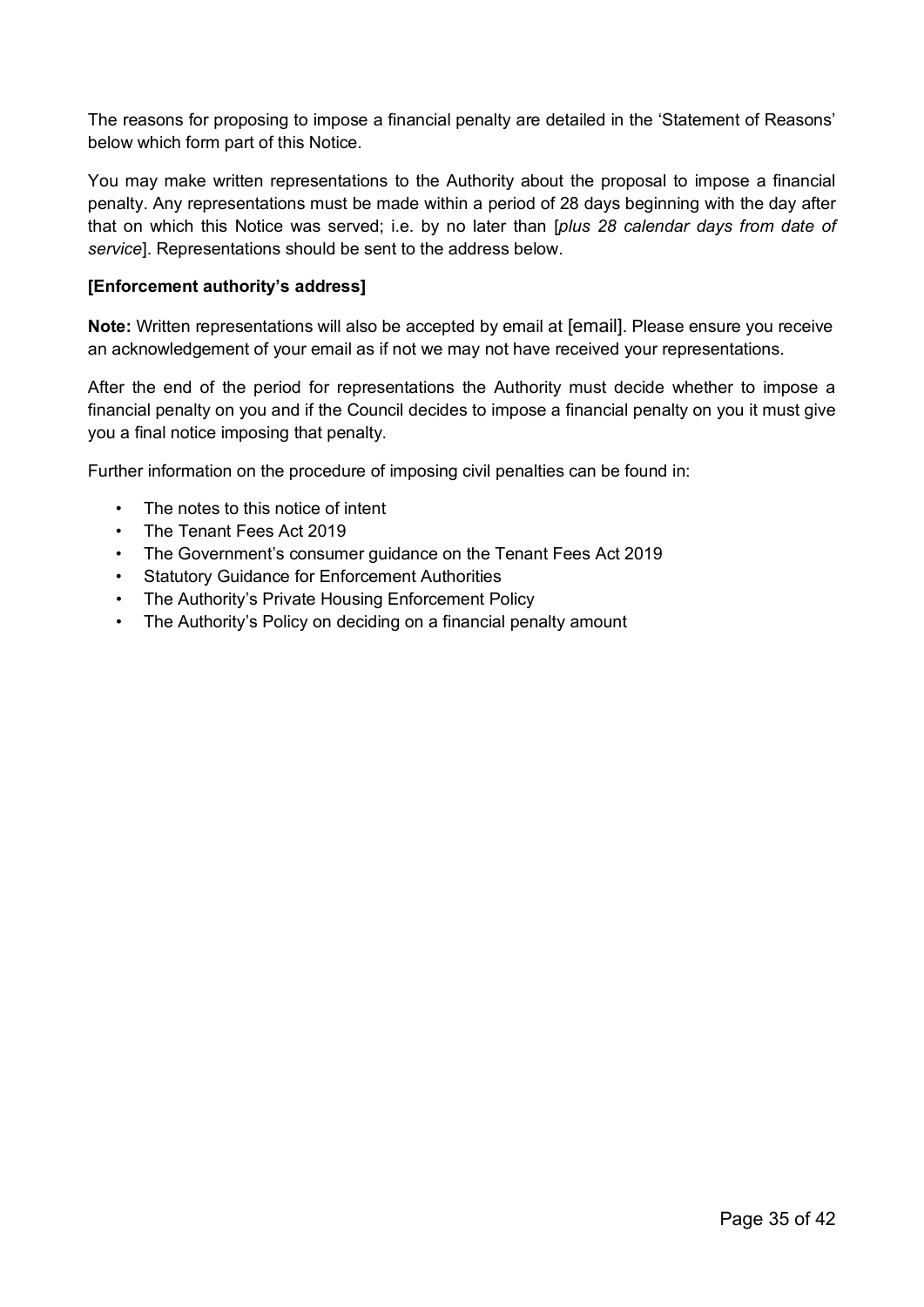The reasons for proposing to impose a financial penalty are detailed in the 'Statement of Reasons' below which form part of this Notice.

You may make written representations to the Authority about the proposal to impose a financial penalty. Any representations must be made within a period of 28 days beginning with the day after that on which this Notice was served; i.e. by no later than [*plus 28 calendar days from date of service*]. Representations should be sent to the address below.

#### **[Enforcement authority's address]**

**Note:** Written representations will also be accepted by email at [email]. Please ensure you receive an acknowledgement of your email as if not we may not have received your representations.

After the end of the period for representations the Authority must decide whether to impose a financial penalty on you and if the Council decides to impose a financial penalty on you it must give you a final notice imposing that penalty.

Further information on the procedure of imposing civil penalties can be found in:

- The notes to this notice of intent
- The Tenant Fees Act 2019
- The Government's consumer guidance on the Tenant Fees Act 2019
- **Statutory Guidance for Enforcement Authorities**
- The Authority's Private Housing Enforcement Policy
- The Authority's Policy on deciding on a financial penalty amount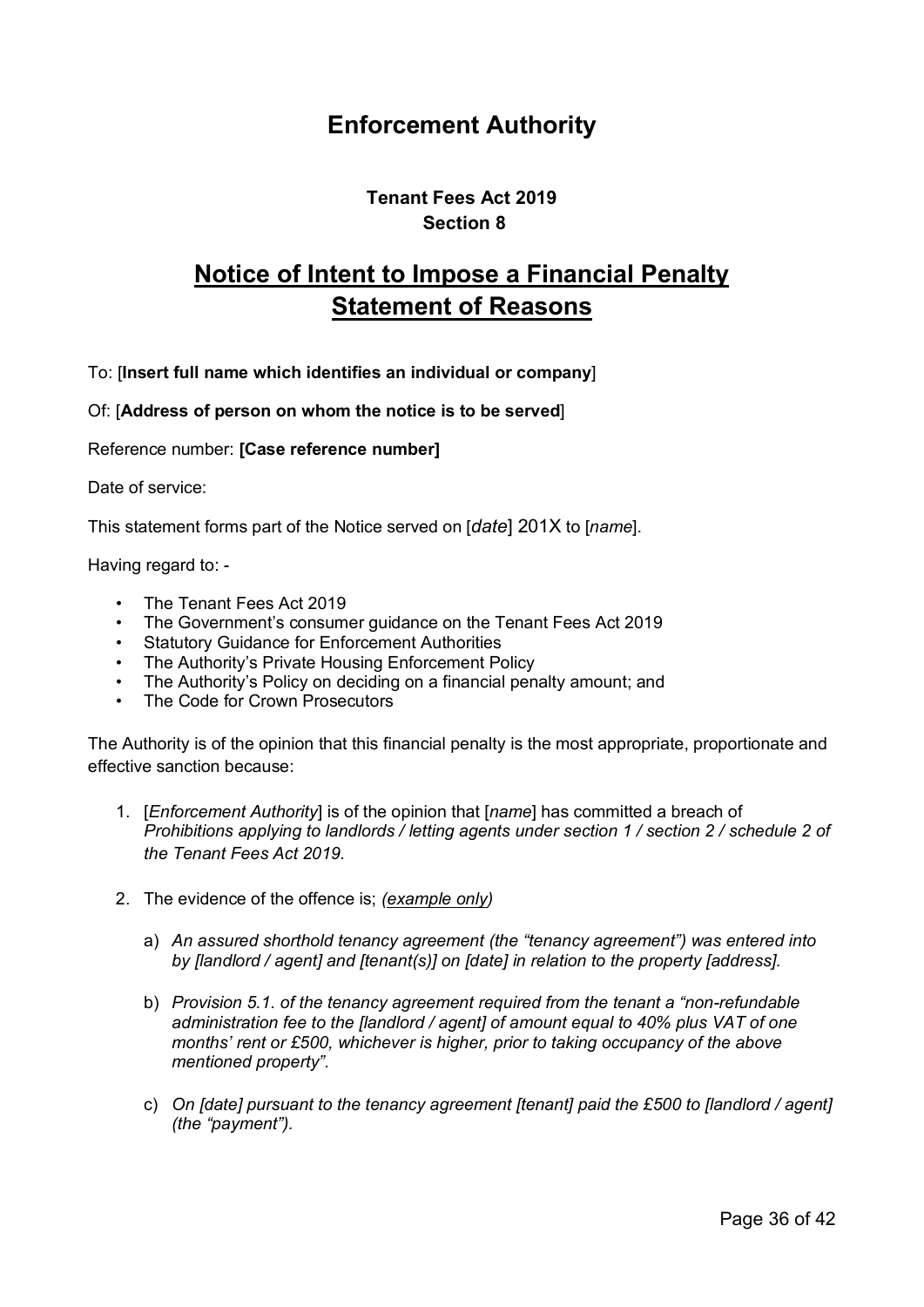# **Enforcement Authority**

# **Tenant Fees Act 2019 Section 8**

# **Notice of Intent to Impose a Financial Penalty Statement of Reasons**

To: [**Insert full name which identifies an individual or company**]

Of: [**Address of person on whom the notice is to be served**]

Reference number: **[Case reference number]**

Date of service:

This statement forms part of the Notice served on [*date*] 201X to [*name*].

Having regard to: -

- The Tenant Fees Act 2019
- The Government's consumer guidance on the Tenant Fees Act 2019
- Statutory Guidance for Enforcement Authorities
- The Authority's Private Housing Enforcement Policy
- The Authority's Policy on deciding on a financial penalty amount; and
- The Code for Crown Prosecutors

The Authority is of the opinion that this financial penalty is the most appropriate, proportionate and effective sanction because:

- 1. [*Enforcement Authority*] is of the opinion that [*name*] has committed a breach of *Prohibitions applying to landlords / letting agents under section 1 / section 2 / schedule 2 of the Tenant Fees Act 2019.*
- 2. The evidence of the offence is; *(example only)*
	- a) *An assured shorthold tenancy agreement (the "tenancy agreement") was entered into by [landlord / agent] and [tenant(s)] on [date] in relation to the property [address].*
	- b) *Provision 5.1. of the tenancy agreement required from the tenant a "non-refundable administration fee to the [landlord / agent] of amount equal to 40% plus VAT of one months' rent or £500, whichever is higher, prior to taking occupancy of the above mentioned property".*
	- c) *On [date] pursuant to the tenancy agreement [tenant] paid the £500 to [landlord / agent] (the "payment").*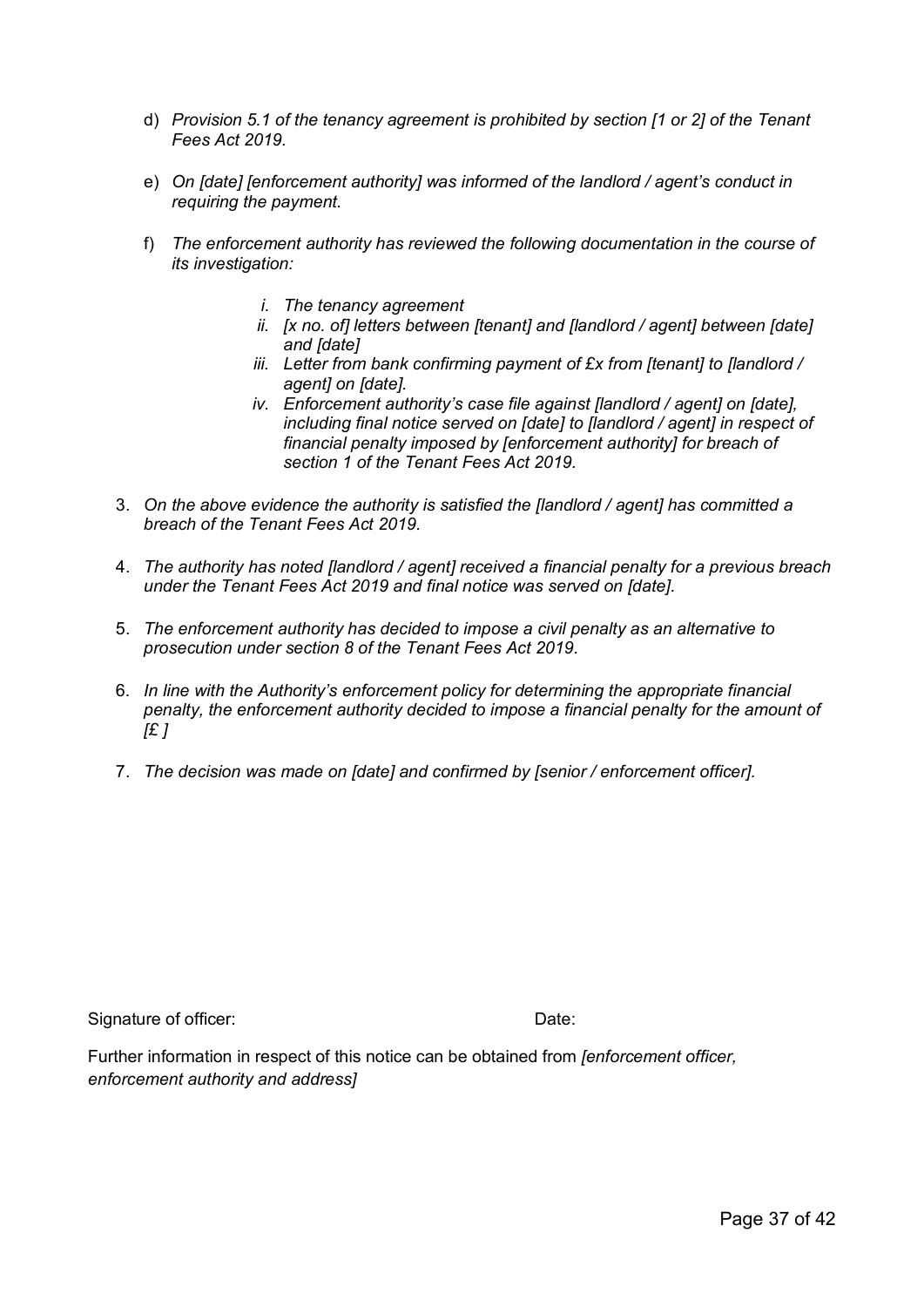- d) *Provision 5.1 of the tenancy agreement is prohibited by section [1 or 2] of the Tenant Fees Act 2019.*
- e) *On [date] [enforcement authority] was informed of the landlord / agent's conduct in requiring the payment.*
- f) *The enforcement authority has reviewed the following documentation in the course of its investigation:*
	- *i. The tenancy agreement*
	- *ii. [x no. of] letters between [tenant] and [landlord / agent] between [date] and [date]*
	- *iii. Letter from bank confirming payment of £x from [tenant] to [landlord / agent] on [date].*
	- *iv. Enforcement authority's case file against [landlord / agent] on [date], including final notice served on [date] to [landlord / agent] in respect of financial penalty imposed by [enforcement authority] for breach of section 1 of the Tenant Fees Act 2019.*
- 3. *On the above evidence the authority is satisfied the [landlord / agent] has committed a breach of the Tenant Fees Act 2019.*
- 4. *The authority has noted [landlord / agent] received a financial penalty for a previous breach under the Tenant Fees Act 2019 and final notice was served on [date].*
- 5. *The enforcement authority has decided to impose a civil penalty as an alternative to prosecution under section 8 of the Tenant Fees Act 2019.*
- 6. *In line with the Authority's enforcement policy for determining the appropriate financial penalty, the enforcement authority decided to impose a financial penalty for the amount of [£ ]*
- 7. *The decision was made on [date] and confirmed by [senior / enforcement officer].*

Signature of officer: Date: Date: Date:

Further information in respect of this notice can be obtained from *[enforcement officer, enforcement authority and address]*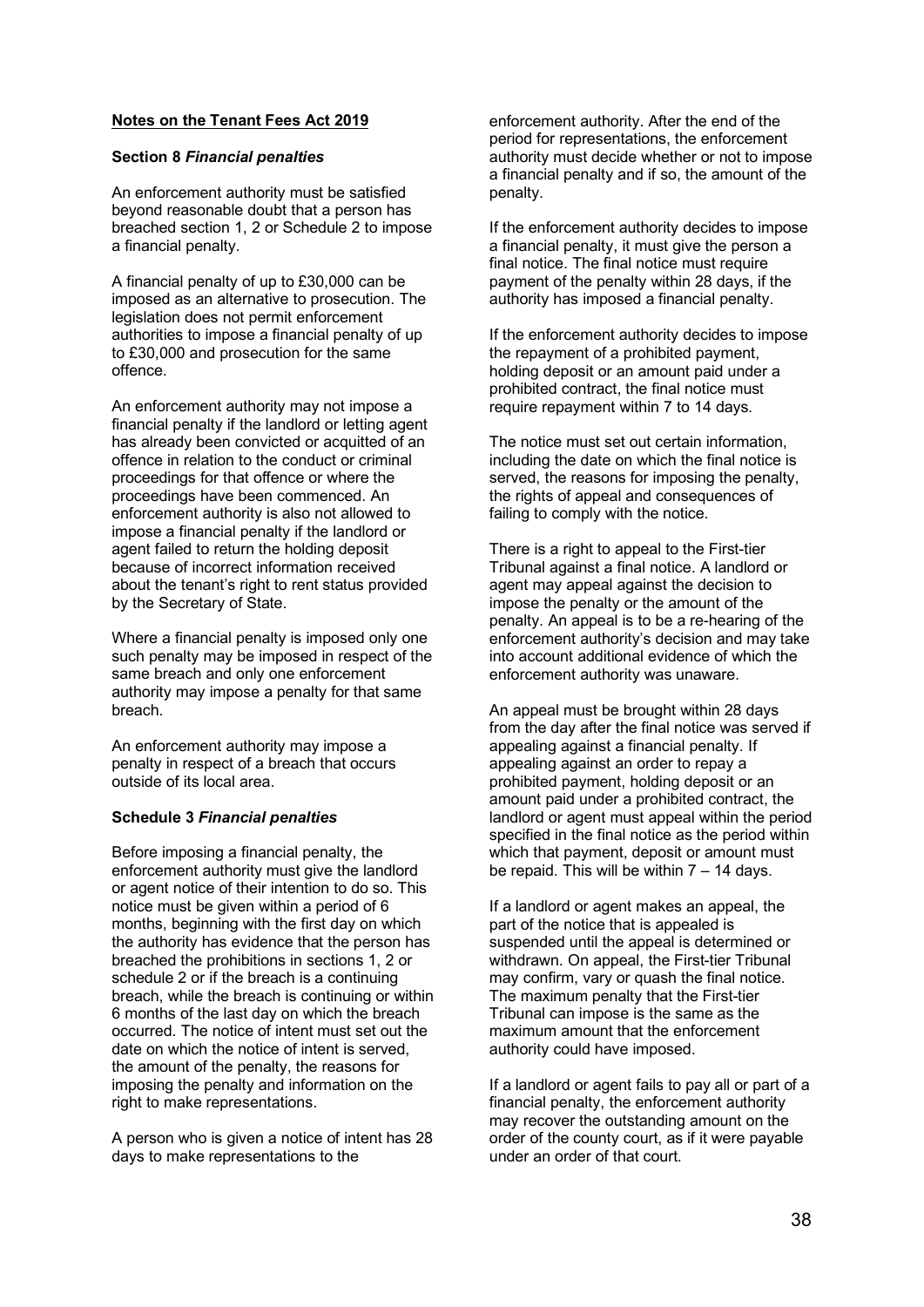#### **Notes on the Tenant Fees Act 2019**

#### **Section 8** *Financial penalties*

An enforcement authority must be satisfied beyond reasonable doubt that a person has breached section 1, 2 or Schedule 2 to impose a financial penalty.

A financial penalty of up to £30,000 can be imposed as an alternative to prosecution. The legislation does not permit enforcement authorities to impose a financial penalty of up to £30,000 and prosecution for the same offence.

An enforcement authority may not impose a financial penalty if the landlord or letting agent has already been convicted or acquitted of an offence in relation to the conduct or criminal proceedings for that offence or where the proceedings have been commenced. An enforcement authority is also not allowed to impose a financial penalty if the landlord or agent failed to return the holding deposit because of incorrect information received about the tenant's right to rent status provided by the Secretary of State.

Where a financial penalty is imposed only one such penalty may be imposed in respect of the same breach and only one enforcement authority may impose a penalty for that same breach.

An enforcement authority may impose a penalty in respect of a breach that occurs outside of its local area.

#### **Schedule 3** *Financial penalties*

Before imposing a financial penalty, the enforcement authority must give the landlord or agent notice of their intention to do so. This notice must be given within a period of 6 months, beginning with the first day on which the authority has evidence that the person has breached the prohibitions in sections 1, 2 or schedule 2 or if the breach is a continuing breach, while the breach is continuing or within 6 months of the last day on which the breach occurred. The notice of intent must set out the date on which the notice of intent is served, the amount of the penalty, the reasons for imposing the penalty and information on the right to make representations.

A person who is given a notice of intent has 28 days to make representations to the

enforcement authority. After the end of the period for representations, the enforcement authority must decide whether or not to impose a financial penalty and if so, the amount of the penalty.

If the enforcement authority decides to impose a financial penalty, it must give the person a final notice. The final notice must require payment of the penalty within 28 days, if the authority has imposed a financial penalty.

If the enforcement authority decides to impose the repayment of a prohibited payment, holding deposit or an amount paid under a prohibited contract, the final notice must require repayment within 7 to 14 days.

The notice must set out certain information, including the date on which the final notice is served, the reasons for imposing the penalty, the rights of appeal and consequences of failing to comply with the notice.

There is a right to appeal to the First-tier Tribunal against a final notice. A landlord or agent may appeal against the decision to impose the penalty or the amount of the penalty. An appeal is to be a re-hearing of the enforcement authority's decision and may take into account additional evidence of which the enforcement authority was unaware.

An appeal must be brought within 28 days from the day after the final notice was served if appealing against a financial penalty. If appealing against an order to repay a prohibited payment, holding deposit or an amount paid under a prohibited contract, the landlord or agent must appeal within the period specified in the final notice as the period within which that payment, deposit or amount must be repaid. This will be within  $7 - 14$  days.

If a landlord or agent makes an appeal, the part of the notice that is appealed is suspended until the appeal is determined or withdrawn. On appeal, the First-tier Tribunal may confirm, vary or quash the final notice. The maximum penalty that the First-tier Tribunal can impose is the same as the maximum amount that the enforcement authority could have imposed.

If a landlord or agent fails to pay all or part of a financial penalty, the enforcement authority may recover the outstanding amount on the order of the county court, as if it were payable under an order of that court.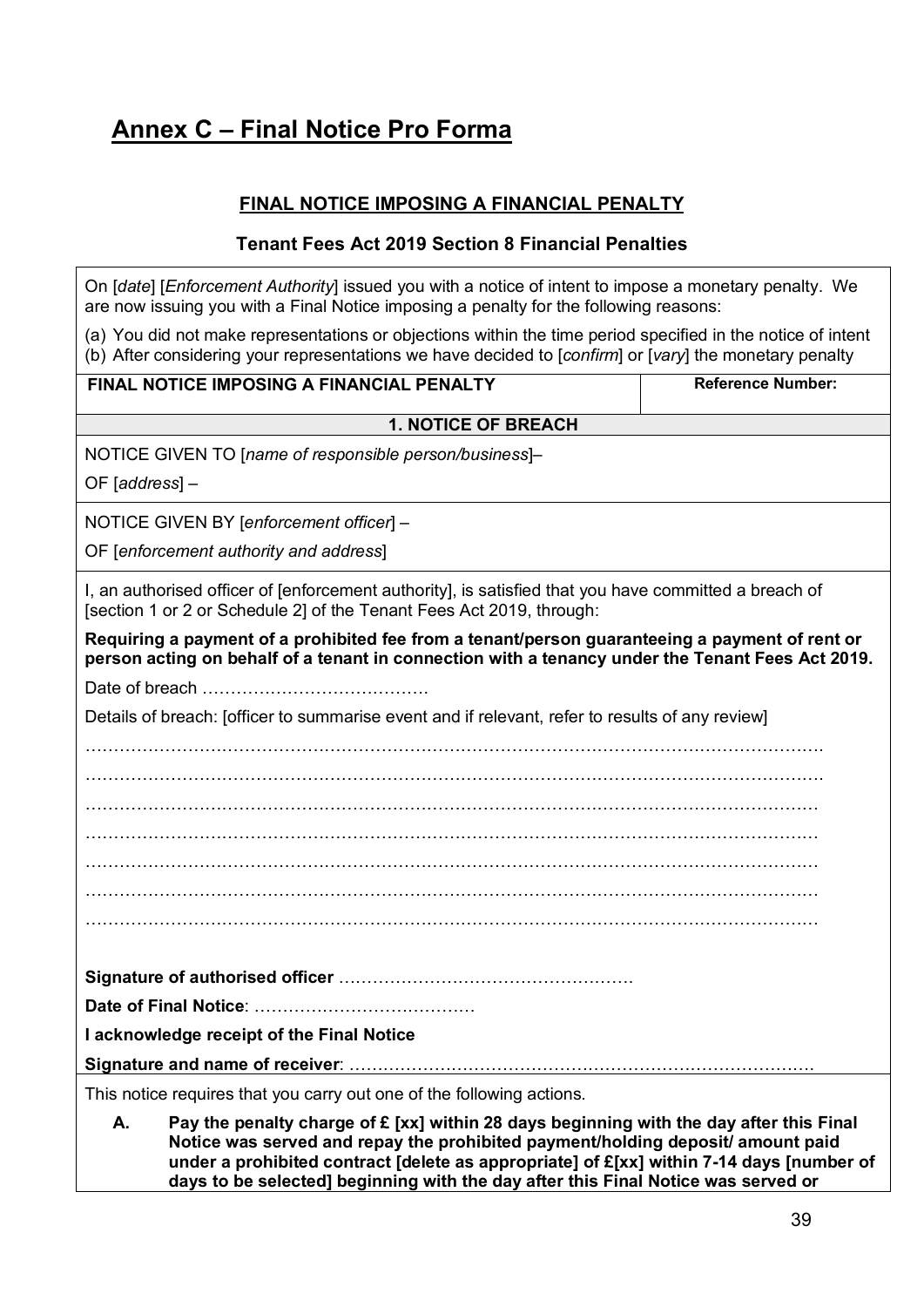# <span id="page-38-0"></span>**Annex C – Final Notice Pro Forma**

# **FINAL NOTICE IMPOSING A FINANCIAL PENALTY**

# **Tenant Fees Act 2019 Section 8 Financial Penalties**

On [*date*] [*Enforcement Authority*] issued you with a notice of intent to impose a monetary penalty. We are now issuing you with a Final Notice imposing a penalty for the following reasons:

(a) You did not make representations or objections within the time period specified in the notice of intent (b) After considering your representations we have decided to [*confirm*] or [*vary*] the monetary penalty

| FINAL NOTICE IMPOSING A FINANCIAL PENALTY                                                                                                                                                          | <b>Reference Number:</b> |  |  |  |
|----------------------------------------------------------------------------------------------------------------------------------------------------------------------------------------------------|--------------------------|--|--|--|
| <b>1. NOTICE OF BREACH</b>                                                                                                                                                                         |                          |  |  |  |
| NOTICE GIVEN TO [name of responsible person/business]-                                                                                                                                             |                          |  |  |  |
| OF [ $address$ ] $-$                                                                                                                                                                               |                          |  |  |  |
| NOTICE GIVEN BY [enforcement officer] -                                                                                                                                                            |                          |  |  |  |
| OF [enforcement authority and address]                                                                                                                                                             |                          |  |  |  |
| I, an authorised officer of [enforcement authority], is satisfied that you have committed a breach of<br>[section 1 or 2 or Schedule 2] of the Tenant Fees Act 2019, through:                      |                          |  |  |  |
| Requiring a payment of a prohibited fee from a tenant/person guaranteeing a payment of rent or<br>person acting on behalf of a tenant in connection with a tenancy under the Tenant Fees Act 2019. |                          |  |  |  |
|                                                                                                                                                                                                    |                          |  |  |  |
| Details of breach: [officer to summarise event and if relevant, refer to results of any review]                                                                                                    |                          |  |  |  |
|                                                                                                                                                                                                    |                          |  |  |  |
|                                                                                                                                                                                                    |                          |  |  |  |
|                                                                                                                                                                                                    |                          |  |  |  |
|                                                                                                                                                                                                    |                          |  |  |  |
|                                                                                                                                                                                                    |                          |  |  |  |
|                                                                                                                                                                                                    |                          |  |  |  |
|                                                                                                                                                                                                    |                          |  |  |  |
|                                                                                                                                                                                                    |                          |  |  |  |
|                                                                                                                                                                                                    |                          |  |  |  |
| I acknowledge receipt of the Final Notice                                                                                                                                                          |                          |  |  |  |
|                                                                                                                                                                                                    |                          |  |  |  |
| This notice requires that you carry out one of the following actions.                                                                                                                              |                          |  |  |  |
| Pay the penalty charge of £ [xx] within 28 days beginning with the day after this Final<br>А.                                                                                                      |                          |  |  |  |

**A. Pay the penalty charge of £ [xx] within 28 days beginning with the day after this Final Notice was served and repay the prohibited payment/holding deposit/ amount paid under a prohibited contract [delete as appropriate] of £[xx] within 7-14 days [number of days to be selected] beginning with the day after this Final Notice was served or**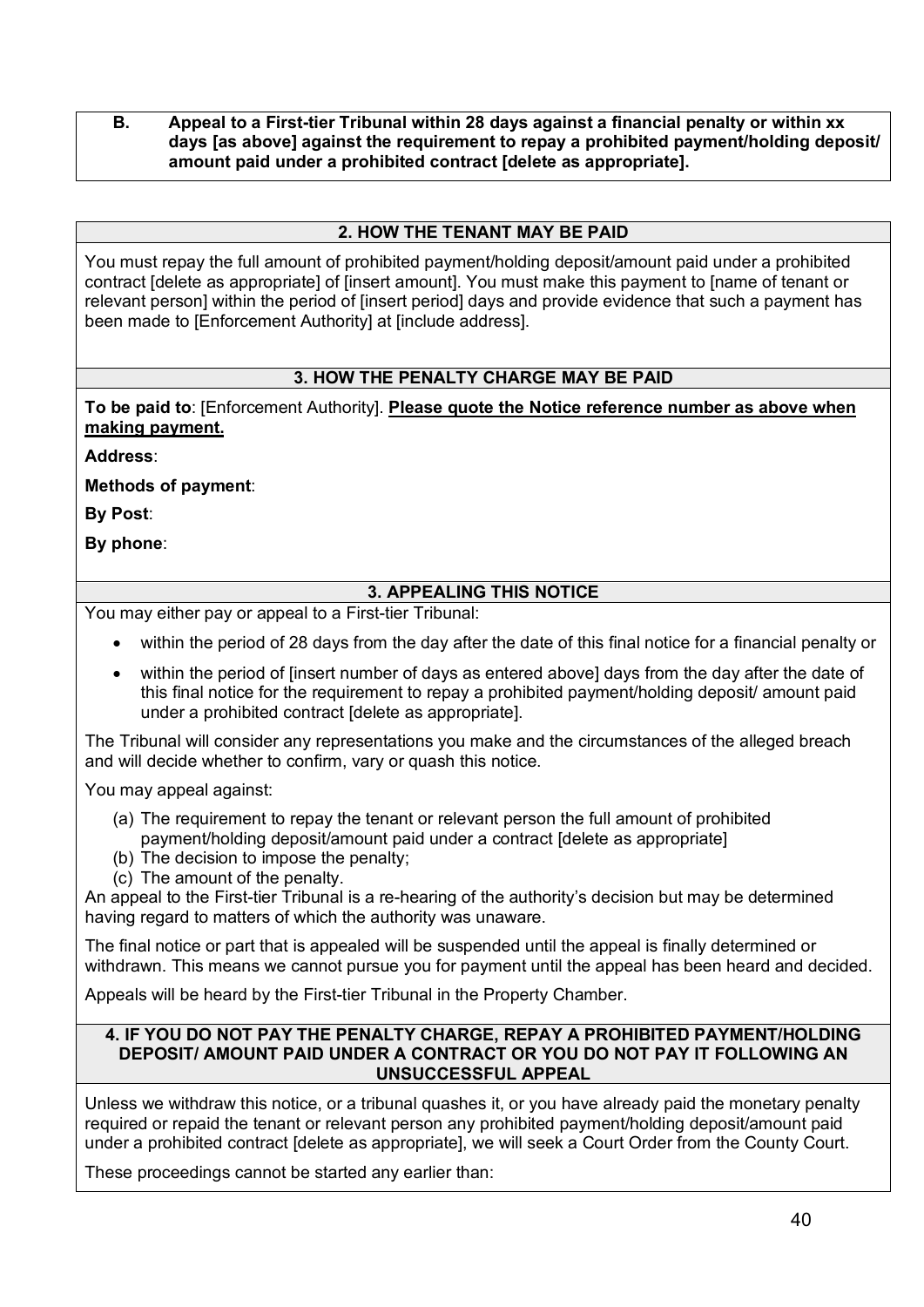#### **B. Appeal to a First-tier Tribunal within 28 days against a financial penalty or within xx days [as above] against the requirement to repay a prohibited payment/holding deposit/ amount paid under a prohibited contract [delete as appropriate].**

# **2. HOW THE TENANT MAY BE PAID**

You must repay the full amount of prohibited payment/holding deposit/amount paid under a prohibited contract [delete as appropriate] of [insert amount]. You must make this payment to [name of tenant or relevant person] within the period of [insert period] days and provide evidence that such a payment has been made to [Enforcement Authority] at [include address].

## **3. HOW THE PENALTY CHARGE MAY BE PAID**

**To be paid to**: [Enforcement Authority]. **Please quote the Notice reference number as above when making payment.**

**Address**:

**Methods of payment**:

**By Post**:

**By phone**:

# **3. APPEALING THIS NOTICE**

You may either pay or appeal to a First-tier Tribunal:

- within the period of 28 days from the day after the date of this final notice for a financial penalty or
- within the period of linsert number of days as entered abovel days from the day after the date of this final notice for the requirement to repay a prohibited payment/holding deposit/ amount paid under a prohibited contract [delete as appropriate].

The Tribunal will consider any representations you make and the circumstances of the alleged breach and will decide whether to confirm, vary or quash this notice.

You may appeal against:

- (a) The requirement to repay the tenant or relevant person the full amount of prohibited payment/holding deposit/amount paid under a contract [delete as appropriate]
- (b) The decision to impose the penalty;
- (c) The amount of the penalty.

An appeal to the First-tier Tribunal is a re-hearing of the authority's decision but may be determined having regard to matters of which the authority was unaware.

The final notice or part that is appealed will be suspended until the appeal is finally determined or withdrawn. This means we cannot pursue you for payment until the appeal has been heard and decided.

Appeals will be heard by the First-tier Tribunal in the Property Chamber.

#### **4. IF YOU DO NOT PAY THE PENALTY CHARGE, REPAY A PROHIBITED PAYMENT/HOLDING DEPOSIT/ AMOUNT PAID UNDER A CONTRACT OR YOU DO NOT PAY IT FOLLOWING AN UNSUCCESSFUL APPEAL**

Unless we withdraw this notice, or a tribunal quashes it, or you have already paid the monetary penalty required or repaid the tenant or relevant person any prohibited payment/holding deposit/amount paid under a prohibited contract [delete as appropriate], we will seek a Court Order from the County Court.

These proceedings cannot be started any earlier than: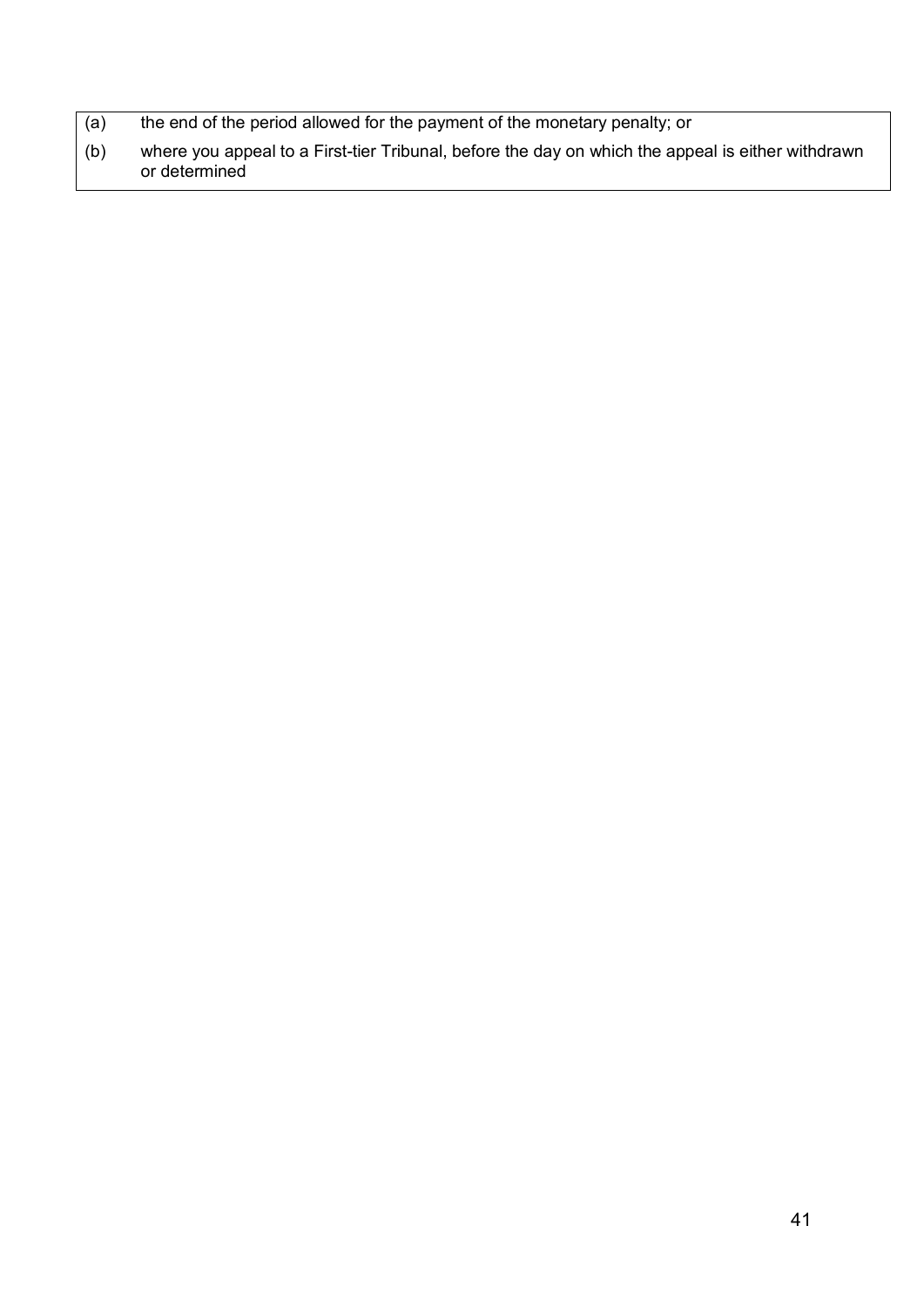- (a) the end of the period allowed for the payment of the monetary penalty; or
- (b) where you appeal to a First-tier Tribunal, before the day on which the appeal is either withdrawn or determined